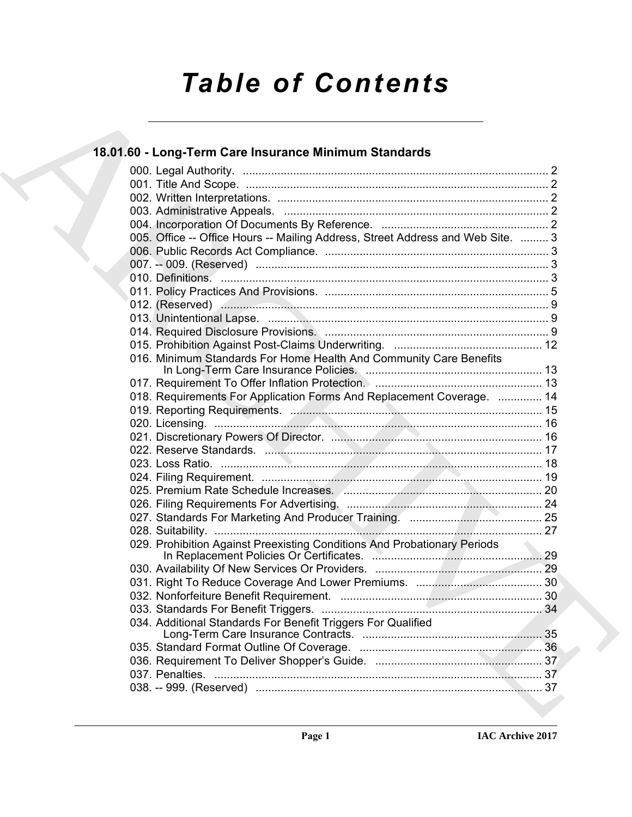# *Table of Contents*

| 18.01.60 - Long-Term Care Insurance Minimum Standards                           |    |
|---------------------------------------------------------------------------------|----|
|                                                                                 |    |
|                                                                                 |    |
|                                                                                 |    |
|                                                                                 |    |
|                                                                                 |    |
| 005. Office -- Office Hours -- Mailing Address, Street Address and Web Site.  3 |    |
|                                                                                 |    |
|                                                                                 |    |
|                                                                                 |    |
|                                                                                 |    |
|                                                                                 |    |
|                                                                                 |    |
|                                                                                 |    |
|                                                                                 |    |
| 016. Minimum Standards For Home Health And Community Care Benefits              |    |
|                                                                                 |    |
| 018. Requirements For Application Forms And Replacement Coverage.  14           |    |
|                                                                                 |    |
|                                                                                 |    |
|                                                                                 |    |
|                                                                                 |    |
|                                                                                 |    |
|                                                                                 |    |
|                                                                                 |    |
|                                                                                 |    |
|                                                                                 |    |
|                                                                                 |    |
| 029. Prohibition Against Preexisting Conditions And Probationary Periods        | 29 |
|                                                                                 |    |
|                                                                                 |    |
|                                                                                 |    |
|                                                                                 |    |
|                                                                                 |    |
| 034. Additional Standards For Benefit Triggers For Qualified                    |    |
|                                                                                 |    |
|                                                                                 |    |
|                                                                                 |    |
|                                                                                 |    |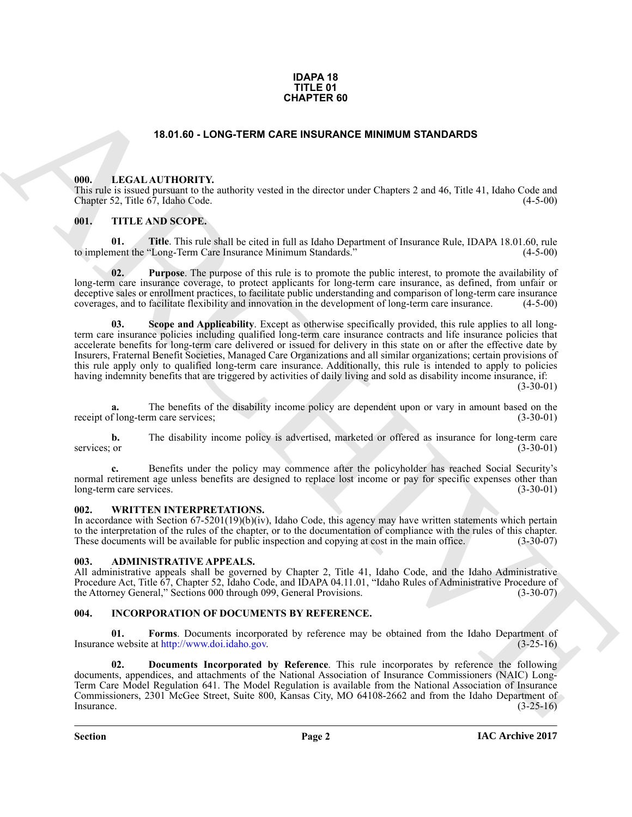#### **IDAPA 18 TITLE 01 CHAPTER 60**

#### **18.01.60 - LONG-TERM CARE INSURANCE MINIMUM STANDARDS**

#### <span id="page-1-1"></span><span id="page-1-0"></span>**000. LEGAL AUTHORITY.**

This rule is issued pursuant to the authority vested in the director under Chapters 2 and 46, Title 41, Idaho Code and Chapter 52, Title 67, Idaho Code. (4-5-00)

### <span id="page-1-2"></span>**001. TITLE AND SCOPE.**

**01. Title**. This rule shall be cited in full as Idaho Department of Insurance Rule, IDAPA 18.01.60, rule to implement the "Long-Term Care Insurance Minimum Standards." (4-5-00)

**02. Purpose**. The purpose of this rule is to promote the public interest, to promote the availability of long-term care insurance coverage, to protect applicants for long-term care insurance, as defined, from unfair or deceptive sales or enrollment practices, to facilitate public understanding and comparison of long-term care insurance coverages, and to facilitate flexibility and innovation in the development of long-term care insurance. (4-5-00)

**CHAPTER 69**<br> **CHAPTER CHAPTER CHAPTER CHAPTER OF INTERNATIONAL STANDARDS<br>
THE CHAPTER CHAPTER CHAPTER CHAPTER CHAPTER CHAPTER (SEE ALSO CHAPTER CHAPTER CHAPTER CHAPTER CHAPTER CHAPTER CHAPTER CHAPTER CHAPTER CHAPTER CHAP Scope and Applicability**. Except as otherwise specifically provided, this rule applies to all longterm care insurance policies including qualified long-term care insurance contracts and life insurance policies that accelerate benefits for long-term care delivered or issued for delivery in this state on or after the effective date by Insurers, Fraternal Benefit Societies, Managed Care Organizations and all similar organizations; certain provisions of this rule apply only to qualified long-term care insurance. Additionally, this rule is intended to apply to policies having indemnity benefits that are triggered by activities of daily living and sold as disability income insurance, if:

 $(3-30-01)$ 

**a.** The benefits of the disability income policy are dependent upon or vary in amount based on the receipt of long-term care services; (3-30-01)

**b.** The disability income policy is advertised, marketed or offered as insurance for long-term care services; or (3-30-01)

**c.** Benefits under the policy may commence after the policyholder has reached Social Security's normal retirement age unless benefits are designed to replace lost income or pay for specific expenses other than long-term care services. (3-30-01)

### <span id="page-1-3"></span>**002. WRITTEN INTERPRETATIONS.**

In accordance with Section 67-5201(19)(b)(iv), Idaho Code, this agency may have written statements which pertain to the interpretation of the rules of the chapter, or to the documentation of compliance with the rules of this chapter. These documents will be available for public inspection and copying at cost in the main office. (3-30-07)

#### <span id="page-1-4"></span>**003. ADMINISTRATIVE APPEALS.**

All administrative appeals shall be governed by Chapter 2, Title 41, Idaho Code, and the Idaho Administrative Procedure Act, Title 67, Chapter 52, Idaho Code, and IDAPA 04.11.01, "Idaho Rules of Administrative Procedure of the Attorney General," Sections 000 through 099, General Provisions. (3-30-07)

### <span id="page-1-6"></span><span id="page-1-5"></span>**004. INCORPORATION OF DOCUMENTS BY REFERENCE.**

**01. Forms**. Documents incorporated by reference may be obtained from the Idaho Department of Insurance website at http://www.doi.idaho.gov. (3-25-16)

**02. Documents Incorporated by Reference**. This rule incorporates by reference the following documents, appendices, and attachments of the National Association of Insurance Commissioners (NAIC) Long-Term Care Model Regulation 641. The Model Regulation is available from the National Association of Insurance Commissioners, 2301 McGee Street, Suite 800, Kansas City, MO 64108-2662 and from the Idaho Department of Insurance.  $(3-25-16)$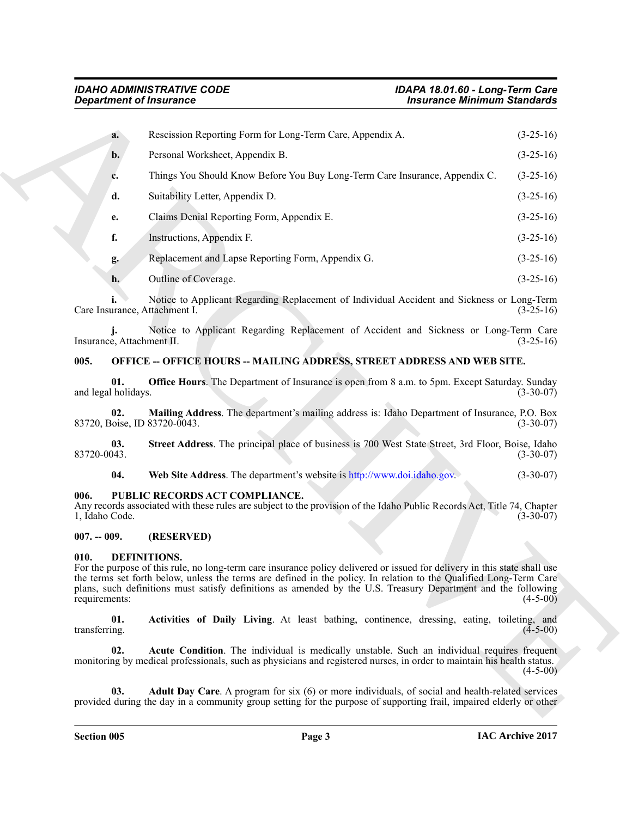| <b>Department of Insurance</b>      |                                                                                                                                                                                                                                                                                                                                                                                  | <b>Insurance Minimum Standards</b> |             |
|-------------------------------------|----------------------------------------------------------------------------------------------------------------------------------------------------------------------------------------------------------------------------------------------------------------------------------------------------------------------------------------------------------------------------------|------------------------------------|-------------|
| a.                                  | Rescission Reporting Form for Long-Term Care, Appendix A.                                                                                                                                                                                                                                                                                                                        |                                    | $(3-25-16)$ |
| b.                                  | Personal Worksheet, Appendix B.                                                                                                                                                                                                                                                                                                                                                  |                                    | $(3-25-16)$ |
| c.                                  | Things You Should Know Before You Buy Long-Term Care Insurance, Appendix C.                                                                                                                                                                                                                                                                                                      |                                    | $(3-25-16)$ |
| d.                                  | Suitability Letter, Appendix D.                                                                                                                                                                                                                                                                                                                                                  |                                    | $(3-25-16)$ |
| e.                                  | Claims Denial Reporting Form, Appendix E.                                                                                                                                                                                                                                                                                                                                        |                                    | $(3-25-16)$ |
| f.                                  | Instructions, Appendix F.                                                                                                                                                                                                                                                                                                                                                        |                                    | $(3-25-16)$ |
| g.                                  | Replacement and Lapse Reporting Form, Appendix G.                                                                                                                                                                                                                                                                                                                                |                                    | $(3-25-16)$ |
| h.                                  | Outline of Coverage.                                                                                                                                                                                                                                                                                                                                                             |                                    | $(3-25-16)$ |
| Care Insurance, Attachment I.       | Notice to Applicant Regarding Replacement of Individual Accident and Sickness or Long-Term                                                                                                                                                                                                                                                                                       |                                    | $(3-25-16)$ |
| Insurance, Attachment II.           | Notice to Applicant Regarding Replacement of Accident and Sickness or Long-Term Care                                                                                                                                                                                                                                                                                             |                                    | $(3-25-16)$ |
| 005.                                | <b>OFFICE -- OFFICE HOURS -- MAILING ADDRESS, STREET ADDRESS AND WEB SITE.</b>                                                                                                                                                                                                                                                                                                   |                                    |             |
| 01.<br>and legal holidays.          | Office Hours. The Department of Insurance is open from 8 a.m. to 5pm. Except Saturday. Sunday                                                                                                                                                                                                                                                                                    |                                    | $(3-30-07)$ |
| 02.<br>83720, Boise, ID 83720-0043. | Mailing Address. The department's mailing address is: Idaho Department of Insurance, P.O. Box                                                                                                                                                                                                                                                                                    |                                    | $(3-30-07)$ |
| 03.<br>83720-0043.                  | Street Address. The principal place of business is 700 West State Street, 3rd Floor, Boise, Idaho                                                                                                                                                                                                                                                                                |                                    | $(3-30-07)$ |
| 04.                                 | Web Site Address. The department's website is http://www.doi.idaho.gov.                                                                                                                                                                                                                                                                                                          |                                    | $(3-30-07)$ |
| 006.<br>1, Idaho Code.              | PUBLIC RECORDS ACT COMPLIANCE.<br>Any records associated with these rules are subject to the provision of the Idaho Public Records Act, Title 74, Chapter                                                                                                                                                                                                                        |                                    | $(3-30-07)$ |
| $007. - 009.$                       | (RESERVED)                                                                                                                                                                                                                                                                                                                                                                       |                                    |             |
| 010.<br>requirements:               | DEFINITIONS.<br>For the purpose of this rule, no long-term care insurance policy delivered or issued for delivery in this state shall use<br>the terms set forth below, unless the terms are defined in the policy. In relation to the Qualified Long-Term Care<br>plans, such definitions must satisfy definitions as amended by the U.S. Treasury Department and the following |                                    | $(4-5-00)$  |
| 01.<br>transferring.                | Activities of Daily Living. At least bathing, continence, dressing, eating, toileting, and                                                                                                                                                                                                                                                                                       |                                    | $(4-5-00)$  |
| 02.                                 | Acute Condition. The individual is medically unstable. Such an individual requires frequent<br>monitoring by medical professionals, such as physicians and registered nurses, in order to maintain his health status.                                                                                                                                                            |                                    | $(4-5-00)$  |
|                                     |                                                                                                                                                                                                                                                                                                                                                                                  |                                    |             |

#### <span id="page-2-8"></span><span id="page-2-0"></span>**005. OFFICE -- OFFICE HOURS -- MAILING ADDRESS, STREET ADDRESS AND WEB SITE.**

### <span id="page-2-9"></span>**04. Web Site Address**. The department's website is http://www.doi.idaho.gov. (3-30-07)

#### <span id="page-2-1"></span>**006. PUBLIC RECORDS ACT COMPLIANCE.**

#### <span id="page-2-2"></span>**007. -- 009. (RESERVED)**

#### <span id="page-2-7"></span><span id="page-2-6"></span><span id="page-2-5"></span><span id="page-2-4"></span><span id="page-2-3"></span>**010. DEFINITIONS.**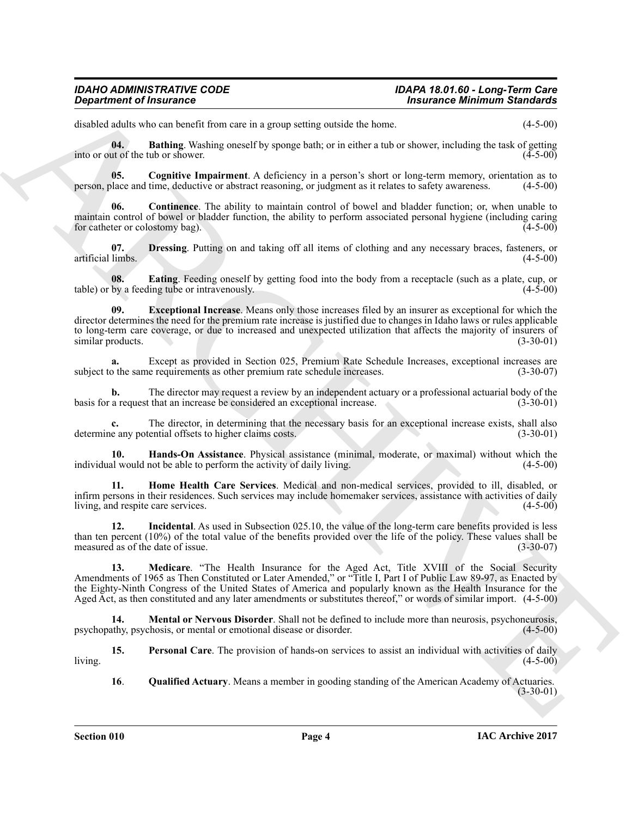## *IDAHO ADMINISTRATIVE CODE IDAPA 18.01.60 - Long-Term Care*

## **Insurance Minimum Standards**

disabled adults who can benefit from care in a group setting outside the home. (4-5-00)

<span id="page-3-0"></span>**04. Bathing**. Washing oneself by sponge bath; or in either a tub or shower, including the task of getting ut of the tub or shower. (4-5-00) into or out of the tub or shower.

<span id="page-3-1"></span>**05.** Cognitive Impairment. A deficiency in a person's short or long-term memory, orientation as to blace and time, deductive or abstract reasoning, or judgment as it relates to safety awareness. (4-5-00) person, place and time, deductive or abstract reasoning, or judgment as it relates to safety awareness.

<span id="page-3-2"></span>**06. Continence**. The ability to maintain control of bowel and bladder function; or, when unable to maintain control of bowel or bladder function, the ability to perform associated personal hygiene (including caring for catheter or colostomy bag). (4-5-00) for catheter or colostomy bag).

<span id="page-3-3"></span>**07. Dressing**. Putting on and taking off all items of clothing and any necessary braces, fasteners, or artificial limbs. (4-5-00) artificial limbs. (4-5-00)

<span id="page-3-5"></span><span id="page-3-4"></span>**08.** Eating. Feeding oneself by getting food into the body from a receptacle (such as a plate, cup, or by a feeding tube or intravenously. (4-5-00) table) or by a feeding tube or intravenously.

*Department of Insurance*<br> **Anti-mass Constitution and a new positive version business chamming a final of the C-300<br>
and so the state in the state of the state of the state of the state of the state of the state of the 09. Exceptional Increase**. Means only those increases filed by an insurer as exceptional for which the director determines the need for the premium rate increase is justified due to changes in Idaho laws or rules applicable to long-term care coverage, or due to increased and unexpected utilization that affects the majority of insurers of similar products. (3-30-01) similar products.

**a.** Except as provided in Section 025, Premium Rate Schedule Increases, exceptional increases are subject to the same requirements as other premium rate schedule increases. (3-30-07)

**b.** The director may request a review by an independent actuary or a professional actuarial body of the a request that an increase be considered an exceptional increase. (3-30-01) basis for a request that an increase be considered an exceptional increase.

The director, in determining that the necessary basis for an exceptional increase exists, shall also ential offsets to higher claims costs.  $(3-30-01)$ determine any potential offsets to higher claims costs.

<span id="page-3-6"></span>**10. Hands-On Assistance**. Physical assistance (minimal, moderate, or maximal) without which the individual would not be able to perform the activity of daily living. (4-5-00)

<span id="page-3-7"></span>**11. Home Health Care Services**. Medical and non-medical services, provided to ill, disabled, or infirm persons in their residences. Such services may include homemaker services, assistance with activities of daily living, and respite care services. (4-5-00) living, and respite care services.

<span id="page-3-8"></span>**12. Incidental**. As used in Subsection 025.10, the value of the long-term care benefits provided is less than ten percent (10%) of the total value of the benefits provided over the life of the policy. These values shall be measured as of the date of issue.  $(3-30-07)$ measured as of the date of issue.

<span id="page-3-9"></span>**13. Medicare**. "The Health Insurance for the Aged Act, Title XVIII of the Social Security Amendments of 1965 as Then Constituted or Later Amended," or "Title I, Part I of Public Law 89-97, as Enacted by the Eighty-Ninth Congress of the United States of America and popularly known as the Health Insurance for the Aged Act, as then constituted and any later amendments or substitutes thereof," or words of similar import. (4-5-00)

<span id="page-3-10"></span>**14. Mental or Nervous Disorder**. Shall not be defined to include more than neurosis, psychoneurosis, thy, psychosis, or mental or emotional disease or disorder. psychopathy, psychosis, or mental or emotional disease or disorder.

**15. Personal Care**. The provision of hands-on services to assist an individual with activities of daily (4-5-00)  $\mu$  living.  $(4-5-00)$ 

<span id="page-3-12"></span><span id="page-3-11"></span>**16**. **Qualified Actuary**. Means a member in gooding standing of the American Academy of Actuaries.  $(3-30-01)$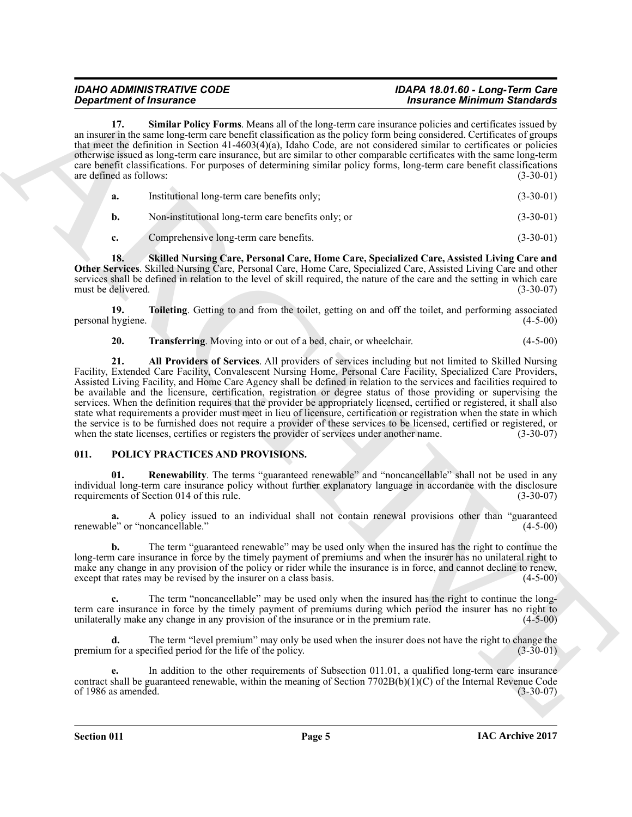<span id="page-4-2"></span>**17. Similar Policy Forms**. Means all of the long-term care insurance policies and certificates issued by an insurer in the same long-term care benefit classification as the policy form being considered. Certificates of groups that meet the definition in Section 41-4603(4)(a), Idaho Code, are not considered similar to certificates or policies otherwise issued as long-term care insurance, but are similar to other comparable certificates with the same long-term care benefit classifications. For purposes of determining similar policy forms, long-term care benefit classifications are defined as follows: (3-30-01)

<span id="page-4-3"></span>

| а.          | Institutional long-term care benefits only;        | $(3-30-01)$ |
|-------------|----------------------------------------------------|-------------|
| b.          | Non-institutional long-term care benefits only; or | $(3-30-01)$ |
| $c_{\cdot}$ | Comprehensive long-term care benefits.             | $(3-30-01)$ |

**18. Skilled Nursing Care, Personal Care, Home Care, Specialized Care, Assisted Living Care and Other Services**. Skilled Nursing Care, Personal Care, Home Care, Specialized Care, Assisted Living Care and other services shall be defined in relation to the level of skill required, the nature of the care and the setting in which care must be delivered. (3-30-07) must be delivered.

**19. Toileting**. Getting to and from the toilet, getting on and off the toilet, and performing associated hygiene. (4-5-00) personal hygiene.

<span id="page-4-5"></span><span id="page-4-4"></span><span id="page-4-1"></span>**20. Transferring**. Moving into or out of a bed, chair, or wheelchair. (4-5-00)

**Expansion of Francesco Constraints of the University of Theorem 2013.**<br>
Since the same of the University of the University of the University of the University of Constraints of Constraints of Constraints of Constraints o **21. All Providers of Services**. All providers of services including but not limited to Skilled Nursing Facility, Extended Care Facility, Convalescent Nursing Home, Personal Care Facility, Specialized Care Providers, Assisted Living Facility, and Home Care Agency shall be defined in relation to the services and facilities required to be available and the licensure, certification, registration or degree status of those providing or supervising the services. When the definition requires that the provider be appropriately licensed, certified or registered, it shall also state what requirements a provider must meet in lieu of licensure, certification or registration when the state in which the service is to be furnished does not require a provider of these services to be licensed, certified or registered, or when the state licenses, certifies or registers the provider of services under another name. (3-30-07)

### <span id="page-4-6"></span><span id="page-4-0"></span>**011. POLICY PRACTICES AND PROVISIONS.**

<span id="page-4-7"></span>**01. Renewability**. The terms "guaranteed renewable" and "noncancellable" shall not be used in any individual long-term care insurance policy without further explanatory language in accordance with the disclosure requirements of Section 014 of this rule.

**a.** A policy issued to an individual shall not contain renewal provisions other than "guaranteed renewable" or "noncancellable."

**b.** The term "guaranteed renewable" may be used only when the insured has the right to continue the long-term care insurance in force by the timely payment of premiums and when the insurer has no unilateral right to make any change in any provision of the policy or rider while the insurance is in force, and cannot decline to renew, except that rates may be revised by the insurer on a class basis. (4-5-00) except that rates may be revised by the insurer on a class basis.

The term "noncancellable" may be used only when the insured has the right to continue the longterm care insurance in force by the timely payment of premiums during which period the insurer has no right to unilaterally make any change in any provision of the insurance or in the premium rate. (4-5-00) unilaterally make any change in any provision of the insurance or in the premium rate.

**d.** The term "level premium" may only be used when the insurer does not have the right to change the premium for a specified period for the life of the policy. (3-30-01)

**e.** In addition to the other requirements of Subsection 011.01, a qualified long-term care insurance contract shall be guaranteed renewable, within the meaning of Section 7702B(b)(1)(C) of the Internal Revenue Code of 1986 as amended. (3-30-07) of 1986 as amended.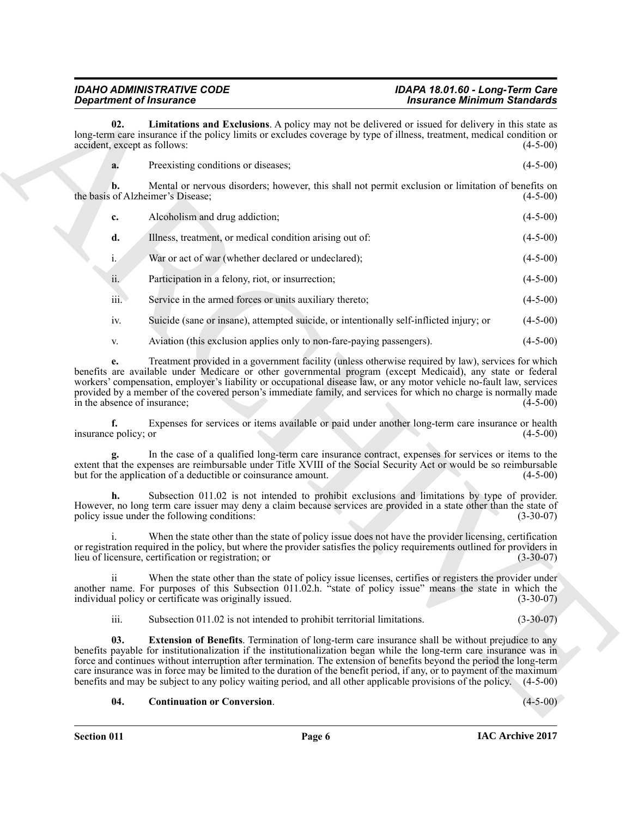<span id="page-5-2"></span>

|  | Preexisting conditions or diseases; | $(4-5-00)$ |
|--|-------------------------------------|------------|
|--|-------------------------------------|------------|

|                                     | <b>Department of Insurance</b>                                                                                                                                                                                                                                                                                                                                                                                                                                                                                                                                                                                | <b>Insurance Minimum Standards</b> |  |  |
|-------------------------------------|---------------------------------------------------------------------------------------------------------------------------------------------------------------------------------------------------------------------------------------------------------------------------------------------------------------------------------------------------------------------------------------------------------------------------------------------------------------------------------------------------------------------------------------------------------------------------------------------------------------|------------------------------------|--|--|
| 02.<br>accident, except as follows: | Limitations and Exclusions. A policy may not be delivered or issued for delivery in this state as<br>long-term care insurance if the policy limits or excludes coverage by type of illness, treatment, medical condition or                                                                                                                                                                                                                                                                                                                                                                                   | $(4-5-00)$                         |  |  |
| a.                                  | Preexisting conditions or diseases;                                                                                                                                                                                                                                                                                                                                                                                                                                                                                                                                                                           | $(4-5-00)$                         |  |  |
| b.                                  | Mental or nervous disorders; however, this shall not permit exclusion or limitation of benefits on<br>the basis of Alzheimer's Disease;                                                                                                                                                                                                                                                                                                                                                                                                                                                                       | $(4-5-00)$                         |  |  |
| c.                                  | Alcoholism and drug addiction;                                                                                                                                                                                                                                                                                                                                                                                                                                                                                                                                                                                | $(4-5-00)$                         |  |  |
| d.                                  | Illness, treatment, or medical condition arising out of:                                                                                                                                                                                                                                                                                                                                                                                                                                                                                                                                                      | $(4-5-00)$                         |  |  |
| $i_{\cdot}$                         | War or act of war (whether declared or undeclared);                                                                                                                                                                                                                                                                                                                                                                                                                                                                                                                                                           | $(4-5-00)$                         |  |  |
| ii.                                 | Participation in a felony, riot, or insurrection;                                                                                                                                                                                                                                                                                                                                                                                                                                                                                                                                                             | $(4-5-00)$                         |  |  |
| iii.                                | Service in the armed forces or units auxiliary thereto;                                                                                                                                                                                                                                                                                                                                                                                                                                                                                                                                                       | $(4-5-00)$                         |  |  |
| iv.                                 | Suicide (sane or insane), attempted suicide, or intentionally self-inflicted injury; or                                                                                                                                                                                                                                                                                                                                                                                                                                                                                                                       | $(4-5-00)$                         |  |  |
| V.                                  | Aviation (this exclusion applies only to non-fare-paying passengers).                                                                                                                                                                                                                                                                                                                                                                                                                                                                                                                                         | $(4-5-00)$                         |  |  |
| e.<br>in the absence of insurance;  | Treatment provided in a government facility (unless otherwise required by law), services for which<br>benefits are available under Medicare or other governmental program (except Medicaid), any state or federal<br>workers' compensation, employer's liability or occupational disease law, or any motor vehicle no-fault law, services<br>provided by a member of the covered person's immediate family, and services for which no charge is normally made                                                                                                                                                 | $(4-5-00)$                         |  |  |
| f.<br>insurance policy; or          | Expenses for services or items available or paid under another long-term care insurance or health                                                                                                                                                                                                                                                                                                                                                                                                                                                                                                             | $(4-5-00)$                         |  |  |
|                                     | In the case of a qualified long-term care insurance contract, expenses for services or items to the<br>extent that the expenses are reimbursable under Title XVIII of the Social Security Act or would be so reimbursable<br>but for the application of a deductible or coinsurance amount.                                                                                                                                                                                                                                                                                                                   | $(4-5-00)$                         |  |  |
| h.                                  | Subsection 011.02 is not intended to prohibit exclusions and limitations by type of provider.<br>However, no long term care issuer may deny a claim because services are provided in a state other than the state of<br>policy issue under the following conditions:                                                                                                                                                                                                                                                                                                                                          | $(3-30-07)$                        |  |  |
|                                     | When the state other than the state of policy issue does not have the provider licensing, certification<br>or registration required in the policy, but where the provider satisfies the policy requirements outlined for providers in<br>lieu of licensure, certification or registration; or                                                                                                                                                                                                                                                                                                                 | $(3-30-07)$                        |  |  |
| $\overline{\mathbf{u}}$             | When the state other than the state of policy issue licenses, certifies or registers the provider under<br>another name. For purposes of this Subsection 011.02.h. "state of policy issue" means the state in which the<br>individual policy or certificate was originally issued.                                                                                                                                                                                                                                                                                                                            | $(3-30-07)$                        |  |  |
| iii.                                | Subsection 011.02 is not intended to prohibit territorial limitations.                                                                                                                                                                                                                                                                                                                                                                                                                                                                                                                                        | $(3-30-07)$                        |  |  |
| 03.                                 | <b>Extension of Benefits</b> . Termination of long-term care insurance shall be without prejudice to any<br>benefits payable for institutionalization if the institutionalization began while the long-term care insurance was in<br>force and continues without interruption after termination. The extension of benefits beyond the period the long-term<br>care insurance was in force may be limited to the duration of the benefit period, if any, or to payment of the maximum<br>benefits and may be subject to any policy waiting period, and all other applicable provisions of the policy. (4-5-00) |                                    |  |  |
|                                     |                                                                                                                                                                                                                                                                                                                                                                                                                                                                                                                                                                                                               |                                    |  |  |

- 
- v. Aviation (this exclusion applies only to non-fare-paying passengers). (4-5-00)

#### <span id="page-5-1"></span><span id="page-5-0"></span>**04. Continuation or Conversion**. (4-5-00)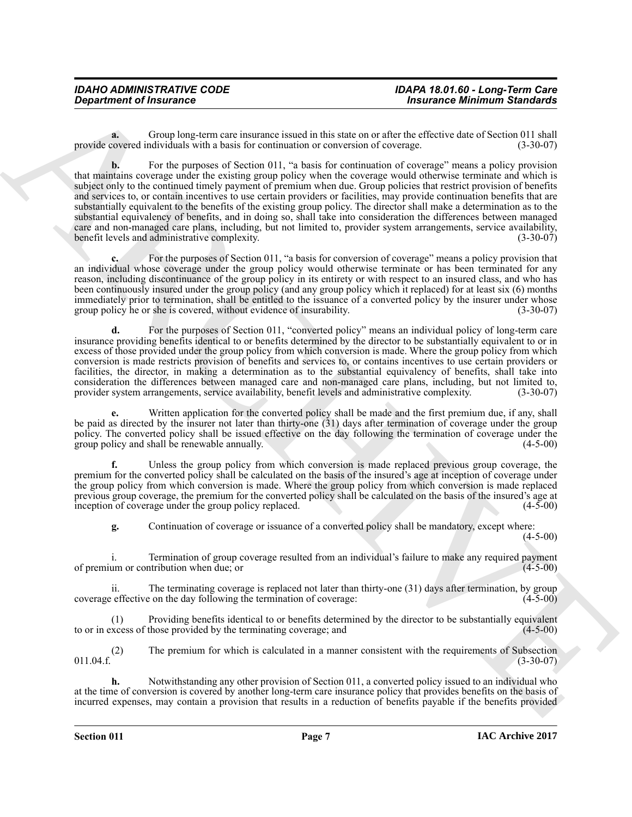**a.** Group long-term care insurance issued in this state on or after the effective date of Section 011 shall covered individuals with a basis for continuation or conversion of coverage. (3-30-07) provide covered individuals with a basis for continuation or conversion of coverage.

*Department of Insurance*<br>**Byzantine of Insurance**<br>**Byzantine of Insurance**<br>**Byzantine of Insurance insurance insurance insurance insurance insurance and the calculated value of Science in<br>
which consider the constraint b.** For the purposes of Section 011, "a basis for continuation of coverage" means a policy provision that maintains coverage under the existing group policy when the coverage would otherwise terminate and which is subject only to the continued timely payment of premium when due. Group policies that restrict provision of benefits and services to, or contain incentives to use certain providers or facilities, may provide continuation benefits that are substantially equivalent to the benefits of the existing group policy. The director shall make a determination as to the substantial equivalency of benefits, and in doing so, shall take into consideration the differences between managed care and non-managed care plans, including, but not limited to, provider system arrangements, service availability, benefit levels and administrative complexity. (3-30-07) benefit levels and administrative complexity.

**c.** For the purposes of Section 011, "a basis for conversion of coverage" means a policy provision that an individual whose coverage under the group policy would otherwise terminate or has been terminated for any reason, including discontinuance of the group policy in its entirety or with respect to an insured class, and who has been continuously insured under the group policy (and any group policy which it replaced) for at least six (6) months immediately prior to termination, shall be entitled to the issuance of a converted policy by the insurer under whose group policy he or she is covered, without evidence of insurability. (3-30-07)

**d.** For the purposes of Section 011, "converted policy" means an individual policy of long-term care insurance providing benefits identical to or benefits determined by the director to be substantially equivalent to or in excess of those provided under the group policy from which conversion is made. Where the group policy from which conversion is made restricts provision of benefits and services to, or contains incentives to use certain providers or facilities, the director, in making a determination as to the substantial equivalency of benefits, shall take into consideration the differences between managed care and non-managed care plans, including, but not limited to, provider system arrangements, service availability, benefit levels and administrative complexity. (3-30-07) provider system arrangements, service availability, benefit levels and administrative complexity.

Written application for the converted policy shall be made and the first premium due, if any, shall be paid as directed by the insurer not later than thirty-one (31) days after termination of coverage under the group policy. The converted policy shall be issued effective on the day following the termination of coverage under the group policy and shall be renewable annually. group policy and shall be renewable annually.

**f.** Unless the group policy from which conversion is made replaced previous group coverage, the premium for the converted policy shall be calculated on the basis of the insured's age at inception of coverage under the group policy from which conversion is made. Where the group policy from which conversion is made replaced previous group coverage, the premium for the converted policy shall be calculated on the basis of the insured's age at inception of coverage under the group policy replaced. (4-5-00) inception of coverage under the group policy replaced.

**g.** Continuation of coverage or issuance of a converted policy shall be mandatory, except where: (4-5-00)

i. Termination of group coverage resulted from an individual's failure to make any required payment of premium or contribution when due; or

ii. The terminating coverage is replaced not later than thirty-one (31) days after termination, by group coverage effective on the day following the termination of coverage:

(1) Providing benefits identical to or benefits determined by the director to be substantially equivalent to or in excess of those provided by the terminating coverage; and

(2) The premium for which is calculated in a manner consistent with the requirements of Subsection  $011.04.f.$  (3-30-07)

**h.** Notwithstanding any other provision of Section 011, a converted policy issued to an individual who at the time of conversion is covered by another long-term care insurance policy that provides benefits on the basis of incurred expenses, may contain a provision that results in a reduction of benefits payable if the benefits provided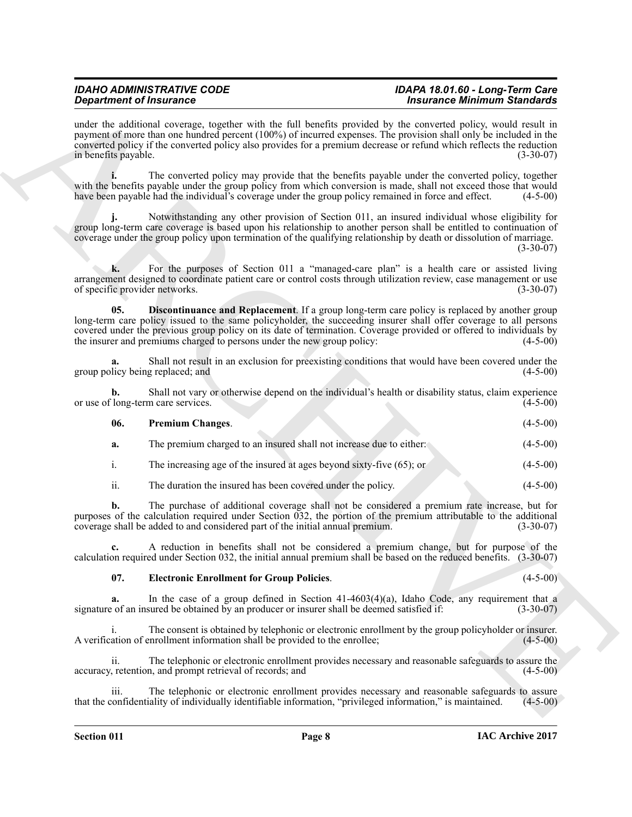<span id="page-7-0"></span>

|                                      | <b>Department of Insurance</b>                                                                                                                                                                                                                                                                                                                                                                                      | <b>Insurance Minimum Standards</b> |             |
|--------------------------------------|---------------------------------------------------------------------------------------------------------------------------------------------------------------------------------------------------------------------------------------------------------------------------------------------------------------------------------------------------------------------------------------------------------------------|------------------------------------|-------------|
| in benefits payable.                 | under the additional coverage, together with the full benefits provided by the converted policy, would result in<br>payment of more than one hundred percent (100%) of incurred expenses. The provision shall only be included in the<br>converted policy if the converted policy also provides for a premium decrease or refund which reflects the reduction                                                       |                                    | $(3-30-07)$ |
|                                      | The converted policy may provide that the benefits payable under the converted policy, together<br>with the benefits payable under the group policy from which conversion is made, shall not exceed those that would<br>have been payable had the individual's coverage under the group policy remained in force and effect.                                                                                        |                                    | $(4-5-00)$  |
|                                      | Notwithstanding any other provision of Section 011, an insured individual whose eligibility for<br>group long-term care coverage is based upon his relationship to another person shall be entitled to continuation of<br>coverage under the group policy upon termination of the qualifying relationship by death or dissolution of marriage.                                                                      |                                    | $(3-30-07)$ |
| k.<br>of specific provider networks. | For the purposes of Section 011 a "managed-care plan" is a health care or assisted living<br>arrangement designed to coordinate patient care or control costs through utilization review, case management or use                                                                                                                                                                                                    |                                    | $(3-30-07)$ |
| 05.                                  | Discontinuance and Replacement. If a group long-term care policy is replaced by another group<br>long-term care policy issued to the same policyholder, the succeeding insurer shall offer coverage to all persons<br>covered under the previous group policy on its date of termination. Coverage provided or offered to individuals by<br>the insurer and premiums charged to persons under the new group policy: |                                    | $(4-5-00)$  |
|                                      | Shall not result in an exclusion for preexisting conditions that would have been covered under the<br>group policy being replaced; and                                                                                                                                                                                                                                                                              |                                    | $(4-5-00)$  |
| b.                                   | Shall not vary or otherwise depend on the individual's health or disability status, claim experience<br>or use of long-term care services.                                                                                                                                                                                                                                                                          |                                    | $(4-5-00)$  |
| 06.                                  | <b>Premium Changes.</b>                                                                                                                                                                                                                                                                                                                                                                                             |                                    | $(4-5-00)$  |
| a.                                   | The premium charged to an insured shall not increase due to either:                                                                                                                                                                                                                                                                                                                                                 |                                    | $(4-5-00)$  |
| i.                                   | The increasing age of the insured at ages beyond sixty-five $(65)$ ; or                                                                                                                                                                                                                                                                                                                                             |                                    | $(4-5-00)$  |
| ii.                                  | The duration the insured has been covered under the policy.                                                                                                                                                                                                                                                                                                                                                         |                                    | $(4-5-00)$  |
| b.                                   | The purchase of additional coverage shall not be considered a premium rate increase, but for<br>purposes of the calculation required under Section $032$ , the portion of the premium attributable to the additional<br>coverage shall be added to and considered part of the initial annual premium.                                                                                                               |                                    | $(3-30-07)$ |
|                                      | A reduction in benefits shall not be considered a premium change, but for purpose of the<br>calculation required under Section 032, the initial annual premium shall be based on the reduced benefits. (3-30-07)                                                                                                                                                                                                    |                                    |             |
| 07.                                  | <b>Electronic Enrollment for Group Policies.</b>                                                                                                                                                                                                                                                                                                                                                                    |                                    | $(4-5-00)$  |
| a.                                   | In the case of a group defined in Section $41-4603(4)(a)$ , Idaho Code, any requirement that a<br>signature of an insured be obtained by an producer or insurer shall be deemed satisfied if:                                                                                                                                                                                                                       |                                    | $(3-30-07)$ |
|                                      | The consent is obtained by telephonic or electronic enrollment by the group policyholder or insurer.                                                                                                                                                                                                                                                                                                                |                                    | $(4-5-00)$  |
|                                      | A verification of enrollment information shall be provided to the enrollee;                                                                                                                                                                                                                                                                                                                                         |                                    |             |
| ii.                                  | The telephonic or electronic enrollment provides necessary and reasonable safeguards to assure the<br>accuracy, retention, and prompt retrieval of records; and                                                                                                                                                                                                                                                     |                                    | $(4-5-00)$  |

#### <span id="page-7-2"></span><span id="page-7-1"></span>**07. Electronic Enrollment for Group Policies**. (4-5-00)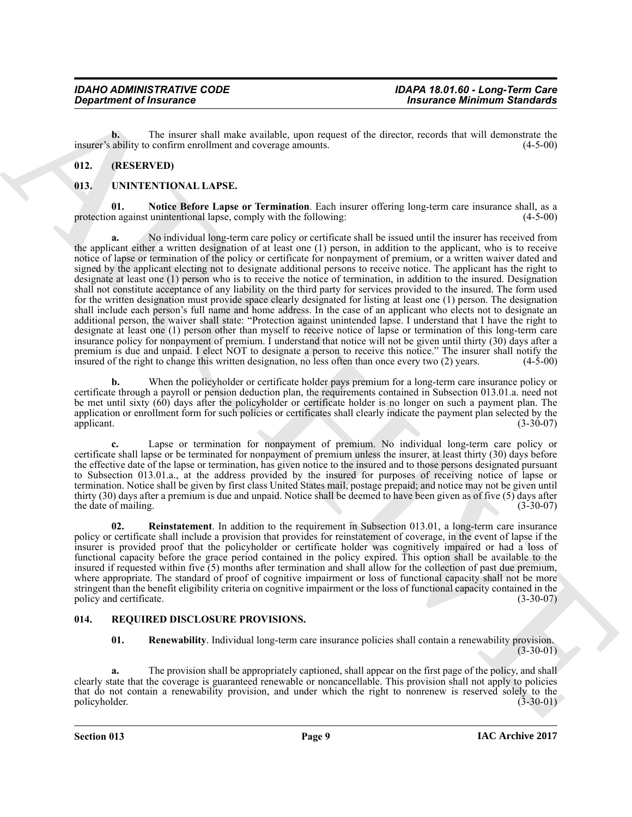**b.** The insurer shall make available, upon request of the director, records that will demonstrate the ability to confirm enrollment and coverage amounts. (4-5-00) insurer's ability to confirm enrollment and coverage amounts.

### <span id="page-8-0"></span>**012. (RESERVED)**

#### <span id="page-8-5"></span><span id="page-8-1"></span>**013. UNINTENTIONAL LAPSE.**

<span id="page-8-6"></span>**01. Notice Before Lapse or Termination**. Each insurer offering long-term care insurance shall, as a protection against unintentional lapse, comply with the following: (4-5-00)

**Constrainer of Fraumence Constraints (and Solution Constraint Constraint Constraint Constraint Constraint Constraint Constraint Constraint Constraint Constraint Constraint Constraint Constraint Constraint Constraint Cons a.** No individual long-term care policy or certificate shall be issued until the insurer has received from the applicant either a written designation of at least one (1) person, in addition to the applicant, who is to receive notice of lapse or termination of the policy or certificate for nonpayment of premium, or a written waiver dated and signed by the applicant electing not to designate additional persons to receive notice. The applicant has the right to designate at least one (1) person who is to receive the notice of termination, in addition to the insured. Designation shall not constitute acceptance of any liability on the third party for services provided to the insured. The form used for the written designation must provide space clearly designated for listing at least one (1) person. The designation shall include each person's full name and home address. In the case of an applicant who elects not to designate an additional person, the waiver shall state: "Protection against unintended lapse. I understand that I have the right to designate at least one (1) person other than myself to receive notice of lapse or termination of this long-term care insurance policy for nonpayment of premium. I understand that notice will not be given until thirty (30) days after a premium is due and unpaid. I elect NOT to designate a person to receive this notice." The insurer shall notify the insured of the right to change this written designation, no less often than once every two (2) years. (4-5insured of the right to change this written designation, no less often than once every two  $(2)$  years.

**b.** When the policyholder or certificate holder pays premium for a long-term care insurance policy or certificate through a payroll or pension deduction plan, the requirements contained in Subsection 013.01.a. need not be met until sixty (60) days after the policyholder or certificate holder is no longer on such a payment plan. The application or enrollment form for such policies or certificates shall clearly indicate the payment plan selected by the applicant. (3-30-07) applicant.  $(3-30-07)$ 

**c.** Lapse or termination for nonpayment of premium. No individual long-term care policy or certificate shall lapse or be terminated for nonpayment of premium unless the insurer, at least thirty (30) days before the effective date of the lapse or termination, has given notice to the insured and to those persons designated pursuant to Subsection 013.01.a., at the address provided by the insured for purposes of receiving notice of lapse or termination. Notice shall be given by first class United States mail, postage prepaid; and notice may not be given until thirty (30) days after a premium is due and unpaid. Notice shall be deemed to have been given as of five (5) days after the date of mailing. (3-30-07) the date of mailing.

<span id="page-8-7"></span>**02. Reinstatement**. In addition to the requirement in Subsection 013.01, a long-term care insurance policy or certificate shall include a provision that provides for reinstatement of coverage, in the event of lapse if the insurer is provided proof that the policyholder or certificate holder was cognitively impaired or had a loss of functional capacity before the grace period contained in the policy expired. This option shall be available to the insured if requested within five (5) months after termination and shall allow for the collection of past due premium, where appropriate. The standard of proof of cognitive impairment or loss of functional capacity shall not be more stringent than the benefit eligibility criteria on cognitive impairment or the loss of functional capacity contained in the policy and certificate. (3-30-07) policy and certificate.

#### <span id="page-8-2"></span>**014. REQUIRED DISCLOSURE PROVISIONS.**

<span id="page-8-4"></span><span id="page-8-3"></span>**01. Renewability**. Individual long-term care insurance policies shall contain a renewability provision.  $(3-30-01)$ 

**a.** The provision shall be appropriately captioned, shall appear on the first page of the policy, and shall clearly state that the coverage is guaranteed renewable or noncancellable. This provision shall not apply to policies that do not contain a renewability provision, and under which the right to nonrenew is reserved solely to the policyholder. (3-30-01)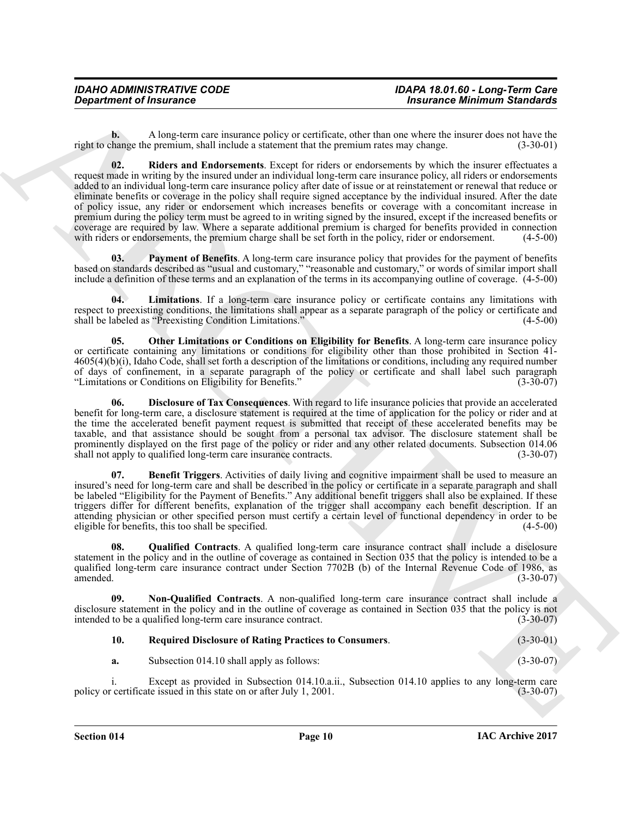<span id="page-9-8"></span>**b.** A long-term care insurance policy or certificate, other than one where the insurer does not have the change the premium, shall include a statement that the premium rates may change. (3-30-01) right to change the premium, shall include a statement that the premium rates may change.

*Department of Insurance*<br> **Straight and the straight and sympatric of sympatric insulations, while that one shapes the result in the sympatric insulation of the sympatric insulation of the sympatric insulation of the s 02. Riders and Endorsements**. Except for riders or endorsements by which the insurer effectuates a request made in writing by the insured under an individual long-term care insurance policy, all riders or endorsements added to an individual long-term care insurance policy after date of issue or at reinstatement or renewal that reduce or eliminate benefits or coverage in the policy shall require signed acceptance by the individual insured. After the date of policy issue, any rider or endorsement which increases benefits or coverage with a concomitant increase in premium during the policy term must be agreed to in writing signed by the insured, except if the increased benefits or coverage are required by law. Where a separate additional premium is charged for benefits provided in connection with riders or endorsements, the premium charge shall be set forth in the policy, rider or endorsement. (4-5with riders or endorsements, the premium charge shall be set forth in the policy, rider or endorsement.

<span id="page-9-5"></span>**Payment of Benefits.** A long-term care insurance policy that provides for the payment of benefits based on standards described as "usual and customary," "reasonable and customary," or words of similar import shall include a definition of these terms and an explanation of the terms in its accompanying outline of coverage. (4-5-00)

<span id="page-9-2"></span>**04. Limitations**. If a long-term care insurance policy or certificate contains any limitations with respect to preexisting conditions, the limitations shall appear as a separate paragraph of the policy or certificate and shall be labeled as "Preexisting Condition Limitations." (4-5-00) shall be labeled as "Preexisting Condition Limitations."

<span id="page-9-3"></span>**05. Other Limitations or Conditions on Eligibility for Benefits**. A long-term care insurance policy or certificate containing any limitations or conditions for eligibility other than those prohibited in Section 41- 4605(4)(b)(i), Idaho Code, shall set forth a description of the limitations or conditions, including any required number of days of confinement, in a separate paragraph of the policy or certificate and shall label such paragraph<br>"Limitations or Conditions on Eligibility for Benefits." (3-30-07) "Limitations or Conditions on Eligibility for Benefits."

<span id="page-9-1"></span>**06. Disclosure of Tax Consequences**. With regard to life insurance policies that provide an accelerated benefit for long-term care, a disclosure statement is required at the time of application for the policy or rider and at the time the accelerated benefit payment request is submitted that receipt of these accelerated benefits may be taxable, and that assistance should be sought from a personal tax advisor. The disclosure statement shall be prominently displayed on the first page of the policy or rider and any other related documents. Subsection 014.06 shall not apply to qualified long-term care insurance contracts. (3-30-07) shall not apply to qualified long-term care insurance contracts.

<span id="page-9-0"></span>**07. Benefit Triggers**. Activities of daily living and cognitive impairment shall be used to measure an insured's need for long-term care and shall be described in the policy or certificate in a separate paragraph and shall be labeled "Eligibility for the Payment of Benefits." Any additional benefit triggers shall also be explained. If these triggers differ for different benefits, explanation of the trigger shall accompany each benefit description. If an attending physician or other specified person must certify a certain level of functional dependency in order to be eligible for benefits, this too shall be specified. (4-5-00) eligible for benefits, this too shall be specified.

<span id="page-9-6"></span>**08. Qualified Contracts**. A qualified long-term care insurance contract shall include a disclosure statement in the policy and in the outline of coverage as contained in Section 035 that the policy is intended to be a qualified long-term care insurance contract under Section 7702B (b) of the Internal Revenue Code of 1986, as amended. (3-30-07) amended. (3-30-07)

**09. Non-Qualified Contracts**. A non-qualified long-term care insurance contract shall include a disclosure statement in the policy and in the outline of coverage as contained in Section 035 that the policy is not intended to be a qualified long-term care insurance contract. (3-30-07) intended to be a qualified long-term care insurance contract.

<span id="page-9-4"></span>

| 10. | <b>Required Disclosure of Rating Practices to Consumers.</b> | $(3-30-01)$ |
|-----|--------------------------------------------------------------|-------------|
|-----|--------------------------------------------------------------|-------------|

<span id="page-9-7"></span>**a.** Subsection 014.10 shall apply as follows: (3-30-07)

i. Except as provided in Subsection 014.10.a.ii., Subsection 014.10 applies to any long-term care<br>certificate issued in this state on or after July 1, 2001. (3-30-07) policy or certificate issued in this state on or after July 1, 2001.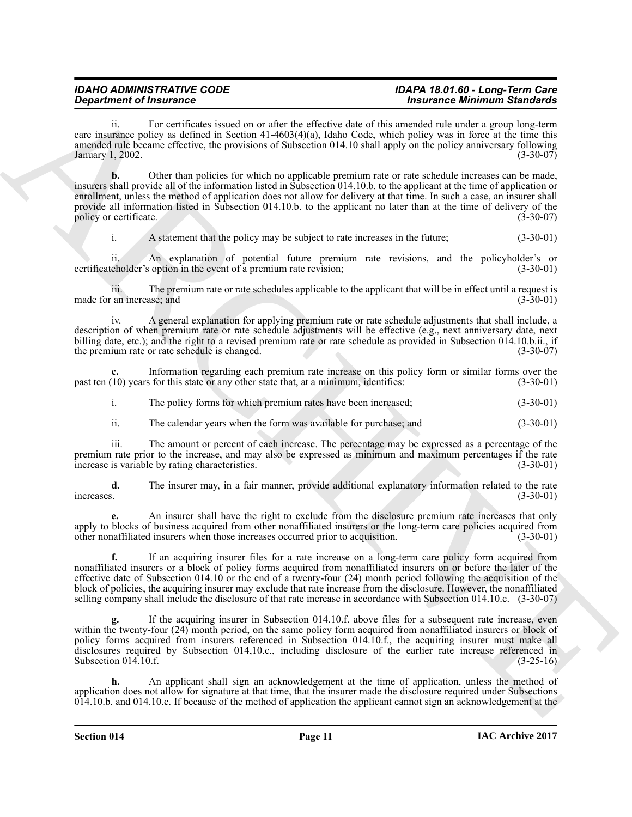ii. For certificates issued on or after the effective date of this amended rule under a group long-term care insurance policy as defined in Section 41-4603(4)(a), Idaho Code, which policy was in force at the time this amended rule became effective, the provisions of Subsection 014.10 shall apply on the policy anniversary following<br>January 1, 2002. (3-30-07) January 1, 2002.

**Equation of Framewood Extra the Universe of the School of the School of the School of the School of the School of the School of the School of the School of the School of the School of the School of the School of the Scho b.** Other than policies for which no applicable premium rate or rate schedule increases can be made, insurers shall provide all of the information listed in Subsection 014.10.b. to the applicant at the time of application or enrollment, unless the method of application does not allow for delivery at that time. In such a case, an insurer shall provide all information listed in Subsection 014.10.b. to the applicant no later than at the time of delivery of the policy or certificate. (3-30-07)

i. A statement that the policy may be subject to rate increases in the future; (3-30-01)

ii. An explanation of potential future premium rate revisions, and the policyholder's or certificateholder's option in the event of a premium rate revision; (3-30-01)

iii. The premium rate or rate schedules applicable to the applicant that will be in effect until a request is made for an increase; and

iv. A general explanation for applying premium rate or rate schedule adjustments that shall include, a description of when premium rate or rate schedule adjustments will be effective (e.g., next anniversary date, next billing date, etc.); and the right to a revised premium rate or rate schedule as provided in Subsection 014.10.b.ii., if<br>the premium rate or rate schedule is changed. (3-30-07) the premium rate or rate schedule is changed.

Information regarding each premium rate increase on this policy form or similar forms over the s for this state or any other state that, at a minimum, identifies: (3-30-01) past ten  $(10)$  years for this state or any other state that, at a minimum, identifies:

i. The policy forms for which premium rates have been increased; (3-30-01)

ii. The calendar years when the form was available for purchase; and (3-30-01)

iii. The amount or percent of each increase. The percentage may be expressed as a percentage of the premium rate prior to the increase, and may also be expressed as minimum and maximum percentages if the rate increase is variable by rating characteristics. (3-30-01)

**d.** The insurer may, in a fair manner, provide additional explanatory information related to the rate increases.  $(3-30-01)$ increases. (3-30-01)

**e.** An insurer shall have the right to exclude from the disclosure premium rate increases that only apply to blocks of business acquired from other nonaffiliated insurers or the long-term care policies acquired from other nonaffiliated insurers when those increases occurred prior to acquisition. (3-30-01) other nonaffiliated insurers when those increases occurred prior to acquisition.

**f.** If an acquiring insurer files for a rate increase on a long-term care policy form acquired from nonaffiliated insurers or a block of policy forms acquired from nonaffiliated insurers on or before the later of the effective date of Subsection 014.10 or the end of a twenty-four (24) month period following the acquisition of the block of policies, the acquiring insurer may exclude that rate increase from the disclosure. However, the nonaffiliated selling company shall include the disclosure of that rate increase in accordance with Subsection 014.10.c. (3-30-07)

**g.** If the acquiring insurer in Subsection 014.10.f. above files for a subsequent rate increase, even within the twenty-four (24) month period, on the same policy form acquired from nonaffiliated insurers or block of policy forms acquired from insurers referenced in Subsection 014.10.f., the acquiring insurer must make all disclosures required by Subsection 014,10.c., including disclosure of the earlier rate increase referenced in Subsection 014.10.f. (3-25-16) Subsection  $014.10.f.$ 

**h.** An applicant shall sign an acknowledgement at the time of application, unless the method of application does not allow for signature at that time, that the insurer made the disclosure required under Subsections 014.10.b. and 014.10.c. If because of the method of application the applicant cannot sign an acknowledgement at the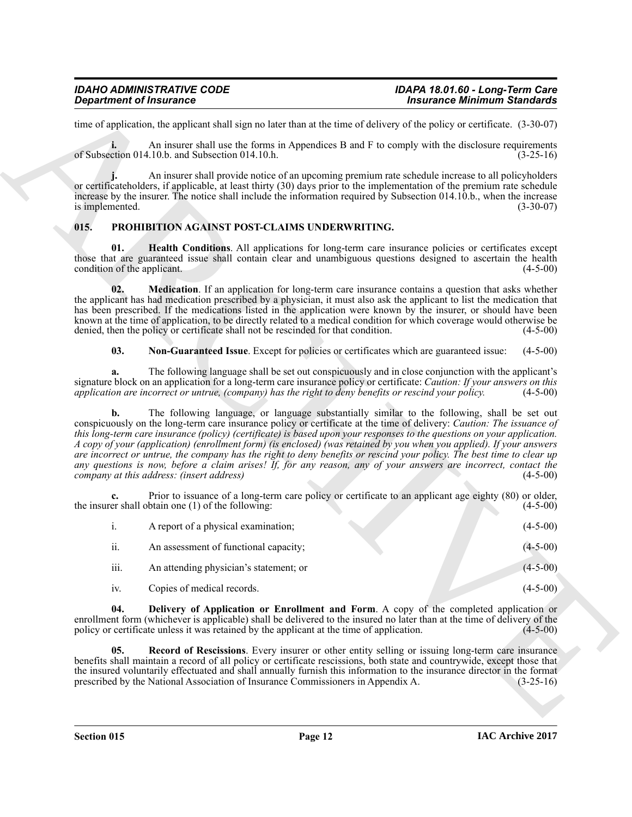## *IDAHO ADMINISTRATIVE CODE IDAPA 18.01.60 - Long-Term Care*

time of application, the applicant shall sign no later than at the time of delivery of the policy or certificate. (3-30-07)

**i.** An insurer shall use the forms in Appendices B and F to comply with the disclosure requirements of Subsection  $014.10$ .b. and Subsection  $014.10$ .h. (3-25-16)

**j.** An insurer shall provide notice of an upcoming premium rate schedule increase to all policyholders **j.** An insurer shall provide notice of an upcoming premium rate schedule increase to an pointy noncesting or certificateholders, if applicable, at least thirty (30) days prior to the implementation of the premium rate sch increase by the insurer. The notice shall include the information required by Subsection 014.10.b., when the increase is implemented. (3-30-07)

#### <span id="page-11-1"></span><span id="page-11-0"></span>**015. PROHIBITION AGAINST POST-CLAIMS UNDERWRITING.**

<span id="page-11-3"></span>**01. Health Conditions**. All applications for long-term care insurance policies or certificates except those that are guaranteed issue shall contain clear and unambiguous questions designed to ascertain the health condition of the applicant. (4-5-00)

<span id="page-11-4"></span>**02. Medication**. If an application for long-term care insurance contains a question that asks whether the applicant has had medication prescribed by a physician, it must also ask the applicant to list the medication that has been prescribed. If the medications listed in the application were known by the insurer, or should have been known at the time of application, to be directly related to a medical condition for which coverage would otherwise be denied, then the policy or certificate shall not be rescinded for that condition. (4-5-00) denied, then the policy or certificate shall not be rescinded for that condition.

<span id="page-11-5"></span>**03. Non-Guaranteed Issue**. Except for policies or certificates which are guaranteed issue: (4-5-00)

**a.** The following language shall be set out conspicuously and in close conjunction with the applicant's signature block on an application for a long-term care insurance policy or certificate: *Caution: If your answers on this* application are incorrect or untrue, (company) has the right to deny benefits or rescind your polic *application are incorrect or untrue, (company) has the right to deny benefits or rescind your policy.* 

*Department of Insurance*<br>
Has the projection state state that we have have been stocked as the contract of the policy of Soundam State<br>
Has the state of the state of the state of the state of the state of the state of **b.** The following language, or language substantially similar to the following, shall be set out conspicuously on the long-term care insurance policy or certificate at the time of delivery: *Caution: The issuance of this long-term care insurance (policy) (certificate) is based upon your responses to the questions on your application. A copy of your (application) (enrollment form) (is enclosed) (was retained by you when you applied). If your answers are incorrect or untrue, the company has the right to deny benefits or rescind your policy. The best time to clear up any questions is now, before a claim arises! If, for any reason, any of your answers are incorrect, contact the company at this address: (insert address)* 

**c.** Prior to issuance of a long-term care policy or certificate to an applicant age eighty (80) or older, er shall obtain one (1) of the following: (4-5-00) the insurer shall obtain one  $(1)$  of the following:

|          | A report of a physical examination;    | $(4-5-00)$ |
|----------|----------------------------------------|------------|
| ii.      | An assessment of functional capacity;  | $(4-5-00)$ |
| iii.     | An attending physician's statement; or | $(4-5-00)$ |
| $iv_{i}$ | Copies of medical records.             | $(4-5-00)$ |

<span id="page-11-2"></span>**04. Delivery of Application or Enrollment and Form**. A copy of the completed application or enrollment form (whichever is applicable) shall be delivered to the insured no later than at the time of delivery of the policy or certificate unless it was retained by the applicant at the time of application. (4-5-00) policy or certificate unless it was retained by the applicant at the time of application.

<span id="page-11-6"></span>**Record of Rescissions**. Every insurer or other entity selling or issuing long-term care insurance benefits shall maintain a record of all policy or certificate rescissions, both state and countrywide, except those that the insured voluntarily effectuated and shall annually furnish this information to the insurance director in the format<br>prescribed by the National Association of Insurance Commissioners in Appendix A. (3-25-16) prescribed by the National Association of Insurance Commissioners in Appendix A.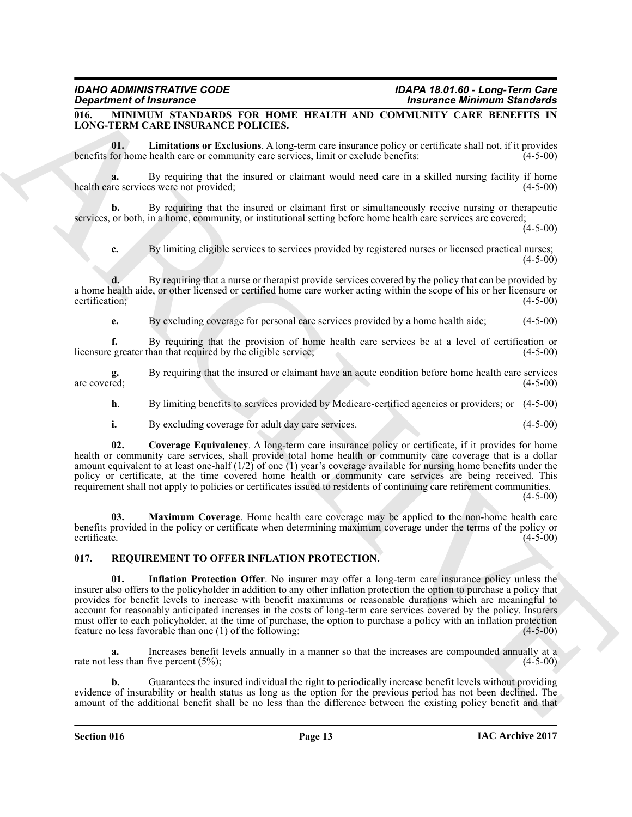### <span id="page-12-2"></span><span id="page-12-0"></span>**016. MINIMUM STANDARDS FOR HOME HEALTH AND COMMUNITY CARE BENEFITS IN LONG-TERM CARE INSURANCE POLICIES.**

<span id="page-12-4"></span>**01. Limitations or Exclusions**. A long-term care insurance policy or certificate shall not, if it provides benefits for home health care or community care services, limit or exclude benefits:

**a.** By requiring that the insured or claimant would need care in a skilled nursing facility if home re services were not provided; health care services were not provided;

**b.** By requiring that the insured or claimant first or simultaneously receive nursing or therapeutic services, or both, in a home, community, or institutional setting before home health care services are covered;

 $(4-5-00)$ 

**c.** By limiting eligible services to services provided by registered nurses or licensed practical nurses; (4-5-00)

**d.** By requiring that a nurse or therapist provide services covered by the policy that can be provided by a home health aide, or other licensed or certified home care worker acting within the scope of his or her licensure or certification; (4-5-00)

**e.** By excluding coverage for personal care services provided by a home health aide; (4-5-00)

**f.** By requiring that the provision of home health care services be at a level of certification or greater than that required by the eligible service; (4-5-00) licensure greater than that required by the eligible service;

**g.** By requiring that the insured or claimant have an acute condition before home health care services are covered;  $(4-5-00)$ 

**h**. By limiting benefits to services provided by Medicare-certified agencies or providers; or  $(4-5-00)$ 

<span id="page-12-3"></span>**i.** By excluding coverage for adult day care services. (4-5-00)

**02. Coverage Equivalency**. A long-term care insurance policy or certificate, if it provides for home health or community care services, shall provide total home health or community care coverage that is a dollar amount equivalent to at least one-half  $(1/2)$  of one  $(1)$  year's coverage available for nursing home benefits under the policy or certificate, at the time covered home health or community care services are being received. This requirement shall not apply to policies or certificates issued to residents of continuing care retirement communities.

(4-5-00)

<span id="page-12-5"></span>**Maximum Coverage**. Home health care coverage may be applied to the non-home health care benefits provided in the policy or certificate when determining maximum coverage under the terms of the policy or certificate. (4-5-00)

#### <span id="page-12-7"></span><span id="page-12-6"></span><span id="page-12-1"></span>**017. REQUIREMENT TO OFFER INFLATION PROTECTION.**

**Signification** of Franchise Construction 10.1 (a)  $\frac{1}{2}$  (a)  $\frac{1}{2}$  (a)  $\frac{1}{2}$  (a)  $\frac{1}{2}$  (b)  $\frac{1}{2}$  (b)  $\frac{1}{2}$  (b)  $\frac{1}{2}$  (b)  $\frac{1}{2}$  (b)  $\frac{1}{2}$  (b)  $\frac{1}{2}$  (b)  $\frac{1}{2}$  (c)  $\frac{1}{2}$  (b)  $\$ **01. Inflation Protection Offer**. No insurer may offer a long-term care insurance policy unless the insurer also offers to the policyholder in addition to any other inflation protection the option to purchase a policy that provides for benefit levels to increase with benefit maximums or reasonable durations which are meaningful to account for reasonably anticipated increases in the costs of long-term care services covered by the policy. Insurers must offer to each policyholder, at the time of purchase, the option to purchase a policy with an inflation protection feature no less favorable than one (1) of the following: (4-5-00)

**a.** Increases benefit levels annually in a manner so that the increases are compounded annually at a ess than five percent (5%). rate not less than five percent  $(5\%)$ ;

**b.** Guarantees the insured individual the right to periodically increase benefit levels without providing evidence of insurability or health status as long as the option for the previous period has not been declined. The amount of the additional benefit shall be no less than the difference between the existing policy benefit and that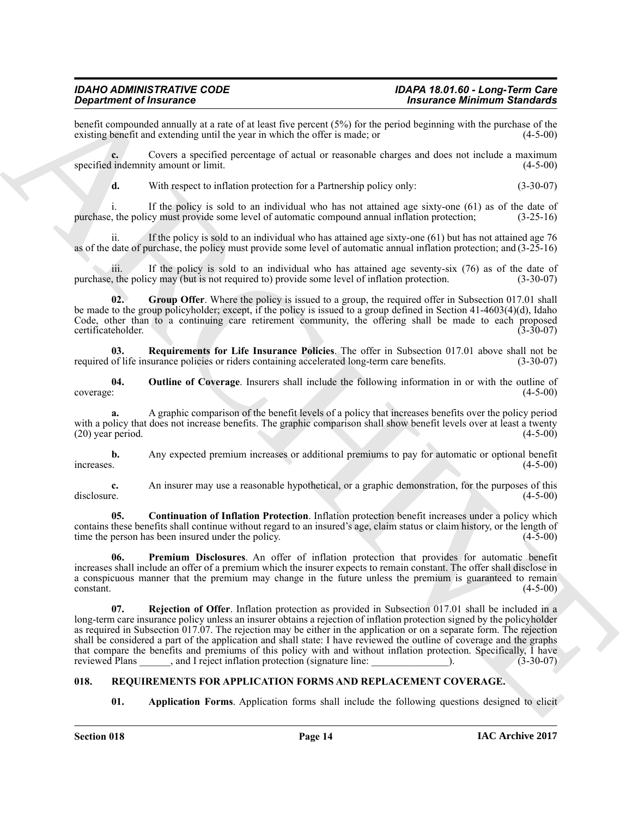benefit compounded annually at a rate of at least five percent  $(5%)$  for the period beginning with the purchase of the existing benefit and extending until the year in which the offer is made; or  $(4-5-00)$ existing benefit and extending until the year in which the offer is made; or

**c.** Covers a specified percentage of actual or reasonable charges and does not include a maximum specified indemnity amount or limit. (4-5-00)

**d.** With respect to inflation protection for a Partnership policy only: (3-30-07)

i. If the policy is sold to an individual who has not attained age sixty-one (61) as of the date of purchase, the policy must provide some level of automatic compound annual inflation protection; (3-25-16)

ii. If the policy is sold to an individual who has attained age sixty-one  $(61)$  but has not attained age 76 as of the date of purchase, the policy must provide some level of automatic annual inflation protection; and (3-25-16)

iii. If the policy is sold to an individual who has attained age seventy-six  $(76)$  as of the date of  $\mu$ , the policy may (but is not required to) provide some level of inflation protection.  $(3-30-07)$ purchase, the policy may (but is not required to) provide some level of inflation protection.

<span id="page-13-2"></span>**02. Group Offer**. Where the policy is issued to a group, the required offer in Subsection 017.01 shall be made to the group policyholder; except, if the policy is issued to a group defined in Section 41-4603(4)(d), Idaho Code, other than to a continuing care retirement community, the offering shall be made to each proposed certificateholder. (3-30-07) certificateholder.

<span id="page-13-6"></span>**03.** Requirements for Life Insurance Policies. The offer in Subsection 017.01 above shall not be of life insurance policies or riders containing accelerated long-term care benefits. (3-30-07) required of life insurance policies or riders containing accelerated long-term care benefits.

<span id="page-13-3"></span>**04.** Outline of Coverage. Insurers shall include the following information in or with the outline of  $(4-5-00)$ coverage: (4-5-00)

**a.** A graphic comparison of the benefit levels of a policy that increases benefits over the policy period with a policy that does not increase benefits. The graphic comparison shall show benefit levels over at least a twenty (20) year period. (4-5-00)  $(20)$  year period.

**b.** Any expected premium increases or additional premiums to pay for automatic or optional benefit increases.  $(4-5-00)$ 

**c.** An insurer may use a reasonable hypothetical, or a graphic demonstration, for the purposes of this disclosure. (4-5-00) disclosure. (4-5-00)

<span id="page-13-1"></span>**05. Continuation of Inflation Protection**. Inflation protection benefit increases under a policy which contains these benefits shall continue without regard to an insured's age, claim status or claim history, or the length of time the person has been insured under the policy. time the person has been insured under the policy.

<span id="page-13-5"></span><span id="page-13-4"></span>**06. Premium Disclosures**. An offer of inflation protection that provides for automatic benefit increases shall include an offer of a premium which the insurer expects to remain constant. The offer shall disclose in a conspicuous manner that the premium may change in the future unless the premium is guaranteed to remain constant. (4-5-00)  $\epsilon$  (4-5-00) (4-5-00)

**Signal removements** on the signal results and the proceed (5%) for the signal removement of the signal results and the signal results and the signal results of the signal results and the signal results of the signal resu **07. Rejection of Offer**. Inflation protection as provided in Subsection 017.01 shall be included in a long-term care insurance policy unless an insurer obtains a rejection of inflation protection signed by the policyholder as required in Subsection 017.07. The rejection may be either in the application or on a separate form. The rejection shall be considered a part of the application and shall state: I have reviewed the outline of coverage and the graphs that compare the benefits and premiums of this policy with and without inflation protection. Specifically, I have<br>reviewed Plans and I reject inflation protection (signature line: ). (3-30-07) reviewed Plance inflation protection (signature line:  $\frac{1}{2}$ 

### <span id="page-13-0"></span>**018. REQUIREMENTS FOR APPLICATION FORMS AND REPLACEMENT COVERAGE.**

<span id="page-13-8"></span><span id="page-13-7"></span>**01. Application Forms**. Application forms shall include the following questions designed to elicit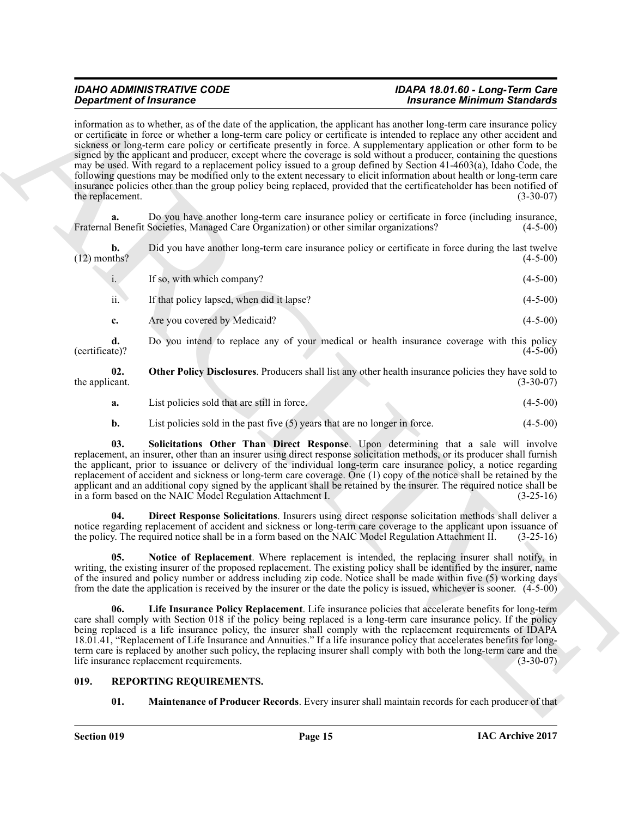**Experiment of Francesco Construction** is the total of the spheratos in the spheratos of the spheratos of the spheratos of the spheratos of the spheratos of the spheratos of the spheratos of the spheratos of the spheratos information as to whether, as of the date of the application, the applicant has another long-term care insurance policy or certificate in force or whether a long-term care policy or certificate is intended to replace any other accident and sickness or long-term care policy or certificate presently in force. A supplementary application or other form to be signed by the applicant and producer, except where the coverage is sold without a producer, containing the questions may be used. With regard to a replacement policy issued to a group defined by Section 41-4603(a), Idaho Code, the following questions may be modified only to the extent necessary to elicit information about health or long-term care insurance policies other than the group policy being replaced, provided that the certificateholder has been notified of the replacement.  $(3-30-07)$ 

**a.** Do you have another long-term care insurance policy or certificate in force (including insurance, Fraternal Benefit Societies, Managed Care Organization) or other similar organizations? (4-5-00)

| b.<br>$(12)$ months? | Did you have another long-term care insurance policy or certificate in force during the last twelve | $(4-5-00)$ |
|----------------------|-----------------------------------------------------------------------------------------------------|------------|
| $\mathbf{1}$ .       | If so, with which company?                                                                          | $(4-5-00)$ |
| ii.                  | If that policy lapsed, when did it lapse?                                                           | $(4-5-00)$ |

**c.** Are you covered by Medicaid? (4-5-00)

**d.** Do you intend to replace any of your medical or health insurance coverage with this policy (certificate)? (4-5-00)  $(\text{certificance})$ ? (4-5-00)

**02.** Other Policy Disclosures. Producers shall list any other health insurance policies they have sold to cant. (3-30-07) the applicant.

- <span id="page-14-5"></span>**a.** List policies sold that are still in force. (4-5-00)
- <span id="page-14-6"></span>**b.** List policies sold in the past five (5) years that are no longer in force. (4-5-00)

**03. Solicitations Other Than Direct Response**. Upon determining that a sale will involve replacement, an insurer, other than an insurer using direct response solicitation methods, or its producer shall furnish the applicant, prior to issuance or delivery of the individual long-term care insurance policy, a notice regarding replacement of accident and sickness or long-term care coverage. One (1) copy of the notice shall be retained by the applicant and an additional copy signed by the applicant shall be retained by the insurer. The required notice shall be in a form based on the NAIC Model Regulation Attachment I. (3-25-16)

<span id="page-14-2"></span>**Direct Response Solicitations**. Insurers using direct response solicitation methods shall deliver a notice regarding replacement of accident and sickness or long-term care coverage to the applicant upon issuance of the policy. The required notice shall be in a form based on the NAIC Model Regulation Attachment II. (3-25the policy. The required notice shall be in a form based on the NAIC Model Regulation Attachment II.

<span id="page-14-4"></span>**Notice of Replacement**. Where replacement is intended, the replacing insurer shall notify, in writing, the existing insurer of the proposed replacement. The existing policy shall be identified by the insurer, name of the insured and policy number or address including zip code. Notice shall be made within five (5) working days from the date the application is received by the insurer or the date the policy is issued, whichever is sooner. (4-5-00)

<span id="page-14-3"></span>**06. Life Insurance Policy Replacement**. Life insurance policies that accelerate benefits for long-term care shall comply with Section 018 if the policy being replaced is a long-term care insurance policy. If the policy being replaced is a life insurance policy, the insurer shall comply with the replacement requirements of IDAPA 18.01.41, "Replacement of Life Insurance and Annuities." If a life insurance policy that accelerates benefits for longterm care is replaced by another such policy, the replacing insurer shall comply with both the long-term care and the life insurance replacement requirements. (3-30-07)

### <span id="page-14-0"></span>**019. REPORTING REQUIREMENTS.**

<span id="page-14-1"></span>**01. Maintenance of Producer Records**. Every insurer shall maintain records for each producer of that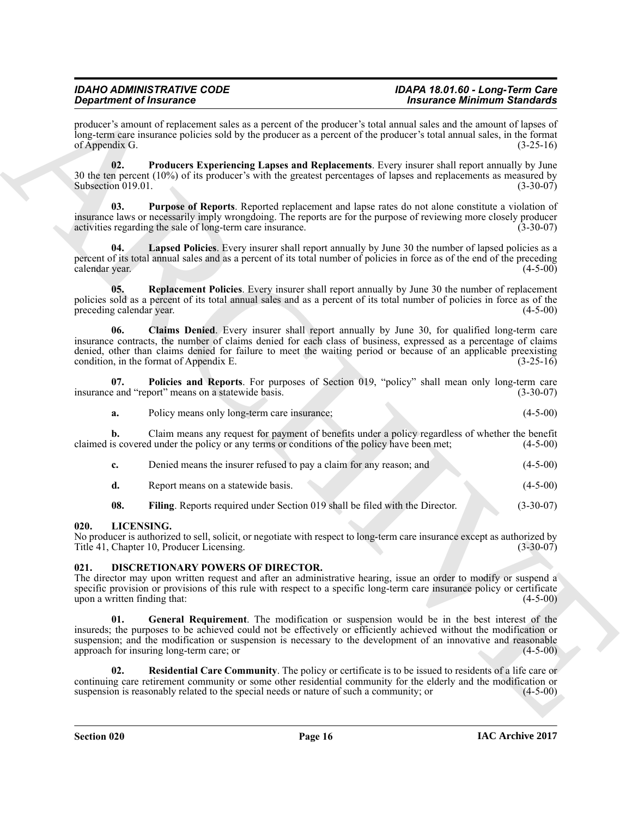producer's amount of replacement sales as a percent of the producer's total annual sales and the amount of lapses of long-term care insurance policies sold by the producer as a percent of the producer's total annual sales, in the format of Appendix G.  $(3-25-16)$ 

<span id="page-15-10"></span>**02. Producers Experiencing Lapses and Replacements**. Every insurer shall report annually by June 30 the ten percent (10%) of its producer's with the greatest percentages of lapses and replacements as measured by Subsection 019.01.  $(3-30-07)$ Subsection 019.01.

<span id="page-15-11"></span>**03. Purpose of Reports**. Reported replacement and lapse rates do not alone constitute a violation of insurance laws or necessarily imply wrongdoing. The reports are for the purpose of reviewing more closely producer activities regarding the sale of long-term care insurance. (3-30-07)

<span id="page-15-8"></span>**04. Lapsed Policies**. Every insurer shall report annually by June 30 the number of lapsed policies as a percent of its total annual sales and as a percent of its total number of policies in force as of the end of the preceding calendar year. (4-5-00)

<span id="page-15-12"></span>**05. Replacement Policies**. Every insurer shall report annually by June 30 the number of replacement policies sold as a percent of its total annual sales and as a percent of its total number of policies in force as of the preceding calendar year. (4-5-00)

<span id="page-15-6"></span>**06. Claims Denied**. Every insurer shall report annually by June 30, for qualified long-term care insurance contracts, the number of claims denied for each class of business, expressed as a percentage of claims denied, other than claims denied for failure to meet the waiting period or because of an applicable preexisting condition, in the format of Appendix E. (3-25-16)

**07.** Policies and Reports. For purposes of Section 019, "policy" shall mean only long-term care e and "report" means on a statewide basis. (3-30-07) insurance and "report" means on a statewide basis.

<span id="page-15-9"></span>**a.** Policy means only long-term care insurance; (4-5-00)

**b.** Claim means any request for payment of benefits under a policy regardless of whether the benefit is covered under the policy or any terms or conditions of the policy have been met; (4-5-00) claimed is covered under the policy or any terms or conditions of the policy have been met;

|  | Denied means the insurer refused to pay a claim for any reason; and | $(4-5-00)$ |
|--|---------------------------------------------------------------------|------------|
|--|---------------------------------------------------------------------|------------|

<span id="page-15-7"></span>

| Report means on a statewide basis. |  |  |  |  | $(4-5-00)$ |
|------------------------------------|--|--|--|--|------------|
|------------------------------------|--|--|--|--|------------|

<span id="page-15-5"></span>**08.** Filing. Reports required under Section 019 shall be filed with the Director. (3-30-07)

#### <span id="page-15-0"></span>**020. LICENSING.**

No producer is authorized to sell, solicit, or negotiate with respect to long-term care insurance except as authorized by<br>Title 41, Chapter 10, Producer Licensing. (3-30-07) Title 41, Chapter 10, Producer Licensing.

#### <span id="page-15-2"></span><span id="page-15-1"></span>**021. DISCRETIONARY POWERS OF DIRECTOR.**

<span id="page-15-3"></span>The director may upon written request and after an administrative hearing, issue an order to modify or suspend a specific provision or provisions of this rule with respect to a specific long-term care insurance policy or certificate<br>upon a written finding that: (4-5-00) upon a written finding that:

**Strainwhere of Francesco Constraines Construction** is the interaction of the strainwheat and strainwheat the strainwheat interaction of the strainwheat strainwheat the strainwheat the strainwheat strainwheat the strainwh **01. General Requirement**. The modification or suspension would be in the best interest of the insureds; the purposes to be achieved could not be effectively or efficiently achieved without the modification or suspension; and the modification or suspension is necessary to the development of an innovative and reasonable approach for insuring long-term care; or (4-5-00)  $(4-5-0)$ 

<span id="page-15-4"></span>**02. Residential Care Community**. The policy or certificate is to be issued to residents of a life care or continuing care retirement community or some other residential community for the elderly and the modification or suspension is reasonably related to the special needs or nature of such a community; or (4-5-00) suspension is reasonably related to the special needs or nature of such a community; or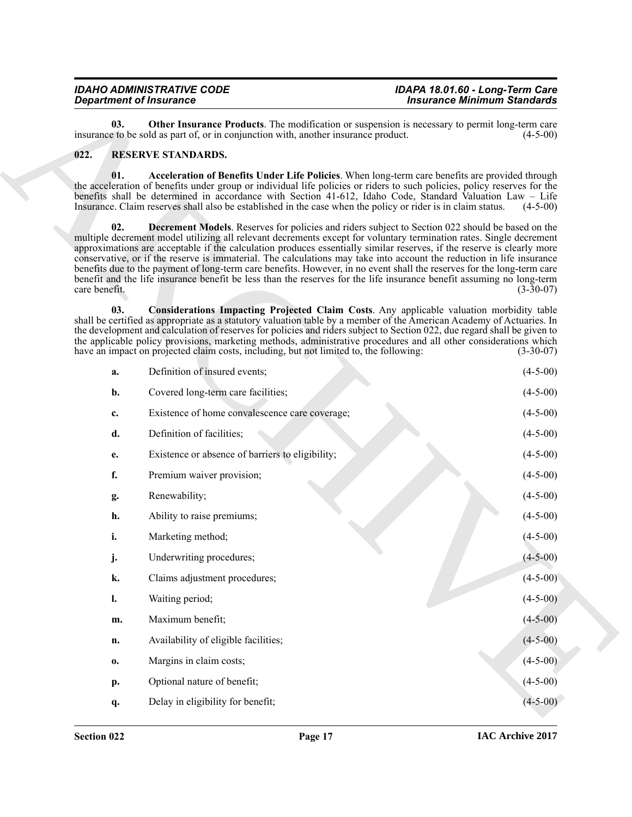<span id="page-16-1"></span>

| <b>IDAHO ADMINISTRATIVE CODE</b> | IDAPA 18.01.60 - Long-Term Care    |
|----------------------------------|------------------------------------|
| <b>Department of Insurance</b>   | <b>Insurance Minimum Standards</b> |

#### <span id="page-16-5"></span><span id="page-16-4"></span><span id="page-16-3"></span><span id="page-16-2"></span><span id="page-16-0"></span>**022. RESERVE STANDARDS.**

| <b>Department of Insurance</b> |                                                                                                                                                                                                                                                                                                                                                                                                                                                                                                                                                                                                                                                                                                                                       | <b>Insurance Minimum Standards</b> |  |
|--------------------------------|---------------------------------------------------------------------------------------------------------------------------------------------------------------------------------------------------------------------------------------------------------------------------------------------------------------------------------------------------------------------------------------------------------------------------------------------------------------------------------------------------------------------------------------------------------------------------------------------------------------------------------------------------------------------------------------------------------------------------------------|------------------------------------|--|
| 03.                            | <b>Other Insurance Products</b> . The modification or suspension is necessary to permit long-term care<br>insurance to be sold as part of, or in conjunction with, another insurance product.                                                                                                                                                                                                                                                                                                                                                                                                                                                                                                                                         | $(4-5-00)$                         |  |
| 022.                           | <b>RESERVE STANDARDS.</b>                                                                                                                                                                                                                                                                                                                                                                                                                                                                                                                                                                                                                                                                                                             |                                    |  |
| 01.                            | Acceleration of Benefits Under Life Policies. When long-term care benefits are provided through<br>the acceleration of benefits under group or individual life policies or riders to such policies, policy reserves for the<br>benefits shall be determined in accordance with Section 41-612, Idaho Code, Standard Valuation Law - Life<br>Insurance. Claim reserves shall also be established in the case when the policy or rider is in claim status.                                                                                                                                                                                                                                                                              | $(4-5-00)$                         |  |
| 02.<br>care benefit.           | <b>Decrement Models</b> . Reserves for policies and riders subject to Section 022 should be based on the<br>multiple decrement model utilizing all relevant decrements except for voluntary termination rates. Single decrement<br>approximations are acceptable if the calculation produces essentially similar reserves, if the reserve is clearly more<br>conservative, or if the reserve is immaterial. The calculations may take into account the reduction in life insurance<br>benefits due to the payment of long-term care benefits. However, in no event shall the reserves for the long-term care<br>benefit and the life insurance benefit be less than the reserves for the life insurance benefit assuming no long-term | $(3-30-07)$                        |  |
| 03.                            | Considerations Impacting Projected Claim Costs. Any applicable valuation morbidity table<br>shall be certified as appropriate as a statutory valuation table by a member of the American Academy of Actuaries. In<br>the development and calculation of reserves for policies and riders subject to Section 022, due regard shall be given to<br>the applicable policy provisions, marketing methods, administrative procedures and all other considerations which<br>have an impact on projected claim costs, including, but not limited to, the following:                                                                                                                                                                          | $(3-30-07)$                        |  |
| a.                             | Definition of insured events;                                                                                                                                                                                                                                                                                                                                                                                                                                                                                                                                                                                                                                                                                                         | $(4-5-00)$                         |  |
| b.                             | Covered long-term care facilities;                                                                                                                                                                                                                                                                                                                                                                                                                                                                                                                                                                                                                                                                                                    | $(4-5-00)$                         |  |
| c.                             | Existence of home convalescence care coverage;                                                                                                                                                                                                                                                                                                                                                                                                                                                                                                                                                                                                                                                                                        | $(4-5-00)$                         |  |
|                                |                                                                                                                                                                                                                                                                                                                                                                                                                                                                                                                                                                                                                                                                                                                                       |                                    |  |
| d.                             | Definition of facilities;                                                                                                                                                                                                                                                                                                                                                                                                                                                                                                                                                                                                                                                                                                             | $(4-5-00)$                         |  |
| e.                             | Existence or absence of barriers to eligibility;                                                                                                                                                                                                                                                                                                                                                                                                                                                                                                                                                                                                                                                                                      | $(4-5-00)$                         |  |
| f.                             | Premium waiver provision;                                                                                                                                                                                                                                                                                                                                                                                                                                                                                                                                                                                                                                                                                                             | $(4-5-00)$                         |  |
| g.                             | Renewability;                                                                                                                                                                                                                                                                                                                                                                                                                                                                                                                                                                                                                                                                                                                         | $(4-5-00)$                         |  |
| h.                             | Ability to raise premiums;                                                                                                                                                                                                                                                                                                                                                                                                                                                                                                                                                                                                                                                                                                            | $(4-5-00)$                         |  |
| i.                             | Marketing method;                                                                                                                                                                                                                                                                                                                                                                                                                                                                                                                                                                                                                                                                                                                     | $(4-5-00)$                         |  |
| j.                             | Underwriting procedures;                                                                                                                                                                                                                                                                                                                                                                                                                                                                                                                                                                                                                                                                                                              | $(4-5-00)$                         |  |
| k.                             | Claims adjustment procedures;                                                                                                                                                                                                                                                                                                                                                                                                                                                                                                                                                                                                                                                                                                         | $(4-5-00)$                         |  |
| $\mathbf{l}$ .                 | Waiting period;                                                                                                                                                                                                                                                                                                                                                                                                                                                                                                                                                                                                                                                                                                                       | $(4-5-00)$                         |  |
| m.                             | Maximum benefit;                                                                                                                                                                                                                                                                                                                                                                                                                                                                                                                                                                                                                                                                                                                      | $(4-5-00)$                         |  |
| n.                             | Availability of eligible facilities;                                                                                                                                                                                                                                                                                                                                                                                                                                                                                                                                                                                                                                                                                                  | $(4-5-00)$                         |  |
| $\mathbf{0}$                   | Margins in claim costs;                                                                                                                                                                                                                                                                                                                                                                                                                                                                                                                                                                                                                                                                                                               | $(4-5-00)$                         |  |
| p.                             | Optional nature of benefit;                                                                                                                                                                                                                                                                                                                                                                                                                                                                                                                                                                                                                                                                                                           | $(4-5-00)$                         |  |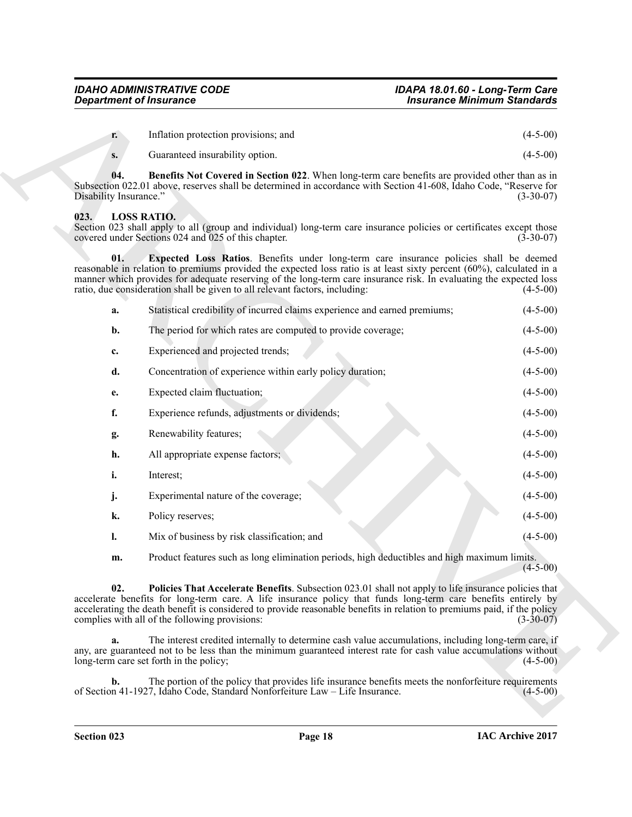<span id="page-17-4"></span>

| Inflation protection provisions; and | $(4-5-00)$ |
|--------------------------------------|------------|
| Guaranteed insurability option.      | $(4-5-00)$ |

### <span id="page-17-3"></span><span id="page-17-2"></span><span id="page-17-1"></span><span id="page-17-0"></span>**023. LOSS RATIO.**

|                               | <b>Department of Insurance</b>                                                                                                                                                                                                                                                                                                                                                                                      | <b>Insurance Minimum Standards</b> |
|-------------------------------|---------------------------------------------------------------------------------------------------------------------------------------------------------------------------------------------------------------------------------------------------------------------------------------------------------------------------------------------------------------------------------------------------------------------|------------------------------------|
| r.                            | Inflation protection provisions; and                                                                                                                                                                                                                                                                                                                                                                                | $(4-5-00)$                         |
| S.                            | Guaranteed insurability option.                                                                                                                                                                                                                                                                                                                                                                                     | $(4-5-00)$                         |
| 04.<br>Disability Insurance." | Benefits Not Covered in Section 022. When long-term care benefits are provided other than as in<br>Subsection 022.01 above, reserves shall be determined in accordance with Section 41-608, Idaho Code, "Reserve for                                                                                                                                                                                                | $(3-30-07)$                        |
| 023.                          | <b>LOSS RATIO.</b><br>Section 023 shall apply to all (group and individual) long-term care insurance policies or certificates except those<br>covered under Sections 024 and 025 of this chapter.                                                                                                                                                                                                                   | $(3-30-07)$                        |
| 01.                           | Expected Loss Ratios. Benefits under long-term care insurance policies shall be deemed<br>reasonable in relation to premiums provided the expected loss ratio is at least sixty percent (60%), calculated in a<br>manner which provides for adequate reserving of the long-term care insurance risk. In evaluating the expected loss<br>ratio, due consideration shall be given to all relevant factors, including: | $(4-5-00)$                         |
| a.                            | Statistical credibility of incurred claims experience and earned premiums;                                                                                                                                                                                                                                                                                                                                          | $(4-5-00)$                         |
| b.                            | The period for which rates are computed to provide coverage;                                                                                                                                                                                                                                                                                                                                                        | $(4-5-00)$                         |
| c.                            | Experienced and projected trends;                                                                                                                                                                                                                                                                                                                                                                                   | $(4-5-00)$                         |
| d.                            | Concentration of experience within early policy duration;                                                                                                                                                                                                                                                                                                                                                           | $(4-5-00)$                         |
| e.                            | Expected claim fluctuation;                                                                                                                                                                                                                                                                                                                                                                                         | $(4-5-00)$                         |
| f.                            | Experience refunds, adjustments or dividends;                                                                                                                                                                                                                                                                                                                                                                       | $(4-5-00)$                         |
| g.                            | Renewability features;                                                                                                                                                                                                                                                                                                                                                                                              | $(4-5-00)$                         |
| h.                            | All appropriate expense factors;                                                                                                                                                                                                                                                                                                                                                                                    | $(4-5-00)$                         |
| i.                            | Interest;                                                                                                                                                                                                                                                                                                                                                                                                           | $(4-5-00)$                         |
| j.                            | Experimental nature of the coverage;                                                                                                                                                                                                                                                                                                                                                                                | $(4-5-00)$                         |
| k.                            | Policy reserves;                                                                                                                                                                                                                                                                                                                                                                                                    | $(4-5-00)$                         |
| l.                            | Mix of business by risk classification; and                                                                                                                                                                                                                                                                                                                                                                         | $(4-5-00)$                         |
| m.                            | Product features such as long elimination periods, high deductibles and high maximum limits.                                                                                                                                                                                                                                                                                                                        | $(4-5-00)$                         |
| 02.                           | <b>Policies That Accelerate Benefits.</b> Subsection 023.01 shall not apply to life insurance policies that<br>accelerate benefits for long-term care. A life insurance policy that funds long-term care benefits entirely by<br>accelerating the death benefit is considered to provide reasonable benefits in relation to premiums paid, if the policy<br>complies with all of the following provisions:          | $(3-30-07)$                        |
| a.                            | The interest credited internally to determine cash value accumulations, including long-term care, if<br>any, are guaranteed not to be less than the minimum guaranteed interest rate for cash value accumulations without<br>long-term care set forth in the policy;                                                                                                                                                | $(4-5-00)$                         |
| b.                            | The portion of the policy that provides life insurance benefits meets the nonforfeiture requirements<br>of Section 41-1927, Idaho Code, Standard Nonforfeiture Law - Life Insurance.                                                                                                                                                                                                                                | $(4-5-00)$                         |
|                               |                                                                                                                                                                                                                                                                                                                                                                                                                     |                                    |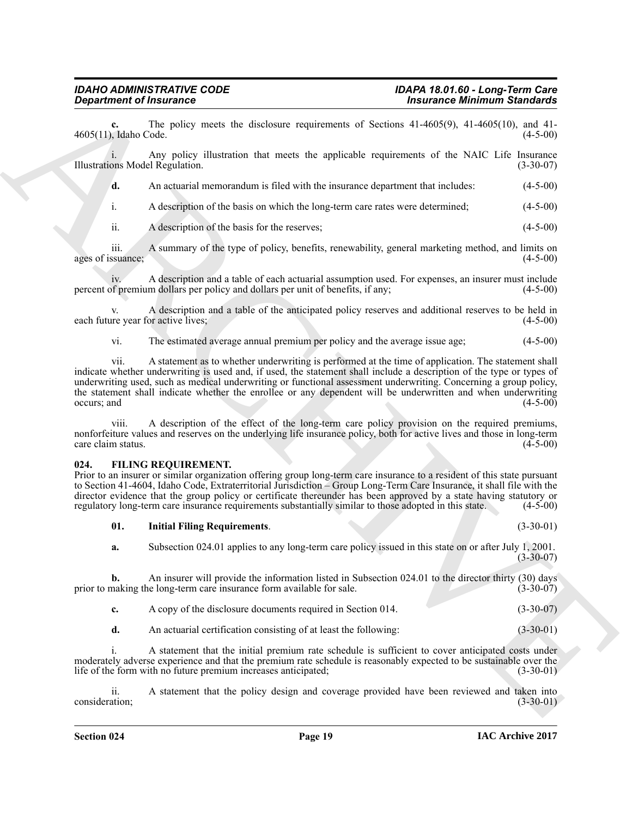**c.** The policy meets the disclosure requirements of Sections 41-4605(9), 41-4605(10), and 41-<br>daho Code. (4-5-00) 4605(11), Idaho Code.

i. Any policy illustration that meets the applicable requirements of the NAIC Life Insurance Illustrations Model Regulation. (3-30-07)

**d.** An actuarial memorandum is filed with the insurance department that includes: (4-5-00)

i. A description of the basis on which the long-term care rates were determined; (4-5-00)

ii. A description of the basis for the reserves; (4-5-00)

iii. A summary of the type of policy, benefits, renewability, general marketing method, and limits on ages of issuance;

iv. A description and a table of each actuarial assumption used. For expenses, an insurer must include of premium dollars per policy and dollars per unit of benefits, if any; percent of premium dollars per policy and dollars per unit of benefits, if any;

v. A description and a table of the anticipated policy reserves and additional reserves to be held in each future year for active lives;

vi. The estimated average annual premium per policy and the average issue age; (4-5-00)

**Equivalent of fractions:** Christmass Constitution Constitution Constitution ( $\frac{1}{2}$  ( $\frac{1}{2}$  ( $\frac{1}{2}$  ( $\frac{1}{2}$  ( $\frac{1}{2}$  ( $\frac{1}{2}$  ( $\frac{1}{2}$  ( $\frac{1}{2}$  ( $\frac{1}{2}$  ( $\frac{1}{2}$  ( $\frac{1}{2}$  ( $\frac{1}{2}$  ( $\frac{1}{2}$  ( vii. A statement as to whether underwriting is performed at the time of application. The statement shall indicate whether underwriting is used and, if used, the statement shall include a description of the type or types of underwriting used, such as medical underwriting or functional assessment underwriting. Concerning a group policy, the statement shall indicate whether the enrollee or any dependent will be underwritten and when underwriting occurs; and (4-5-00)  $\alpha$  occurs; and  $(4-5-00)$ 

viii. A description of the effect of the long-term care policy provision on the required premiums, nonforfeiture values and reserves on the underlying life insurance policy, both for active lives and those in long-term care claim status. (4-5-00) care claim status.

#### <span id="page-18-1"></span><span id="page-18-0"></span>**024. FILING REQUIREMENT.**

Prior to an insurer or similar organization offering group long-term care insurance to a resident of this state pursuant to Section 41-4604, Idaho Code, Extraterritorial Jurisdiction – Group Long-Term Care Insurance, it shall file with the director evidence that the group policy or certificate thereunder has been approved by a state having statutory or regulatory long-term care insurance requirements substantially similar to those adopted in this state. (4-5 regulatory long-term care insurance requirements substantially similar to those adopted in this state.

<span id="page-18-2"></span>**01. Initial Filing Requirements**. (3-30-01)

**a.** Subsection 024.01 applies to any long-term care policy issued in this state on or after July 1, 2001.  $(3-30-07)$ 

**b.** An insurer will provide the information listed in Subsection 024.01 to the director thirty (30) days making the long-term care insurance form available for sale. (3-30-07) prior to making the long-term care insurance form available for sale.

- **c.** A copy of the disclosure documents required in Section 014. (3-30-07)
- **d.** An actuarial certification consisting of at least the following: (3-30-01)

i. A statement that the initial premium rate schedule is sufficient to cover anticipated costs under moderately adverse experience and that the premium rate schedule is reasonably expected to be sustainable over the life of the form with no future premium increases anticipated; (3-30-01)

ii. A statement that the policy design and coverage provided have been reviewed and taken into (3-30-01) consideration;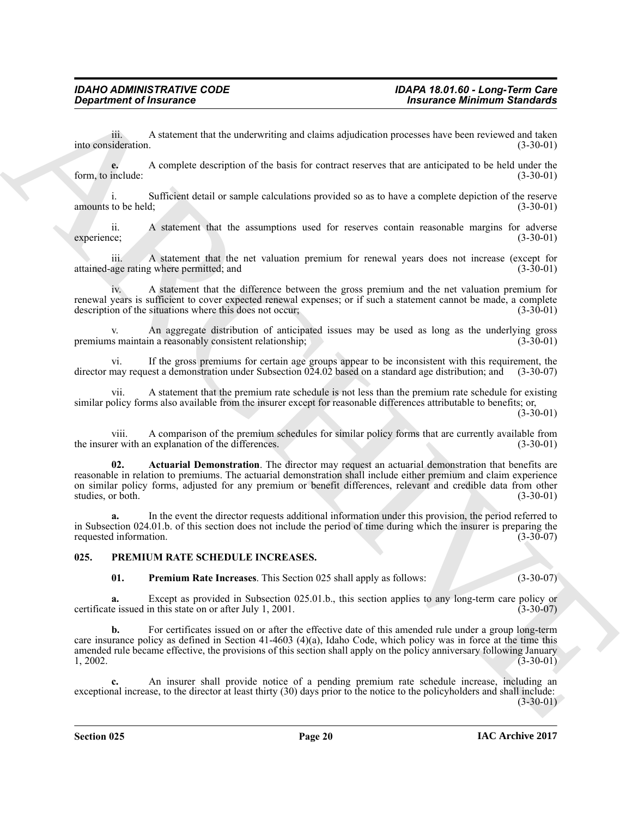iii. A statement that the underwriting and claims adjudication processes have been reviewed and taken<br>(3-30-01)<br>(3-30-01) into consideration.

**e.** A complete description of the basis for contract reserves that are anticipated to be held under the include:  $(3-30-01)$ form, to include:

i. Sufficient detail or sample calculations provided so as to have a complete depiction of the reserve amounts to be held; (3-30-01)

ii. A statement that the assumptions used for reserves contain reasonable margins for adverse ee; experience; (3-30-01)

A statement that the net valuation premium for renewal years does not increase (except for attained-age rating where permitted; and (3-30-01)

iv. A statement that the difference between the gross premium and the net valuation premium for renewal years is sufficient to cover expected renewal expenses; or if such a statement cannot be made, a complete description of the situations where this does not occur; (3-30-01)

An aggregate distribution of anticipated issues may be used as long as the underlying gross in a reasonably consistent relationship; premiums maintain a reasonably consistent relationship;

vi. If the gross premiums for certain age groups appear to be inconsistent with this requirement, the director may request a demonstration under Subsection 024.02 based on a standard age distribution; and (3-30-07)

vii. A statement that the premium rate schedule is not less than the premium rate schedule for existing similar policy forms also available from the insurer except for reasonable differences attributable to benefits; or,  $(3-30-01)$ 

viii. A comparison of the premium schedules for similar policy forms that are currently available from the insurer with an explanation of the differences.

<span id="page-19-1"></span>**02. Actuarial Demonstration**. The director may request an actuarial demonstration that benefits are reasonable in relation to premiums. The actuarial demonstration shall include either premium and claim experience on similar policy forms, adjusted for any premium or benefit differences, relevant and credible data from other studies, or both. (3-30-01)

**a.** In the event the director requests additional information under this provision, the period referred to in Subsection 024.01.b. of this section does not include the period of time during which the insurer is preparing the requested information.

#### <span id="page-19-0"></span>**025. PREMIUM RATE SCHEDULE INCREASES.**

<span id="page-19-3"></span><span id="page-19-2"></span>**01. Premium Rate Increases**. This Section 025 shall apply as follows: (3-30-07)

**a.** Except as provided in Subsection 025.01.b., this section applies to any long-term care policy or certificate issued in this state on or after July 1, 2001. (3-30-07)

**Consideration of fractaments** and the university and claim adjustable and secure these best necessarily distributed in the second of the basis in equation of the basis of the second in the second in the second in the sec **b.** For certificates issued on or after the effective date of this amended rule under a group long-term care insurance policy as defined in Section 41-4603 (4)(a), Idaho Code, which policy was in force at the time this amended rule became effective, the provisions of this section shall apply on the policy anniversary following January 1, 2002. (3-30-01)  $1, 2002.$  (3-30-01)

**c.** An insurer shall provide notice of a pending premium rate schedule increase, including an exceptional increase, to the director at least thirty (30) days prior to the notice to the policyholders and shall include:

 $(3-30-01)$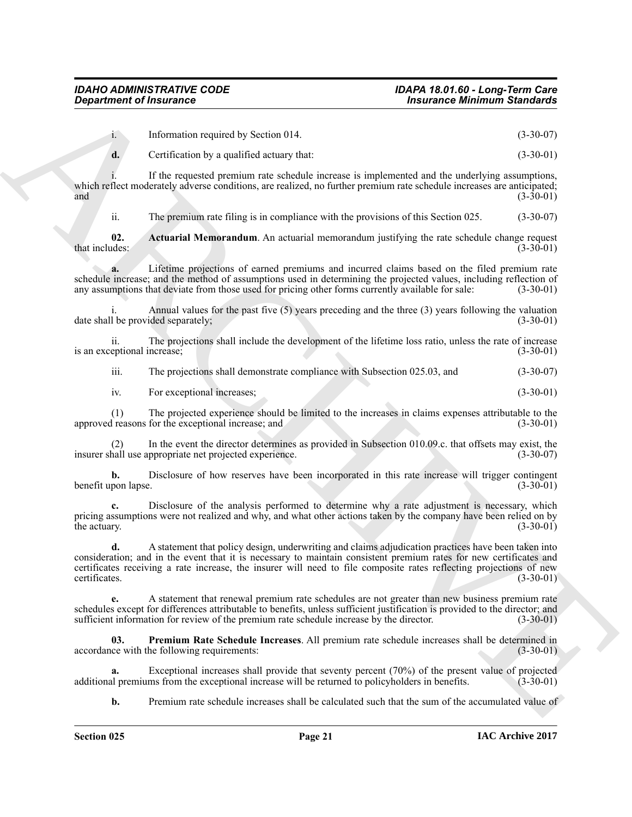i. Information required by Section 014. (3-30-07)

**d.** Certification by a qualified actuary that: (3-30-01)

If the requested premium rate schedule increase is implemented and the underlying assumptions, which reflect moderately adverse conditions, are realized, no further premium rate schedule increases are anticipated;<br>(3-30-01) and  $(3-30-01)$ 

<span id="page-20-0"></span>ii. The premium rate filing is in compliance with the provisions of this Section 025. (3-30-07)

**02.** Actuarial Memorandum. An actuarial memorandum justifying the rate schedule change request that includes: (3-30-01) that includes:  $(3-30-01)$ 

**a.** Lifetime projections of earned premiums and incurred claims based on the filed premium rate schedule increase; and the method of assumptions used in determining the projected values, including reflection of any assumptions that deviate from those used for pricing other forms currently available for sale: (3-30-01 any assumptions that deviate from those used for pricing other forms currently available for sale:

Annual values for the past five (5) years preceding and the three (3) years following the valuation ided separately:  $(3-30-01)$ date shall be provided separately;

ii. The projections shall include the development of the lifetime loss ratio, unless the rate of increase is an exceptional increase;

iii. The projections shall demonstrate compliance with Subsection 025.03, and (3-30-07)

iv. For exceptional increases; (3-30-01)

(1) The projected experience should be limited to the increases in claims expenses attributable to the approved reasons for the exceptional increase; and

(2) In the event the director determines as provided in Subsection 010.09.c. that offsets may exist, the insurer shall use appropriate net projected experience.

**b.** Disclosure of how reserves have been incorporated in this rate increase will trigger contingent pon lapse.  $(3-30-01)$ benefit upon lapse.

**c.** Disclosure of the analysis performed to determine why a rate adjustment is necessary, which pricing assumptions were not realized and why, and what other actions taken by the company have been relied on by the actuary. (3-30-01) the actuary.  $(3-30-01)$ 

**Considerable throusance Constraints and Constraint Constraint Constraint Constraint Constraint Constraint Constraint Constraint Constraint Constraint Constraint Constraint Constraint Constraint Constraint Constraint Cons d.** A statement that policy design, underwriting and claims adjudication practices have been taken into consideration; and in the event that it is necessary to maintain consistent premium rates for new certificates and certificates receiving a rate increase, the insurer will need to file composite rates reflecting projections of new certificates. (3-30-01)

**e.** A statement that renewal premium rate schedules are not greater than new business premium rate schedules except for differences attributable to benefits, unless sufficient justification is provided to the director; and sufficient information for review of the premium rate schedule increase by the director. (3-30-01) sufficient information for review of the premium rate schedule increase by the director.

<span id="page-20-1"></span>**03. Premium Rate Schedule Increases**. All premium rate schedule increases shall be determined in accordance with the following requirements: (3-30-01)

**a.** Exceptional increases shall provide that seventy percent (70%) of the present value of projected in premiums from the exceptional increase will be returned to policyholders in benefits. (3-30-01) additional premiums from the exceptional increase will be returned to policyholders in benefits.

**b.** Premium rate schedule increases shall be calculated such that the sum of the accumulated value of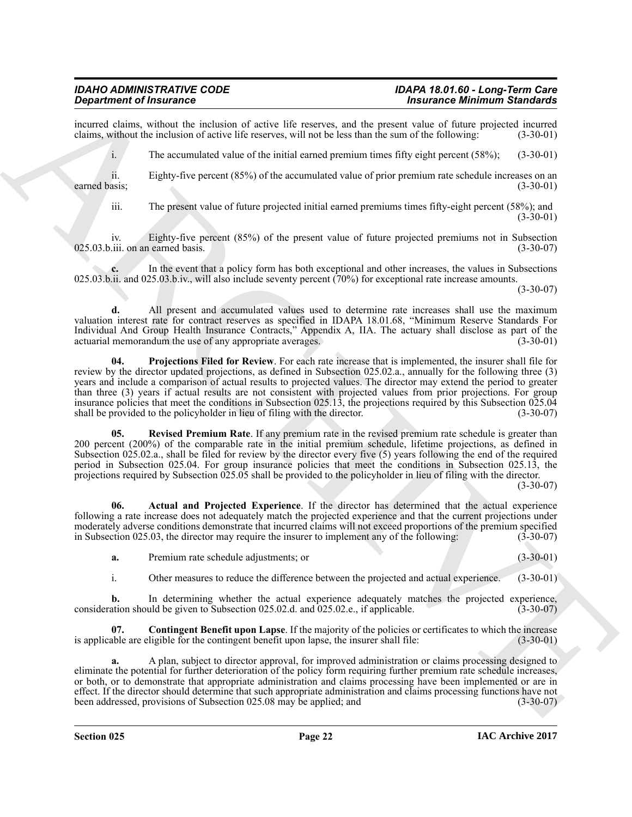incurred claims, without the inclusion of active life reserves, and the present value of future projected incurred claims, without the inclusion of active life reserves, will not be less than the sum of the following: (3-3 claims, without the inclusion of active life reserves, will not be less than the sum of the following:

i. The accumulated value of the initial earned premium times fifty eight percent (58%); (3-30-01)

ii. Eighty-five percent (85%) of the accumulated value of prior premium rate schedule increases on an earned basis; (3-30-01)

iii. The present value of future projected initial earned premiums times fifty-eight percent (58%); and  $(3-30-01)$ 

iv. Eighty-five percent (85%) of the present value of future projected premiums not in Subsection 025.03.b.iii. on an earned basis.

**c.** In the event that a policy form has both exceptional and other increases, the values in Subsections 025.03.b.ii. and 025.03.b.iv., will also include seventy percent (70%) for exceptional rate increase amounts.

(3-30-07)

<span id="page-21-2"></span>**d.** All present and accumulated values used to determine rate increases shall use the maximum valuation interest rate for contract reserves as specified in IDAPA 18.01.68, "Minimum Reserve Standards For Individual And Group Health Insurance Contracts," Appendix A, IIA. The actuary shall disclose as part of the actuarial memorandum the use of any appropriate averages. (3-30-01) actuarial memorandum the use of any appropriate averages.

**Signalize of Hannoveck** Constrained Return Lie and the property and the property of the property of the symphony of the symphony of the symphony of the symphony of the symphony of the symphony of the symphony of the symp **04. Projections Filed for Review**. For each rate increase that is implemented, the insurer shall file for review by the director updated projections, as defined in Subsection 025.02.a., annually for the following three (3) years and include a comparison of actual results to projected values. The director may extend the period to greater than three (3) years if actual results are not consistent with projected values from prior projections. For group insurance policies that meet the conditions in Subsection 025.13, the projections required by this Subsection 025.04 shall be provided to the policyholder in lieu of filing with the director. (3-30-07)

<span id="page-21-3"></span>**05. Revised Premium Rate**. If any premium rate in the revised premium rate schedule is greater than 200 percent (200%) of the comparable rate in the initial premium schedule, lifetime projections, as defined in Subsection 025.02.a., shall be filed for review by the director every five (5) years following the end of the required period in Subsection 025.04. For group insurance policies that meet the conditions in Subsection 025.13, the projections required by Subsection 025.05 shall be provided to the policyholder in lieu of filing with the director.

 $(3-30-07)$ 

**06. Actual and Projected Experience**. If the director has determined that the actual experience following a rate increase does not adequately match the projected experience and that the current projections under moderately adverse conditions demonstrate that incurred claims will not exceed proportions of the premium specified<br>in Subsection 025.03, the director may require the insurer to implement any of the following: (3-30-07) in Subsection 025.03, the director may require the insurer to implement any of the following:

<span id="page-21-0"></span>**a.** Premium rate schedule adjustments; or (3-30-01)

<span id="page-21-1"></span>i. Other measures to reduce the difference between the projected and actual experience. (3-30-01)

**b.** In determining whether the actual experience adequately matches the projected experience, consideration should be given to Subsection 025.02.d. and 025.02.e., if applicable. (3-30-07)

**Contingent Benefit upon Lapse**. If the majority of the policies or certificates to which the increase ligible for the contingent benefit upon lapse, the insurer shall file: (3-30-01) is applicable are eligible for the contingent benefit upon lapse, the insurer shall file:

**a.** A plan, subject to director approval, for improved administration or claims processing designed to eliminate the potential for further deterioration of the policy form requiring further premium rate schedule increases, or both, or to demonstrate that appropriate administration and claims processing have been implemented or are in effect. If the director should determine that such appropriate administration and claims processing functions have not been addressed, provisions of Subsection 025.08 may be applied; and (3-30-07) been addressed, provisions of Subsection 025.08 may be applied; and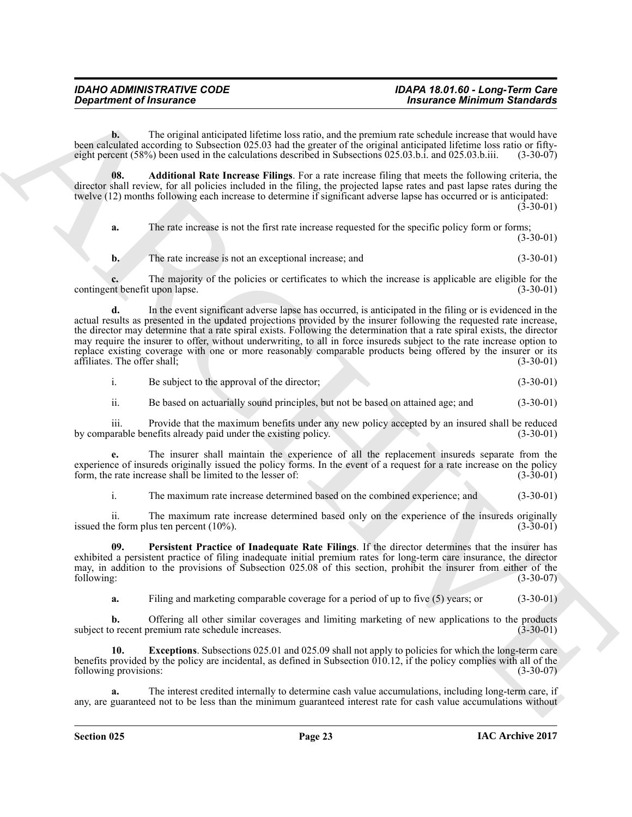#### *IDAHO ADMINISTRATIVE CODE IDAPA 18.01.60 - Long-Term Care Department of Insurance Insurance Minimum Standards*

**b.** The original anticipated lifetime loss ratio, and the premium rate schedule increase that would have been calculated according to Subsection 025.03 had the greater of the original anticipated lifetime loss ratio or fifty-<br>eight percent (58%) been used in the calculations described in Subsections 025.03.b.i. and 025.03.b.i eight percent  $(58%)$  been used in the calculations described in Subsections 025.03.b.i. and 025.03.b.iii.

**08. Additional Rate Increase Filings**. For a rate increase filing that meets the following criteria, the director shall review, for all policies included in the filing, the projected lapse rates and past lapse rates during the twelve (12) months following each increase to determine if significant adverse lapse has occurred or is anticipated:

(3-30-01)

<span id="page-22-0"></span>**a.** The rate increase is not the first rate increase requested for the specific policy form or forms;  $(3-30-01)$ **b.** The rate increase is not an exceptional increase; and  $(3-30-01)$ 

**c.** The majority of the policies or certificates to which the increase is applicable are eligible for the interestion and the increase is applicable are eligible for the the therefit upon lapse. contingent benefit upon lapse.

**Expansion of Fraumatics**<br>
Some affective material antiques and the measure of the commute system and system and system and system and system and system and system and system and system and system and system and system an **d.** In the event significant adverse lapse has occurred, is anticipated in the filing or is evidenced in the actual results as presented in the updated projections provided by the insurer following the requested rate increase, the director may determine that a rate spiral exists. Following the determination that a rate spiral exists, the director may require the insurer to offer, without underwriting, to all in force insureds subject to the rate increase option to replace existing coverage with one or more reasonably comparable products being offered by the insurer or its affiliates. The offer shall; (3-30-01) affiliates. The offer shall; (3-30-01)

i. Be subject to the approval of the director; (3-30-01)

ii. Be based on actuarially sound principles, but not be based on attained age; and (3-30-01)

iii. Provide that the maximum benefits under any new policy accepted by an insured shall be reduced arable benefits already paid under the existing policy. (3-30-01) by comparable benefits already paid under the existing policy.

**e.** The insurer shall maintain the experience of all the replacement insureds separate from the experience of insureds originally issued the policy forms. In the event of a request for a rate increase on the policy form, the rate increase shall be limited to the lesser of: (3-30-01) form, the rate increase shall be limited to the lesser of:

<span id="page-22-2"></span>i. The maximum rate increase determined based on the combined experience; and (3-30-01)

ii. The maximum rate increase determined based only on the experience of the insureds originally e form plus ten percent  $(10\%)$ . issued the form plus ten percent  $(10\%)$ .

**09. Persistent Practice of Inadequate Rate Filings**. If the director determines that the insurer has exhibited a persistent practice of filing inadequate initial premium rates for long-term care insurance, the director may, in addition to the provisions of Subsection 025.08 of this section, prohibit the insurer from either of the following: (3-30-07) following: (3-30-07)

<span id="page-22-1"></span>**a.** Filing and marketing comparable coverage for a period of up to five (5) years; or (3-30-01)

**b.** Offering all other similar coverages and limiting marketing of new applications to the products o recent premium rate schedule increases. (3-30-01) subject to recent premium rate schedule increases.

**Exceptions**. Subsections 025.01 and 025.09 shall not apply to policies for which the long-term care benefits provided by the policy are incidental, as defined in Subsection  $\hat{010.12}$ , if the policy complies with all of the following provisions: (3-30-07) (3-30-07)

**a.** The interest credited internally to determine cash value accumulations, including long-term care, if any, are guaranteed not to be less than the minimum guaranteed interest rate for cash value accumulations without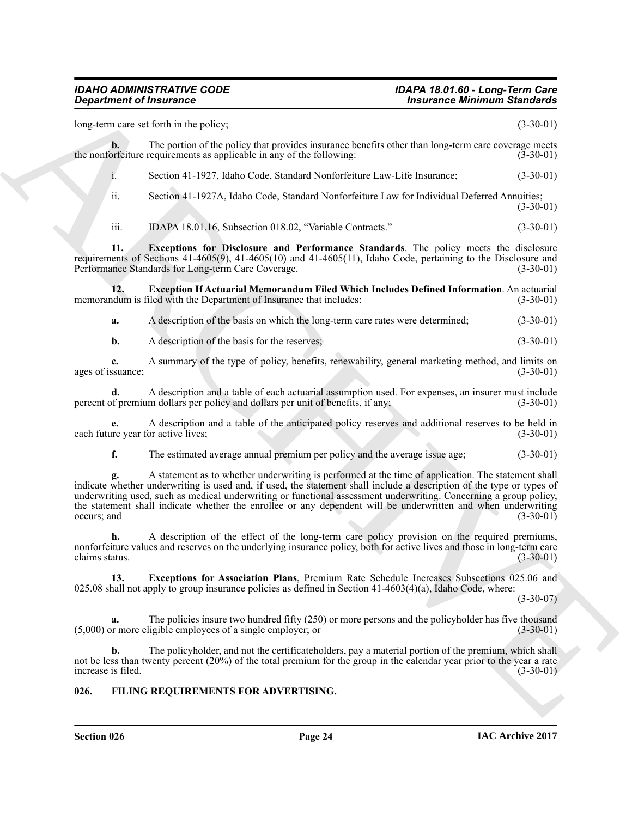<span id="page-23-4"></span><span id="page-23-2"></span>**Considerable of Friedmann Constraint Constraint Constraint Constraint Constraint Constraint Constraint Constraint Constraint Constraint Constraint Constraint Constraint Constraint Constraint Constraint Constraint Constra** long-term care set forth in the policy; (3-30-01) **b.** The portion of the policy that provides insurance benefits other than long-term care coverage meets or feiture requirements as applicable in any of the following: (3-30-01) the nonforfeiture requirements as applicable in any of the following: i. Section 41-1927, Idaho Code, Standard Nonforfeiture Law-Life Insurance; (3-30-01) ii. Section 41-1927A, Idaho Code, Standard Nonforfeiture Law for Individual Deferred Annuities; (3-30-01) iii. IDAPA 18.01.16, Subsection 018.02, "Variable Contracts." (3-30-01) **11. Exceptions for Disclosure and Performance Standards**. The policy meets the disclosure requirements of Sections 41-4605(9), 41-4605(10) and 41-4605(11), Idaho Code, pertaining to the Disclosure and Performance Standards for Long-term Care Coverage. (3-30-01) **12. Exception If Actuarial Memorandum Filed Which Includes Defined Information**. An actuarial ndum is filed with the Department of Insurance that includes: (3-30-01) memorandum is filed with the Department of Insurance that includes: **a.** A description of the basis on which the long-term care rates were determined;  $(3-30-01)$ **b.** A description of the basis for the reserves; (3-30-01) **c.** A summary of the type of policy, benefits, renewability, general marketing method, and limits on ages of issuance; (3-30-01) **d.** A description and a table of each actuarial assumption used. For expenses, an insurer must include of premium dollars per policy and dollars per unit of benefits, if any; (3-30-01) percent of premium dollars per policy and dollars per unit of benefits, if any; **e.** A description and a table of the anticipated policy reserves and additional reserves to be held in each future year for active lives; **f.** The estimated average annual premium per policy and the average issue age;  $(3-30-01)$ **g.** A statement as to whether underwriting is performed at the time of application. The statement shall indicate whether underwriting is used and, if used, the statement shall include a description of the type or types of underwriting used, such as medical underwriting or functional assessment underwriting. Concerning a group policy, the statement shall indicate whether the enrollee or any dependent will be underwritten and when underwriting occurs; and  $(3-30-01)$ occurs; and  $(3-30-01)$ **h.** A description of the effect of the long-term care policy provision on the required premiums, nonforfeiture values and reserves on the underlying insurance policy, both for active lives and those in long-term care claims status.  $(3-30-01)$ **13. Exceptions for Association Plans**, Premium Rate Schedule Increases Subsections 025.06 and 025.08 shall not apply to group insurance policies as defined in Section 41-4603(4)(a), Idaho Code, where: (3-30-07) **a.** The policies insure two hundred fifty (250) or more persons and the policyholder has five thousand or more eligible employees of a single employer; or  $(5,000)$  or more eligible employees of a single employer; or **b.** The policyholder, and not the certificateholders, pay a material portion of the premium, which shall not be less than twenty percent (20%) of the total premium for the group in the calendar year prior to the year a rate<br>(3-30-01)<br>(3-30-01)

#### <span id="page-23-1"></span><span id="page-23-0"></span>**026. FILING REQUIREMENTS FOR ADVERTISING.**

<span id="page-23-3"></span>increase is filed.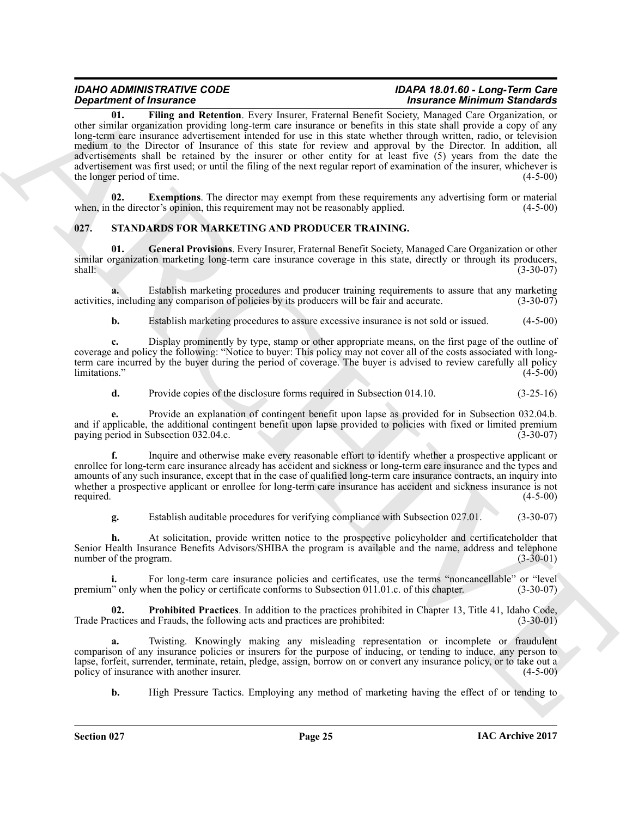**Structure of Huatrosian Structure 11 Theoretical Constraints (See Structure 2014) and the structure of the structure of the structure of the structure of the structure of the structure of the structure of the structure o 01. Filing and Retention**. Every Insurer, Fraternal Benefit Society, Managed Care Organization, or other similar organization providing long-term care insurance or benefits in this state shall provide a copy of any long-term care insurance advertisement intended for use in this state whether through written, radio, or television medium to the Director of Insurance of this state for review and approval by the Director. In addition, all advertisements shall be retained by the insurer or other entity for at least five (5) years from the date the advertisement was first used; or until the filing of the next regular report of examination of the insurer, whichever is the longer period of time. (4-5-00) the longer period of time.

<span id="page-24-2"></span><span id="page-24-1"></span>**02.** Exemptions. The director may exempt from these requirements any advertising form or material the director's opinion, this requirement may not be reasonably applied. (4-5-00) when, in the director's opinion, this requirement may not be reasonably applied.

#### <span id="page-24-3"></span><span id="page-24-0"></span>**027. STANDARDS FOR MARKETING AND PRODUCER TRAINING.**

<span id="page-24-4"></span>**01. General Provisions**. Every Insurer, Fraternal Benefit Society, Managed Care Organization or other similar organization marketing long-term care insurance coverage in this state, directly or through its producers, shall: (3-30-07)

**a.** Establish marketing procedures and producer training requirements to assure that any marketing including any comparison of policies by its producers will be fair and accurate.  $(3-30-07)$ activities, including any comparison of policies by its producers will be fair and accurate.

**b.** Establish marketing procedures to assure excessive insurance is not sold or issued.  $(4-5-00)$ 

**c.** Display prominently by type, stamp or other appropriate means, on the first page of the outline of coverage and policy the following: "Notice to buyer: This policy may not cover all of the costs associated with longterm care incurred by the buyer during the period of coverage. The buyer is advised to review carefully all policy limitations." (4-5-00)

**d.** Provide copies of the disclosure forms required in Subsection 014.10. (3-25-16)

**e.** Provide an explanation of contingent benefit upon lapse as provided for in Subsection 032.04.b. and if applicable, the additional contingent benefit upon lapse provided to policies with fixed or limited premium<br>paying period in Subsection 032.04.c. paying period in Subsection 032.04.c.

**f.** Inquire and otherwise make every reasonable effort to identify whether a prospective applicant or enrollee for long-term care insurance already has accident and sickness or long-term care insurance and the types and amounts of any such insurance, except that in the case of qualified long-term care insurance contracts, an inquiry into whether a prospective applicant or enrollee for long-term care insurance has accident and sickness insurance is not required. (4-5-00) required.  $(4-5-00)$ 

**g.** Establish auditable procedures for verifying compliance with Subsection 027.01. (3-30-07)

**h.** At solicitation, provide written notice to the prospective policyholder and certificateholder that Senior Health Insurance Benefits Advisors/SHIBA the program is available and the name, address and telephone number of the program. (3-30-01) number of the program.

For long-term care insurance policies and certificates, use the terms "noncancellable" or "level<br>hen the policy or certificate conforms to Subsection 011.01.c. of this chapter. (3-30-07) premium" only when the policy or certificate conforms to Subsection 011.01.c. of this chapter.

<span id="page-24-5"></span>**02. Prohibited Practices**. In addition to the practices prohibited in Chapter 13, Title 41, Idaho Code, actices and Frauds, the following acts and practices are prohibited: (3-30-01) Trade Practices and Frauds, the following acts and practices are prohibited:

**a.** Twisting. Knowingly making any misleading representation or incomplete or fraudulent comparison of any insurance policies or insurers for the purpose of inducing, or tending to induce, any person to lapse, forfeit, surrender, terminate, retain, pledge, assign, borrow on or convert any insurance policy, or to take out a policy of insurance with another insurer. (4-5-00)

**b.** High Pressure Tactics. Employing any method of marketing having the effect of or tending to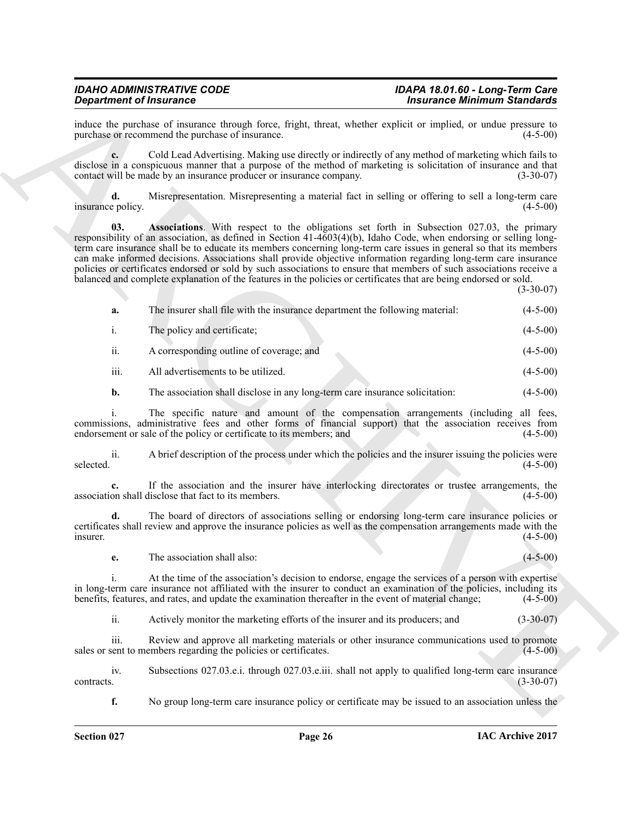## <span id="page-25-0"></span>*IDAHO ADMINISTRATIVE CODE IDAPA 18.01.60 - Long-Term Care*

## **Insurance Minimum Standards**

| <b>Department of Insurance</b>                                                                                                                                                                                                                                                                                                                                                                                                                                                                                                                                                                                                                                                                                            | <b>Insurance Minimum Standards</b>                                                                 |
|---------------------------------------------------------------------------------------------------------------------------------------------------------------------------------------------------------------------------------------------------------------------------------------------------------------------------------------------------------------------------------------------------------------------------------------------------------------------------------------------------------------------------------------------------------------------------------------------------------------------------------------------------------------------------------------------------------------------------|----------------------------------------------------------------------------------------------------|
| induce the purchase of insurance through force, fright, threat, whether explicit or implied, or undue pressure to<br>purchase or recommend the purchase of insurance.                                                                                                                                                                                                                                                                                                                                                                                                                                                                                                                                                     | $(4-5-00)$                                                                                         |
| Cold Lead Advertising. Making use directly or indirectly of any method of marketing which fails to<br>disclose in a conspicuous manner that a purpose of the method of marketing is solicitation of insurance and that<br>contact will be made by an insurance producer or insurance company.                                                                                                                                                                                                                                                                                                                                                                                                                             | $(3-30-07)$                                                                                        |
| Misrepresentation. Misrepresenting a material fact in selling or offering to sell a long-term care<br>d.<br>insurance policy.                                                                                                                                                                                                                                                                                                                                                                                                                                                                                                                                                                                             | $(4-5-00)$                                                                                         |
| <b>Associations.</b> With respect to the obligations set forth in Subsection 027.03, the primary<br>03.<br>responsibility of an association, as defined in Section $41-4603(4)(b)$ , Idaho Code, when endorsing or selling long-<br>term care insurance shall be to educate its members concerning long-term care issues in general so that its members<br>can make informed decisions. Associations shall provide objective information regarding long-term care insurance<br>policies or certificates endorsed or sold by such associations to ensure that members of such associations receive a<br>balanced and complete explanation of the features in the policies or certificates that are being endorsed or sold. | $(3-30-07)$                                                                                        |
| The insurer shall file with the insurance department the following material:<br>a.                                                                                                                                                                                                                                                                                                                                                                                                                                                                                                                                                                                                                                        | $(4-5-00)$                                                                                         |
| The policy and certificate;<br>$\mathbf{i}$ .                                                                                                                                                                                                                                                                                                                                                                                                                                                                                                                                                                                                                                                                             | $(4-5-00)$                                                                                         |
| ii.<br>A corresponding outline of coverage; and                                                                                                                                                                                                                                                                                                                                                                                                                                                                                                                                                                                                                                                                           | $(4-5-00)$                                                                                         |
| iii.<br>All advertisements to be utilized.                                                                                                                                                                                                                                                                                                                                                                                                                                                                                                                                                                                                                                                                                | $(4-5-00)$                                                                                         |
| The association shall disclose in any long-term care insurance solicitation:<br>b.                                                                                                                                                                                                                                                                                                                                                                                                                                                                                                                                                                                                                                        | $(4-5-00)$                                                                                         |
| The specific nature and amount of the compensation arrangements (including all fees,<br>commissions, administrative fees and other forms of financial support) that the association receives from<br>endorsement or sale of the policy or certificate to its members; and                                                                                                                                                                                                                                                                                                                                                                                                                                                 | $(4-5-00)$                                                                                         |
| A brief description of the process under which the policies and the insurer issuing the policies were<br>ii.<br>selected.                                                                                                                                                                                                                                                                                                                                                                                                                                                                                                                                                                                                 | $(4-5-00)$                                                                                         |
| If the association and the insurer have interlocking directorates or trustee arrangements, the<br>association shall disclose that fact to its members.                                                                                                                                                                                                                                                                                                                                                                                                                                                                                                                                                                    | $(4-5-00)$                                                                                         |
| The board of directors of associations selling or endorsing long-term care insurance policies or<br>d.<br>certificates shall review and approve the insurance policies as well as the compensation arrangements made with the<br>insurer.                                                                                                                                                                                                                                                                                                                                                                                                                                                                                 | $(4-5-00)$                                                                                         |
| The association shall also:<br>e.                                                                                                                                                                                                                                                                                                                                                                                                                                                                                                                                                                                                                                                                                         | $(4 - 5 - 00)$                                                                                     |
| At the time of the association's decision to endorse, engage the services of a person with expertise<br>i.<br>in long-term care insurance not affiliated with the insurer to conduct an examination of the policies, including its<br>benefits, features, and rates, and update the examination thereafter in the event of material change;                                                                                                                                                                                                                                                                                                                                                                               | $(4-5-00)$                                                                                         |
| ii.<br>Actively monitor the marketing efforts of the insurer and its producers; and                                                                                                                                                                                                                                                                                                                                                                                                                                                                                                                                                                                                                                       | $(3-30-07)$                                                                                        |
| iii.<br>Review and approve all marketing materials or other insurance communications used to promote<br>sales or sent to members regarding the policies or certificates.                                                                                                                                                                                                                                                                                                                                                                                                                                                                                                                                                  | $(4-5-00)$                                                                                         |
| Subsections 027.03.e.i. through 027.03.e.iii. shall not apply to qualified long-term care insurance<br>iv.<br>contracts.                                                                                                                                                                                                                                                                                                                                                                                                                                                                                                                                                                                                  | $(3-30-07)$                                                                                        |
| f.                                                                                                                                                                                                                                                                                                                                                                                                                                                                                                                                                                                                                                                                                                                        | No group long-term care insurance policy or certificate may be issued to an association unless the |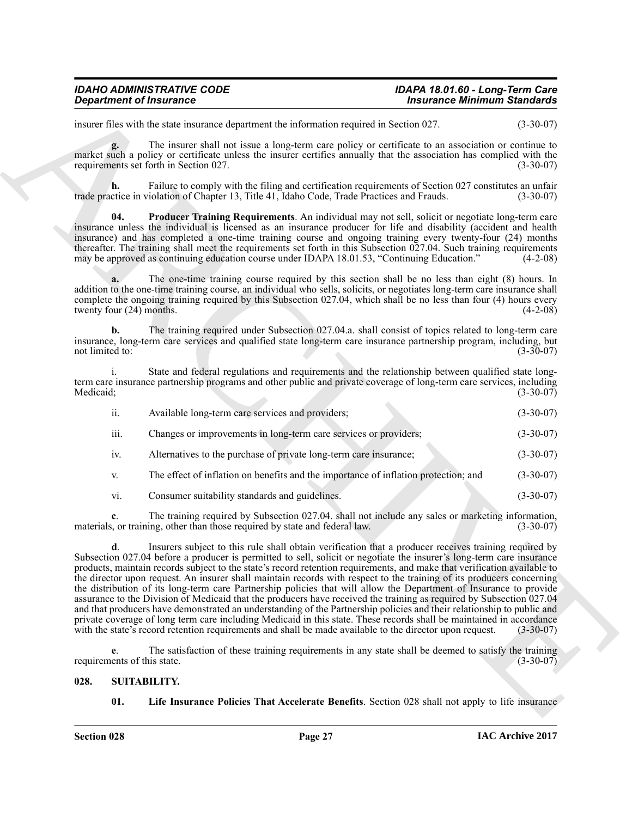## *IDAHO ADMINISTRATIVE CODE IDAPA 18.01.60 - Long-Term Care*

## **Insurance Minimum Standards**

insurer files with the state insurance department the information required in Section 027. (3-30-07)

**g.** The insurer shall not issue a long-term care policy or certificate to an association or continue to market such a policy or certificate unless the insurer certifies annually that the association has complied with the requirements set forth in Section 027. (3-30-07)

**h.** Failure to comply with the filing and certification requirements of Section 027 constitutes an unfair ctice in violation of Chapter 13. Title 41. Idaho Code. Trade Practices and Frauds. (3-30-07) trade practice in violation of Chapter 13, Title 41, Idaho Code, Trade Practices and Frauds.

<span id="page-26-1"></span>**Producer Training Requirements**. An individual may not sell, solicit or negotiate long-term care insurance unless the individual is licensed as an insurance producer for life and disability (accident and health insurance) and has completed a one-time training course and ongoing training every twenty-four (24) months thereafter. The training shall meet the requirements set forth in this Subsection 027.04. Such training requirements may be approved as continuing education course under IDAPA 18.01.53. "Continuing Education." (4-2-08) may be approved as continuing education course under IDAPA 18.01.53, "Continuing Education."

**a.** The one-time training course required by this section shall be no less than eight (8) hours. In addition to the one-time training course, an individual who sells, solicits, or negotiates long-term care insurance shall complete the ongoing training required by this Subsection 027.04, which shall be no less than four (4) hours every twenty four (24) months. (4-2-08)

**b.** The training required under Subsection 027.04.a. shall consist of topics related to long-term care insurance, long-term care services and qualified state long-term care insurance partnership program, including, but not limited to:

i. State and federal regulations and requirements and the relationship between qualified state longterm care insurance partnership programs and other public and private coverage of long-term care services, including<br>Medicaid; (3-30-07) Medicaid; (3-30-07)

| ii.         | Available long-term care services and providers;                                    | $(3-30-07)$ |
|-------------|-------------------------------------------------------------------------------------|-------------|
| iii.        | Changes or improvements in long-term care services or providers;                    | $(3-30-07)$ |
| $iv_{i}$    | Alternatives to the purchase of private long-term care insurance;                   | $(3-30-07)$ |
| $V_{\cdot}$ | The effect of inflation on benefits and the importance of inflation protection; and | $(3-30-07)$ |

vi. Consumer suitability standards and guidelines. (3-30-07)

**c**. The training required by Subsection 027.04. shall not include any sales or marketing information, so or training, other than those required by state and federal law. (3-30-07) materials, or training, other than those required by state and federal law.

*Department of Insurance*<br>
maximals the maximum counter that substitute a distintion required in the transmitted of the maximum counter of the maximum counter of the maximum counter of the maximum counter of the maximum **d**. Insurers subject to this rule shall obtain verification that a producer receives training required by Subsection 027.04 before a producer is permitted to sell, solicit or negotiate the insurer's long-term care insurance products, maintain records subject to the state's record retention requirements, and make that verification available to the director upon request. An insurer shall maintain records with respect to the training of its producers concerning the distribution of its long-term care Partnership policies that will allow the Department of Insurance to provide assurance to the Division of Medicaid that the producers have received the training as required by Subsection 027.04 and that producers have demonstrated an understanding of the Partnership policies and their relationship to public and private coverage of long term care including Medicaid in this state. These records shall be maintained in accordance with the state's record retention requirements and shall be made available to the director upon request. with the state's record retention requirements and shall be made available to the director upon request.

**e.** The satisfaction of these training requirements in any state shall be deemed to satisfy the training ents of this state. (3-30-07) requirements of this state.

#### <span id="page-26-0"></span>**028. SUITABILITY.**

<span id="page-26-3"></span><span id="page-26-2"></span>**01. Life Insurance Policies That Accelerate Benefits**. Section 028 shall not apply to life insurance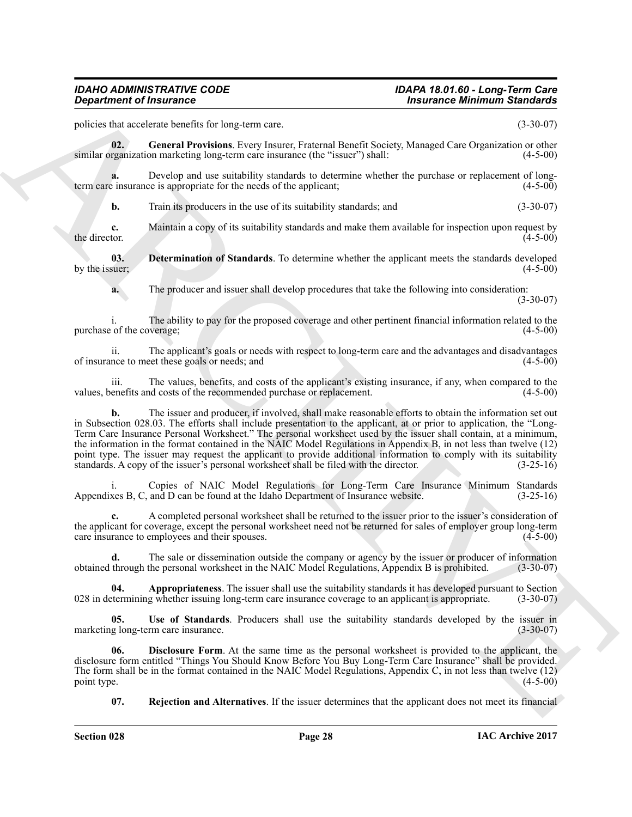policies that accelerate benefits for long-term care. (3-30-07)

<span id="page-27-3"></span>**02. General Provisions**. Every Insurer, Fraternal Benefit Society, Managed Care Organization or other similar organization marketing long-term care insurance (the "issuer") shall: (4-5-00)

**a.** Develop and use suitability standards to determine whether the purchase or replacement of long-<br>e insurance is appropriate for the needs of the applicant; (4-5-00) term care insurance is appropriate for the needs of the applicant;

**b.** Train its producers in the use of its suitability standards; and (3-30-07)

**c.** Maintain a copy of its suitability standards and make them available for inspection upon request by the director. (4-5-00) the director.  $(4-5-00)$ 

**03. Determination of Standards**. To determine whether the applicant meets the standards developed by the issuer;  $(4-5-00)$ 

<span id="page-27-1"></span>**a.** The producer and issuer shall develop procedures that take the following into consideration: (3-30-07)

i. The ability to pay for the proposed coverage and other pertinent financial information related to the purchase of the coverage;

ii. The applicant's goals or needs with respect to long-term care and the advantages and disadvantages of insurance to meet these goals or needs; and

iii. The values, benefits, and costs of the applicant's existing insurance, if any, when compared to the values, benefits and costs of the recommended purchase or replacement.

**Considered of Francesco Construction** and Construction and Considered Exploration and Construction and Construction and Construction and Construction and Construction and Construction and Construction and Construction an **b.** The issuer and producer, if involved, shall make reasonable efforts to obtain the information set out in Subsection 028.03. The efforts shall include presentation to the applicant, at or prior to application, the "Long-Term Care Insurance Personal Worksheet." The personal worksheet used by the issuer shall contain, at a minimum, the information in the format contained in the NAIC Model Regulations in Appendix B, in not less than twelve (12) point type. The issuer may request the applicant to provide additional information to comply with its suitability standards. A copy of the issuer's personal worksheet shall be filed with the director. (3-25-16)

i. Copies of NAIC Model Regulations for Long-Term Care Insurance Minimum Standards<br>xes B. C. and D can be found at the Idaho Department of Insurance website. (3-25-16) Appendixes B, C, and D can be found at the Idaho Department of Insurance website.

**c.** A completed personal worksheet shall be returned to the issuer prior to the issuer's consideration of the applicant for coverage, except the personal worksheet need not be returned for sales of employer group long-term care insurance to employees and their spouses. care insurance to employees and their spouses.

**d.** The sale or dissemination outside the company or agency by the issuer or producer of information through the personal worksheet in the NAIC Model Regulations, Appendix B is prohibited. (3-30-07) obtained through the personal worksheet in the NAIC Model Regulations, Appendix B is prohibited. (3-30-07)

<span id="page-27-0"></span>**04. Appropriateness**. The issuer shall use the suitability standards it has developed pursuant to Section electronizing whether issuing long-term care insurance coverage to an applicant is appropriate. (3-30-07) 028 in determining whether issuing long-term care insurance coverage to an applicant is appropriate.

<span id="page-27-5"></span>**05.** Use of Standards. Producers shall use the suitability standards developed by the issuer in g long-term care insurance. (3-30-07) marketing long-term care insurance.

**Disclosure Form**. At the same time as the personal worksheet is provided to the applicant, the disclosure form entitled "Things You Should Know Before You Buy Long-Term Care Insurance" shall be provided. The form shall be in the format contained in the NAIC Model Regulations, Appendix C, in not less than twelve (12) point type.  $(4-5-00)$ 

<span id="page-27-4"></span><span id="page-27-2"></span>**07. Rejection and Alternatives**. If the issuer determines that the applicant does not meet its financial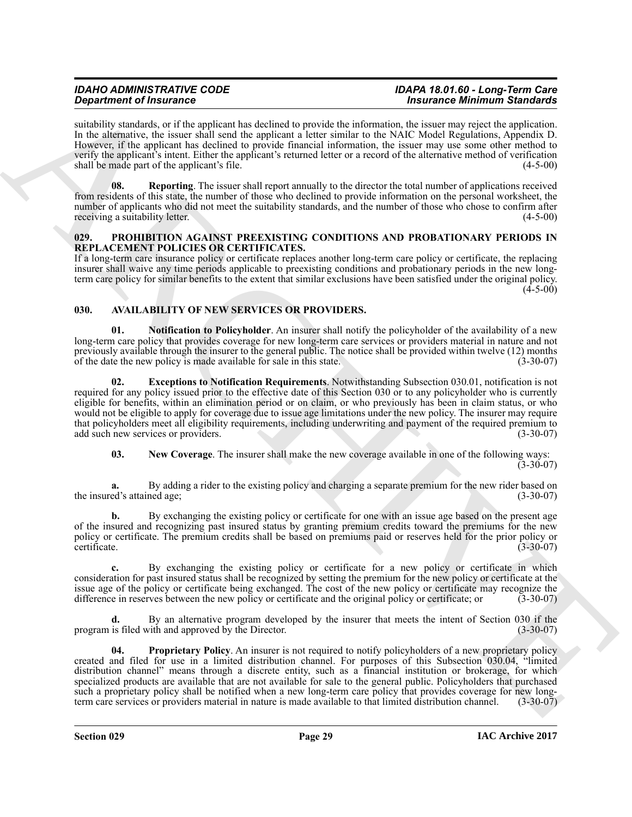suitability standards, or if the applicant has declined to provide the information, the issuer may reject the application. In the alternative, the issuer shall send the applicant a letter similar to the NAIC Model Regulations, Appendix D. However, if the applicant has declined to provide financial information, the issuer may use some other method to verify the applicant's intent. Either the applicant's returned letter or a record of the alternative method of verification shall be made part of the applicant's file. (4-5-00) (4-5-00)

<span id="page-28-8"></span>**08. Reporting**. The issuer shall report annually to the director the total number of applications received from residents of this state, the number of those who declined to provide information on the personal worksheet, the number of applicants who did not meet the suitability standards, and the number of those who chose to confirm after receiving a suitability letter. (4-5-00)

#### <span id="page-28-7"></span><span id="page-28-0"></span>**029. PROHIBITION AGAINST PREEXISTING CONDITIONS AND PROBATIONARY PERIODS IN REPLACEMENT POLICIES OR CERTIFICATES.**

If a long-term care insurance policy or certificate replaces another long-term care policy or certificate, the replacing insurer shall waive any time periods applicable to preexisting conditions and probationary periods in the new longterm care policy for similar benefits to the extent that similar exclusions have been satisfied under the original policy.  $(4 - 5 - 00)$ 

### <span id="page-28-2"></span><span id="page-28-1"></span>**030. AVAILABILITY OF NEW SERVICES OR PROVIDERS.**

<span id="page-28-5"></span>**01. Notification to Policyholder**. An insurer shall notify the policyholder of the availability of a new long-term care policy that provides coverage for new long-term care services or providers material in nature and not previously available through the insurer to the general public. The notice shall be provided within twelve (12) months of the date the new policy is made available for sale in this state. (3-30-07) of the date the new policy is made available for sale in this state.

<span id="page-28-3"></span>**02. Exceptions to Notification Requirements**. Notwithstanding Subsection 030.01, notification is not required for any policy issued prior to the effective date of this Section 030 or to any policyholder who is currently eligible for benefits, within an elimination period or on claim, or who previously has been in claim status, or who would not be eligible to apply for coverage due to issue age limitations under the new policy. The insurer may require that policyholders meet all eligibility requirements, including underwriting and payment of the required premium to add such new services or providers. (3-30-07) (3-30-07)

<span id="page-28-4"></span>**03. New Coverage**. The insurer shall make the new coverage available in one of the following ways:

 $(3-30-07)$ 

**a.** By adding a rider to the existing policy and charging a separate premium for the new rider based on ed's attained age: (3-30-07) the insured's attained age;

**b.** By exchanging the existing policy or certificate for one with an issue age based on the present age of the insured and recognizing past insured status by granting premium credits toward the premiums for the new policy or certificate. The premium credits shall be based on premiums paid or reserves held for the prior policy or certificate. (3-30-07) certificate. (3-30-07)

**c.** By exchanging the existing policy or certificate for a new policy or certificate in which consideration for past insured status shall be recognized by setting the premium for the new policy or certificate at the issue age of the policy or certificate being exchanged. The cost of the new policy or certificate may recognize the difference in reserves between the new policy or certificate and the original policy or certificate; or (3 difference in reserves between the new policy or certificate and the original policy or certificate; or

<span id="page-28-6"></span>**d.** By an alternative program developed by the insurer that meets the intent of Section 030 if the is filed with and approved by the Director. (3-30-07) program is filed with and approved by the Director.

**Experimental Consenses the system of the system of the system of the system of the system of the system of the system of the system of the system of the system of the system of the system of the system of the system of t Proprietary Policy.** An insurer is not required to notify policyholders of a new proprietary policy created and filed for use in a limited distribution channel. For purposes of this Subsection 030.04, "limited distribution channel" means through a discrete entity, such as a financial institution or brokerage, for which specialized products are available that are not available for sale to the general public. Policyholders that purchased such a proprietary policy shall be notified when a new long-term care policy that provides coverage for new long-<br>term care services or providers material in nature is made available to that limited distribution channel. ( term care services or providers material in nature is made available to that limited distribution channel.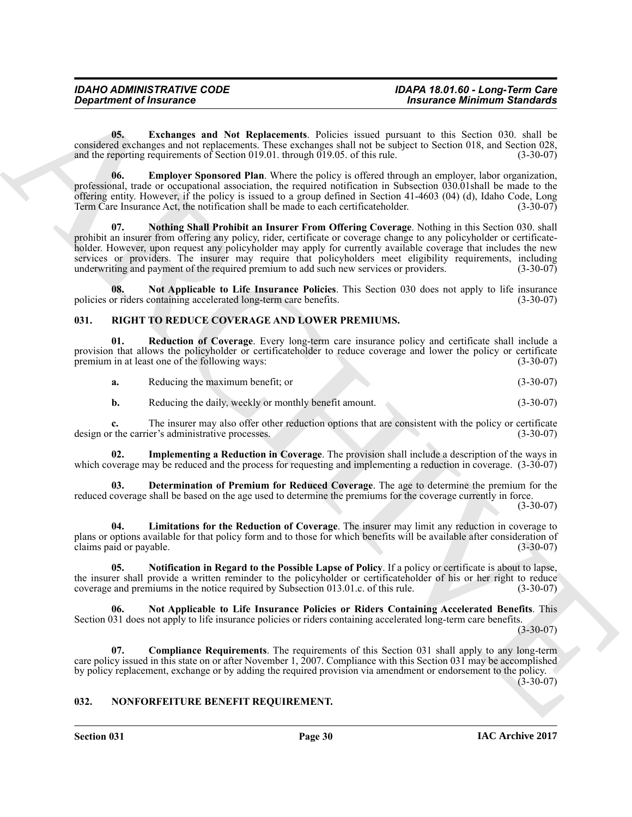### *IDAHO ADMINISTRATIVE CODE IDAPA 18.01.60 - Long-Term Care Department of Insurance Insurance Minimum Standards*

<span id="page-29-3"></span>**05. Exchanges and Not Replacements**. Policies issued pursuant to this Section 030. shall be considered exchanges and not replacements. These exchanges shall not be subject to Section 018, and Section 028, and the reporting requirements of Section 019.01. through 019.05, of this rule. (3-30-07) and the reporting requirements of Section 019.01. through  $\overline{019.05}$ . of this rule.

<span id="page-29-5"></span><span id="page-29-2"></span>**06. Employer Sponsored Plan**. Where the policy is offered through an employer, labor organization, professional, trade or occupational association, the required notification in Subsection 030.01shall be made to the offering entity. However, if the policy is issued to a group defined in Section 41-4603 (04) (d), Idaho Code, Long Term Care Insurance Act, the notification shall be made to each certificateholder. (3-30-07)

*Department of Insurance*<br> **Considering and Nut Replacements.** Polazion and Experiment of Section 2018, that is considered to the Experiment of the Section 2018. And the Section 2018 of the Section 2018 of the Section 2 **07. Nothing Shall Prohibit an Insurer From Offering Coverage**. Nothing in this Section 030. shall prohibit an insurer from offering any policy, rider, certificate or coverage change to any policyholder or certificateholder. However, upon request any policyholder may apply for currently available coverage that includes the new services or providers. The insurer may require that policyholders meet eligibility requirements, including underwriting and payment of the required premium to add such new services or providers. (3-30-07)

<span id="page-29-4"></span>**08.** Not Applicable to Life Insurance Policies. This Section 030 does not apply to life insurance or riders containing accelerated long-term care benefits. policies or riders containing accelerated long-term care benefits.

#### <span id="page-29-7"></span><span id="page-29-0"></span>**031. RIGHT TO REDUCE COVERAGE AND LOWER PREMIUMS.**

**01. Reduction of Coverage**. Every long-term care insurance policy and certificate shall include a provision that allows the policyholder or certificateholder to reduce coverage and lower the policy or certificate<br>premium in at least one of the following ways: (3-30-07) premium in at least one of the following ways:

<span id="page-29-14"></span>**a.** Reducing the maximum benefit; or (3-30-07)

<span id="page-29-10"></span>**b.** Reducing the daily, weekly or monthly benefit amount. (3-30-07)

**c.** The insurer may also offer other reduction options that are consistent with the policy or certificate r the carrier's administrative processes. design or the carrier's administrative processes.

**Implementing a Reduction in Coverage**. The provision shall include a description of the ways in which coverage may be reduced and the process for requesting and implementing a reduction in coverage.  $(3-30-07)$ 

<span id="page-29-9"></span>**03. Determination of Premium for Reduced Coverage**. The age to determine the premium for the reduced coverage shall be based on the age used to determine the premiums for the coverage currently in force. (3-30-07)

<span id="page-29-11"></span>**04. Limitations for the Reduction of Coverage**. The insurer may limit any reduction in coverage to plans or options available for that policy form and to those for which benefits will be available after consideration of claims paid or payable. (3-30-07) claims paid or payable.

<span id="page-29-13"></span>**05. Notification in Regard to the Possible Lapse of Policy**. If a policy or certificate is about to lapse, the insurer shall provide a written reminder to the policyholder or certificateholder of his or her right to reduce<br>coverage and premiums in the notice required by Subsection 013.01.c. of this rule. (3-30-07) coverage and premiums in the notice required by Subsection 013.01.c. of this rule.

<span id="page-29-12"></span>**06. Not Applicable to Life Insurance Policies or Riders Containing Accelerated Benefits**. This Section 031 does not apply to life insurance policies or riders containing accelerated long-term care benefits.

 $(3-30-07)$ 

<span id="page-29-8"></span>**07. Compliance Requirements**. The requirements of this Section 031 shall apply to any long-term care policy issued in this state on or after November 1, 2007. Compliance with this Section 031 may be accomplished by policy replacement, exchange or by adding the required provision via amendment or endorsement to the policy.  $(3-30-07)$ 

<span id="page-29-6"></span><span id="page-29-1"></span>**032. NONFORFEITURE BENEFIT REQUIREMENT.**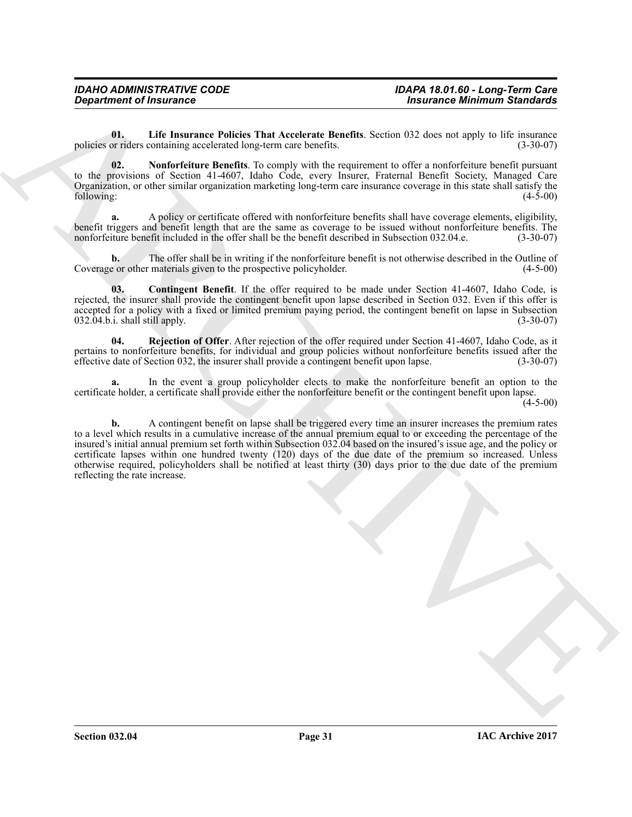## *IDAHO ADMINISTRATIVE CODE IDAPA 18.01.60 - Long-Term Care*

<span id="page-30-1"></span>**01. Life Insurance Policies That Accelerate Benefits**. Section 032 does not apply to life insurance policies or riders containing accelerated long-term care benefits.

<span id="page-30-2"></span>**02. Nonforfeiture Benefits**. To comply with the requirement to offer a nonforfeiture benefit pursuant to the provisions of Section 41-4607, Idaho Code, every Insurer, Fraternal Benefit Society, Managed Care Organization, or other similar organization marketing long-term care insurance coverage in this state shall satisfy the following: (4-5-00)

**a.** A policy or certificate offered with nonforfeiture benefits shall have coverage elements, eligibility, benefit triggers and benefit length that are the same as coverage to be issued without nonforfeiture benefits. The nonforfeiture benefit included in the offer shall be the benefit described in Subsection 032.04.e. (3-30-07 nonforfeiture benefit included in the offer shall be the benefit described in Subsection 032.04.e.

**b.** The offer shall be in writing if the nonforfeiture benefit is not otherwise described in the Outline of Coverage or other materials given to the prospective policyholder. (4-5-00)

<span id="page-30-0"></span>**03. Contingent Benefit**. If the offer required to be made under Section 41-4607, Idaho Code, is rejected, the insurer shall provide the contingent benefit upon lapse described in Section 032. Even if this offer is accepted for a policy with a fixed or limited premium paying period, the contingent benefit on lapse in Subsection 032.04.b.i. shall still apply. (3-30-07)  $032.04.b.i.$  shall still apply.

<span id="page-30-3"></span>**04. Rejection of Offer**. After rejection of the offer required under Section 41-4607, Idaho Code, as it pertains to nonforfeiture benefits, for individual and group policies without nonforfeiture benefits issued after the effective date of Section 032, the insurer shall provide a contingent benefit upon lapse. (3-30-07) effective date of Section 032, the insurer shall provide a contingent benefit upon lapse.

**a.** In the event a group policyholder elects to make the nonforfeiture benefit an option to the certificate holder, a certificate shall provide either the nonforfeiture benefit or the contingent benefit upon lapse.  $(4 - 5 - 00)$ 

**Considered of Francesco Constraints Constraint Benefits Scalin C2 also and applies to the space of the set of the space of the space of the space of the space of the space of the space of the space of the space of the sp b.** A contingent benefit on lapse shall be triggered every time an insurer increases the premium rates to a level which results in a cumulative increase of the annual premium equal to or exceeding the percentage of the insured's initial annual premium set forth within Subsection 032.04 based on the insured's issue age, and the policy or certificate lapses within one hundred twenty (120) days of the due date of the premium so increased. Unless otherwise required, policyholders shall be notified at least thirty (30) days prior to the due date of the premium reflecting the rate increase.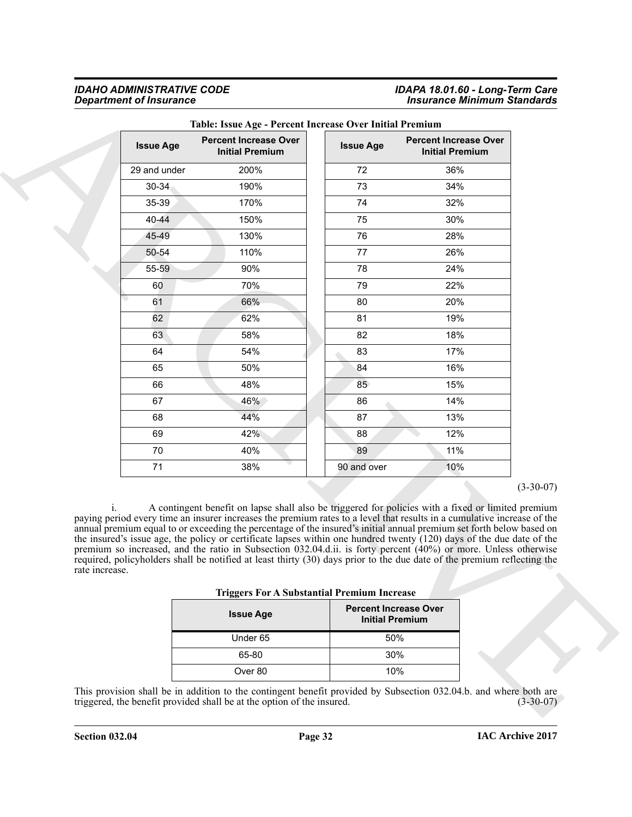#### *IDAHO ADMINISTRATIVE CODE IDAPA 18.01.60 - Long-Term Care Department of Insurance Insurance Minimum Standards*

| <b>Issue Age</b> | <b>Percent Increase Over</b><br><b>Initial Premium</b>                                                                                                                                                                                                                                                                                                                                                                                                                                                                                                                                                                                                                                                                         | <b>Issue Age</b>                                       | <b>Percent Increase Over</b><br><b>Initial Premium</b> |             |
|------------------|--------------------------------------------------------------------------------------------------------------------------------------------------------------------------------------------------------------------------------------------------------------------------------------------------------------------------------------------------------------------------------------------------------------------------------------------------------------------------------------------------------------------------------------------------------------------------------------------------------------------------------------------------------------------------------------------------------------------------------|--------------------------------------------------------|--------------------------------------------------------|-------------|
| 29 and under     | 200%                                                                                                                                                                                                                                                                                                                                                                                                                                                                                                                                                                                                                                                                                                                           | 72                                                     | 36%                                                    |             |
| $30 - 34$        | 190%                                                                                                                                                                                                                                                                                                                                                                                                                                                                                                                                                                                                                                                                                                                           | 73                                                     | 34%                                                    |             |
| 35-39            | 170%                                                                                                                                                                                                                                                                                                                                                                                                                                                                                                                                                                                                                                                                                                                           | 74                                                     | 32%                                                    |             |
| 40-44            | 150%                                                                                                                                                                                                                                                                                                                                                                                                                                                                                                                                                                                                                                                                                                                           | 75                                                     | 30%                                                    |             |
| 45-49            | 130%                                                                                                                                                                                                                                                                                                                                                                                                                                                                                                                                                                                                                                                                                                                           | 76                                                     | 28%                                                    |             |
| 50-54            | 110%                                                                                                                                                                                                                                                                                                                                                                                                                                                                                                                                                                                                                                                                                                                           | 77                                                     | 26%                                                    |             |
| 55-59            | 90%                                                                                                                                                                                                                                                                                                                                                                                                                                                                                                                                                                                                                                                                                                                            | 78                                                     | 24%                                                    |             |
| 60               | 70%                                                                                                                                                                                                                                                                                                                                                                                                                                                                                                                                                                                                                                                                                                                            | 79                                                     | 22%                                                    |             |
| 61               | 66%                                                                                                                                                                                                                                                                                                                                                                                                                                                                                                                                                                                                                                                                                                                            | 80                                                     | 20%                                                    |             |
| 62               | 62%                                                                                                                                                                                                                                                                                                                                                                                                                                                                                                                                                                                                                                                                                                                            | 81                                                     | 19%                                                    |             |
| 63               | 58%                                                                                                                                                                                                                                                                                                                                                                                                                                                                                                                                                                                                                                                                                                                            | 82                                                     | 18%                                                    |             |
| 64               | 54%                                                                                                                                                                                                                                                                                                                                                                                                                                                                                                                                                                                                                                                                                                                            | 83                                                     | 17%                                                    |             |
| 65               | 50%                                                                                                                                                                                                                                                                                                                                                                                                                                                                                                                                                                                                                                                                                                                            | 84                                                     | 16%                                                    |             |
| 66               | 48%                                                                                                                                                                                                                                                                                                                                                                                                                                                                                                                                                                                                                                                                                                                            | 85                                                     | 15%                                                    |             |
| 67               | 46%                                                                                                                                                                                                                                                                                                                                                                                                                                                                                                                                                                                                                                                                                                                            | 86                                                     | 14%                                                    |             |
| 68               | 44%                                                                                                                                                                                                                                                                                                                                                                                                                                                                                                                                                                                                                                                                                                                            | 87                                                     | 13%                                                    |             |
| 69               | 42%                                                                                                                                                                                                                                                                                                                                                                                                                                                                                                                                                                                                                                                                                                                            | 88                                                     | 12%                                                    |             |
| 70               | 40%                                                                                                                                                                                                                                                                                                                                                                                                                                                                                                                                                                                                                                                                                                                            | 89                                                     | 11%                                                    |             |
| 71               | 38%                                                                                                                                                                                                                                                                                                                                                                                                                                                                                                                                                                                                                                                                                                                            | 90 and over                                            | 10%                                                    |             |
| rate increase.   | A contingent benefit on lapse shall also be triggered for policies with a fixed or limited premium<br>paying period every time an insurer increases the premium rates to a level that results in a cumulative increase of the<br>annual premium equal to or exceeding the percentage of the insured's initial annual premium set forth below based on<br>the insured's issue age, the policy or certificate lapses within one hundred twenty $(120)$ days of the due date of the<br>premium so increased, and the ratio in Subsection 032.04.d.ii. is forty percent (40%) or more. Unless otherwise<br>required, policyholders shall be notified at least thirty (30) days prior to the due date of the premium reflecting the |                                                        |                                                        | $(3-30-07)$ |
|                  | <b>Triggers For A Substantial Premium Increase</b>                                                                                                                                                                                                                                                                                                                                                                                                                                                                                                                                                                                                                                                                             |                                                        |                                                        |             |
|                  | <b>Issue Age</b>                                                                                                                                                                                                                                                                                                                                                                                                                                                                                                                                                                                                                                                                                                               | <b>Percent Increase Over</b><br><b>Initial Premium</b> |                                                        |             |
|                  | Under 65                                                                                                                                                                                                                                                                                                                                                                                                                                                                                                                                                                                                                                                                                                                       | 50%                                                    |                                                        |             |
|                  | 65-80                                                                                                                                                                                                                                                                                                                                                                                                                                                                                                                                                                                                                                                                                                                          | 30%                                                    |                                                        |             |
|                  | Over 80                                                                                                                                                                                                                                                                                                                                                                                                                                                                                                                                                                                                                                                                                                                        | 10%                                                    |                                                        |             |

#### **Table: Issue Age - Percent Increase Over Initial Premium**

|  |  | <b>Triggers For A Substantial Premium Increase</b> |  |  |
|--|--|----------------------------------------------------|--|--|
|--|--|----------------------------------------------------|--|--|

| 00               |                                                        |
|------------------|--------------------------------------------------------|
| <b>Issue Age</b> | <b>Percent Increase Over</b><br><b>Initial Premium</b> |
| Under 65         | 50%                                                    |
| 65-80            | 30%                                                    |
| Over 80          | 10%                                                    |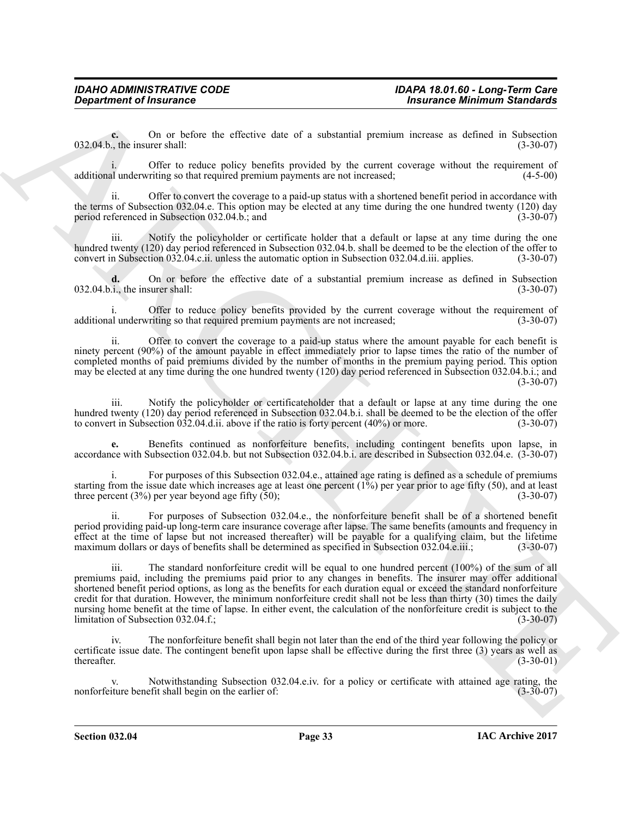**c.** On or before the effective date of a substantial premium increase as defined in Subsection<br>the insurer shall: (3-30-07)  $032.04.b.,$  the insurer shall:

i. Offer to reduce policy benefits provided by the current coverage without the requirement of plunderwriting so that required premium payments are not increased; (4-5-00) additional underwriting so that required premium payments are not increased;

ii. Offer to convert the coverage to a paid-up status with a shortened benefit period in accordance with the terms of Subsection 032.04.e. This option may be elected at any time during the one hundred twenty (120) day period referenced in Subsection 032.04.b.; and (3-30-07)

iii. Notify the policyholder or certificate holder that a default or lapse at any time during the one hundred twenty (120) day period referenced in Subsection 032.04.b. shall be deemed to be the election of the offer to convert in Subsection 032.04.c.ii. unless the automatic option in Subsection 032.04.d.iii. applies. (3-3 convert in Subsection 032.04.c.ii. unless the automatic option in Subsection 032.04.d.iii. applies.

**d.** On or before the effective date of a substantial premium increase as defined in Subsection i., the insurer shall: (3-30-07)  $032.04.b.i.,$  the insurer shall:

Offer to reduce policy benefits provided by the current coverage without the requirement of riting so that required premium payments are not increased: (3-30-07) additional underwriting so that required premium payments are not increased;

ii. Offer to convert the coverage to a paid-up status where the amount payable for each benefit is ninety percent (90%) of the amount payable in effect immediately prior to lapse times the ratio of the number of completed months of paid premiums divided by the number of months in the premium paying period. This option may be elected at any time during the one hundred twenty (120) day period referenced in Subsection 032.04.b.i.; and  $(3-30-07)$ 

iii. Notify the policyholder or certificateholder that a default or lapse at any time during the one hundred twenty (120) day period referenced in Subsection 032.04.b.i. shall be deemed to be the election of the offer<br>to convert in Subsection 032.04.d.ii. above if the ratio is forty percent (40%) or more. (3-30-07) to convert in Subsection  $032.04$ .d.ii. above if the ratio is forty percent  $(40\%)$  or more.

**e.** Benefits continued as nonforfeiture benefits, including contingent benefits upon lapse, in accordance with Subsection 032.04.b. but not Subsection 032.04.b.i. are described in Subsection 032.04.e. (3-30-07)

i. For purposes of this Subsection 032.04.e., attained age rating is defined as a schedule of premiums starting from the issue date which increases age at least one percent  $(1\bar{%})$  per year prior to age fifty (50), and at least<br>three percent  $(3\%)$  per year beyond age fifty (50): three percent (3%) per year beyond age fifty  $(50)$ ;

For purposes of Subsection 032.04.e., the nonforfeiture benefit shall be of a shortened benefit period providing paid-up long-term care insurance coverage after lapse. The same benefits (amounts and frequency in effect at the time of lapse but not increased thereafter) will be payable for a qualifying claim, but the lifetime maximum dollars or days of benefits shall be determined as specified in Subsection 032.04.e.iii.; (3-30-07)

*Chinarine of Insurance* **Chinarine C**<br> **Chinarine Mathematics Chinarine Case of a substanting measure and since the space of the space of the space of the space of the space of the space of the space of the space of** iii. The standard nonforfeiture credit will be equal to one hundred percent (100%) of the sum of all premiums paid, including the premiums paid prior to any changes in benefits. The insurer may offer additional shortened benefit period options, as long as the benefits for each duration equal or exceed the standard nonforfeiture credit for that duration. However, the minimum nonforfeiture credit shall not be less than thirty (30) times the daily nursing home benefit at the time of lapse. In either event, the calculation of the nonforfeiture credit is subject to the limitation of Subsection 032.04.f.; (3-30-07)

iv. The nonforfeiture benefit shall begin not later than the end of the third year following the policy or certificate issue date. The contingent benefit upon lapse shall be effective during the first three (3) years as well as thereafter.  $(3-30-01)$ 

v. Notwithstanding Subsection 032.04.e.iv. for a policy or certificate with attained age rating, the ture benefit shall begin on the earlier of: (3-30-07) nonforfeiture benefit shall begin on the earlier of: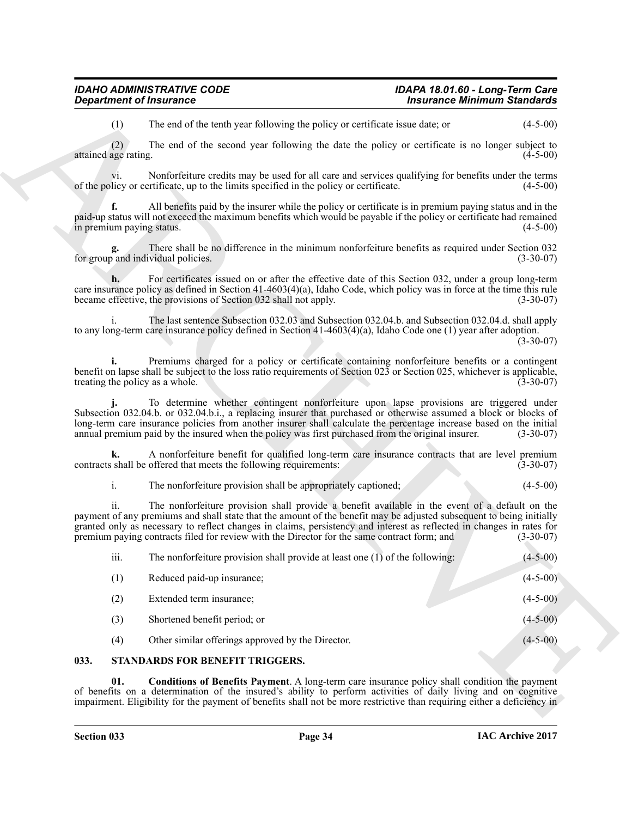| <b>Department of Insurance</b>                                                                                                                                                                                                                                                                                                                                                                                                                        | <b>Insurance Minimum Standards</b> |  |
|-------------------------------------------------------------------------------------------------------------------------------------------------------------------------------------------------------------------------------------------------------------------------------------------------------------------------------------------------------------------------------------------------------------------------------------------------------|------------------------------------|--|
| The end of the tenth year following the policy or certificate issue date; or<br>(1)                                                                                                                                                                                                                                                                                                                                                                   | $(4-5-00)$                         |  |
| (2)<br>The end of the second year following the date the policy or certificate is no longer subject to<br>attained age rating.                                                                                                                                                                                                                                                                                                                        | $(4-5-00)$                         |  |
| Nonforfeiture credits may be used for all care and services qualifying for benefits under the terms<br>Vl.<br>of the policy or certificate, up to the limits specified in the policy or certificate.                                                                                                                                                                                                                                                  | $(4-5-00)$                         |  |
| All benefits paid by the insurer while the policy or certificate is in premium paying status and in the<br>f.<br>paid-up status will not exceed the maximum benefits which would be payable if the policy or certificate had remained<br>in premium paying status.                                                                                                                                                                                    | $(4-5-00)$                         |  |
| There shall be no difference in the minimum nonforfeiture benefits as required under Section 032<br>for group and individual policies.                                                                                                                                                                                                                                                                                                                | $(3-30-07)$                        |  |
| For certificates issued on or after the effective date of this Section 032, under a group long-term<br>care insurance policy as defined in Section $41-4603(4)(a)$ , Idaho Code, which policy was in force at the time this rule<br>became effective, the provisions of Section 032 shall not apply.                                                                                                                                                  | $(3-30-07)$                        |  |
| The last sentence Subsection 032.03 and Subsection 032.04.b. and Subsection 032.04.d. shall apply<br>$\mathbf{1}$ .<br>to any long-term care insurance policy defined in Section $41-4603(4)(a)$ , Idaho Code one (1) year after adoption.                                                                                                                                                                                                            | $(3-30-07)$                        |  |
| Premiums charged for a policy or certificate containing nonforfeiture benefits or a contingent<br>benefit on lapse shall be subject to the loss ratio requirements of Section 023 or Section 025, whichever is applicable,<br>treating the policy as a whole.                                                                                                                                                                                         | $(3-30-07)$                        |  |
| To determine whether contingent nonforfeiture upon lapse provisions are triggered under<br>Subsection 032.04.b. or 032.04.b.i., a replacing insurer that purchased or otherwise assumed a block or blocks of long-term care insurance policies from another insurer shall calculate the percentage increase based on the<br>annual premium paid by the insured when the policy was first purchased from the original insurer.                         | $(3-30-07)$                        |  |
| A nonforfeiture benefit for qualified long-term care insurance contracts that are level premium<br>k.<br>contracts shall be offered that meets the following requirements:                                                                                                                                                                                                                                                                            | $(3-30-07)$                        |  |
| i.<br>The nonforfeiture provision shall be appropriately captioned;                                                                                                                                                                                                                                                                                                                                                                                   | $(4-5-00)$                         |  |
| ii.<br>The nonforfeiture provision shall provide a benefit available in the event of a default on the<br>payment of any premiums and shall state that the amount of the benefit may be adjusted subsequent to being initially<br>granted only as necessary to reflect changes in claims, persistency and interest as reflected in changes in rates for<br>premium paying contracts filed for review with the Director for the same contract form; and | $(3-30-07)$                        |  |
| iii.<br>The nonforfeiture provision shall provide at least one (1) of the following:                                                                                                                                                                                                                                                                                                                                                                  | $(4-5-00)$                         |  |
| (1)<br>Reduced paid-up insurance;                                                                                                                                                                                                                                                                                                                                                                                                                     | $(4-5-00)$                         |  |
| Extended term insurance;<br>(2)                                                                                                                                                                                                                                                                                                                                                                                                                       | $(4-5-00)$                         |  |
| Shortened benefit period; or<br>(3)                                                                                                                                                                                                                                                                                                                                                                                                                   | $(4-5-00)$                         |  |
| Other similar offerings approved by the Director.<br>(4)                                                                                                                                                                                                                                                                                                                                                                                              | $(4-5-00)$                         |  |
|                                                                                                                                                                                                                                                                                                                                                                                                                                                       |                                    |  |

### <span id="page-33-2"></span><span id="page-33-1"></span><span id="page-33-0"></span>**033. STANDARDS FOR BENEFIT TRIGGERS.**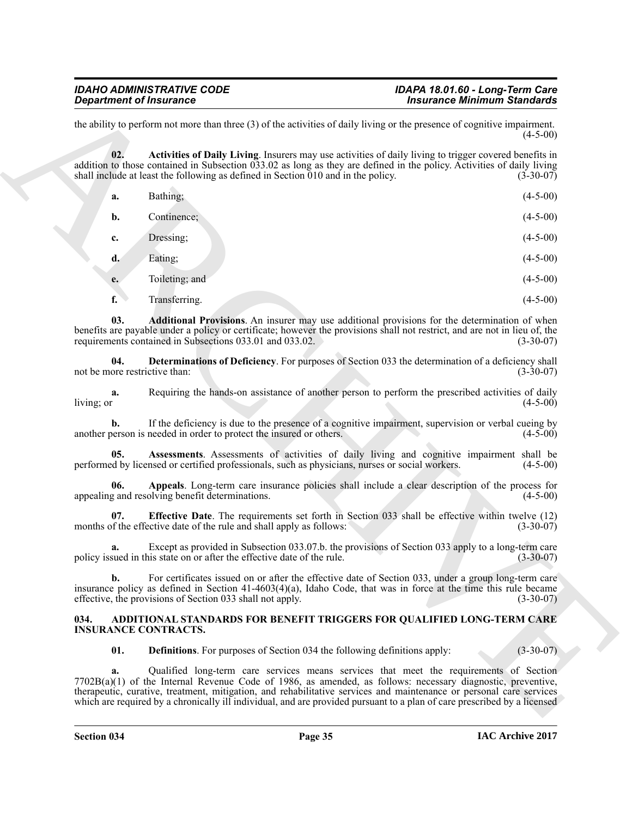<span id="page-34-4"></span><span id="page-34-3"></span>

| <b>Department of Insurance</b>       |                                                                                                                                                                                                                                                                                                                                                                                                                                                            | <b>Insurance Minimum Standards</b> |
|--------------------------------------|------------------------------------------------------------------------------------------------------------------------------------------------------------------------------------------------------------------------------------------------------------------------------------------------------------------------------------------------------------------------------------------------------------------------------------------------------------|------------------------------------|
|                                      | the ability to perform not more than three $(3)$ of the activities of daily living or the presence of cognitive impairment.                                                                                                                                                                                                                                                                                                                                | $(4-5-00)$                         |
| 02.                                  | Activities of Daily Living. Insurers may use activities of daily living to trigger covered benefits in<br>addition to those contained in Subsection $033.02$ as long as they are defined in the policy. Activities of daily living<br>shall include at least the following as defined in Section $\overline{010}$ and in the policy.                                                                                                                       | $(3-30-07)$                        |
| a.                                   | Bathing;                                                                                                                                                                                                                                                                                                                                                                                                                                                   | $(4 - 5 - 00)$                     |
| b.                                   | Continence;                                                                                                                                                                                                                                                                                                                                                                                                                                                | $(4-5-00)$                         |
| c.                                   | Dressing;                                                                                                                                                                                                                                                                                                                                                                                                                                                  | $(4-5-00)$                         |
| d.                                   | Eating;                                                                                                                                                                                                                                                                                                                                                                                                                                                    | $(4-5-00)$                         |
| e.                                   | Toileting; and                                                                                                                                                                                                                                                                                                                                                                                                                                             | $(4-5-00)$                         |
| f.                                   | Transferring.                                                                                                                                                                                                                                                                                                                                                                                                                                              | $(4-5-00)$                         |
| 03.                                  | Additional Provisions. An insurer may use additional provisions for the determination of when<br>benefits are payable under a policy or certificate; however the provisions shall not restrict, and are not in lieu of, the<br>requirements contained in Subsections 033.01 and 033.02.                                                                                                                                                                    | $(3-30-07)$                        |
| 04.<br>not be more restrictive than: | Determinations of Deficiency. For purposes of Section 033 the determination of a deficiency shall                                                                                                                                                                                                                                                                                                                                                          | $(3-30-07)$                        |
| a.<br>living; or                     | Requiring the hands-on assistance of another person to perform the prescribed activities of daily                                                                                                                                                                                                                                                                                                                                                          | $(4-5-00)$                         |
|                                      | If the deficiency is due to the presence of a cognitive impairment, supervision or verbal cueing by<br>another person is needed in order to protect the insured or others.                                                                                                                                                                                                                                                                                 | $(4-5-00)$                         |
| 05.                                  | Assessments. Assessments of activities of daily living and cognitive impairment shall be<br>performed by licensed or certified professionals, such as physicians, nurses or social workers.                                                                                                                                                                                                                                                                | $(4-5-00)$                         |
| 06.                                  | Appeals. Long-term care insurance policies shall include a clear description of the process for<br>appealing and resolving benefit determinations.                                                                                                                                                                                                                                                                                                         | $(4-5-00)$                         |
| 07.                                  | <b>Effective Date</b> . The requirements set forth in Section 033 shall be effective within twelve (12)<br>months of the effective date of the rule and shall apply as follows:                                                                                                                                                                                                                                                                            | $(3-30-07)$                        |
| a.                                   | Except as provided in Subsection 033.07.b. the provisions of Section 033 apply to a long-term care<br>policy issued in this state on or after the effective date of the rule.                                                                                                                                                                                                                                                                              | $(3-30-07)$                        |
| b.                                   | For certificates issued on or after the effective date of Section 033, under a group long-term care<br>insurance policy as defined in Section 41-4603(4)(a), Idaho Code, that was in force at the time this rule became<br>effective, the provisions of Section 033 shall not apply.                                                                                                                                                                       | $(3-30-07)$                        |
| 034.<br><b>INSURANCE CONTRACTS.</b>  | ADDITIONAL STANDARDS FOR BENEFIT TRIGGERS FOR QUALIFIED LONG-TERM CARE                                                                                                                                                                                                                                                                                                                                                                                     |                                    |
| 01.                                  | <b>Definitions.</b> For purposes of Section 034 the following definitions apply:                                                                                                                                                                                                                                                                                                                                                                           | $(3-30-07)$                        |
| a.                                   | Qualified long-term care services means services that meet the requirements of Section<br>$7702B(a)(1)$ of the Internal Revenue Code of 1986, as amended, as follows: necessary diagnostic, preventive,<br>therapeutic, curative, treatment, mitigation, and rehabilitative services and maintenance or personal care services<br>which are required by a chronically ill individual, and are provided pursuant to a plan of care prescribed by a licensed |                                    |

#### <span id="page-34-8"></span><span id="page-34-7"></span><span id="page-34-6"></span><span id="page-34-5"></span><span id="page-34-2"></span><span id="page-34-1"></span><span id="page-34-0"></span>**034. ADDITIONAL STANDARDS FOR BENEFIT TRIGGERS FOR QUALIFIED LONG-TERM CARE INSURANCE CONTRACTS.**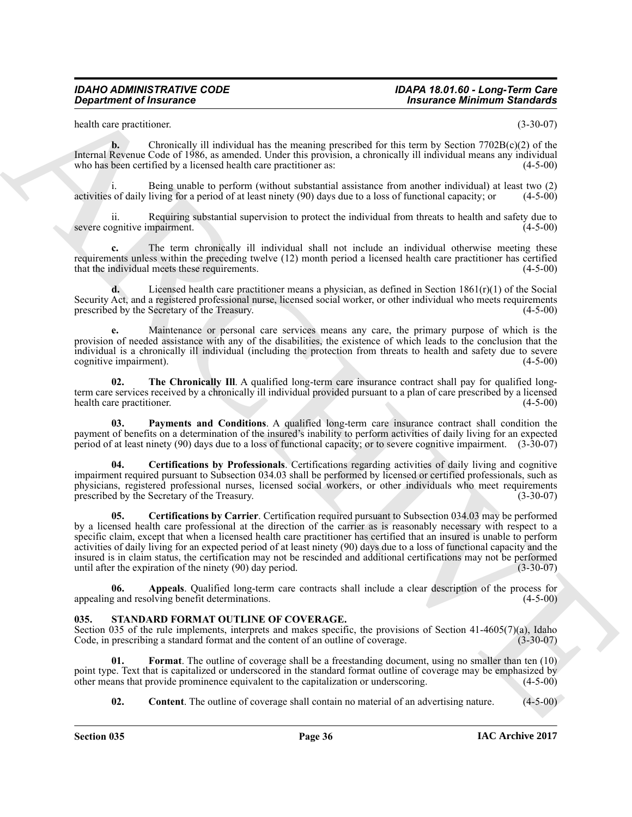health care practitioner. (3-30-07)

**b.** Chronically ill individual has the meaning prescribed for this term by Section 7702B(c)(2) of the Internal Revenue Code of 1986, as amended. Under this provision, a chronically ill individual means any individual who has been certified by a licensed health care practitioner as: (4-5-00)

i. Being unable to perform (without substantial assistance from another individual) at least two (2) activities of daily living for a period of at least ninety  $(90)$  days due to a loss of functional capacity; or

ii. Requiring substantial supervision to protect the individual from threats to health and safety due to severe cognitive impairment.

**c.** The term chronically ill individual shall not include an individual otherwise meeting these requirements unless within the preceding twelve (12) month period a licensed health care practitioner has certified that the individual meets these requirements. (4-5-00)

**d.** Licensed health care practitioner means a physician, as defined in Section 1861(r)(1) of the Social Security Act, and a registered professional nurse, licensed social worker, or other individual who meets requirements prescribed by the Secretary of the Treasury. (4-5-00)

**e.** Maintenance or personal care services means any care, the primary purpose of which is the provision of needed assistance with any of the disabilities, the existence of which leads to the conclusion that the individual is a chronically ill individual (including the protection from threats to health and safety due to severe cognitive impairment).

<span id="page-35-4"></span>**02.** The Chronically III. A qualified long-term care insurance contract shall pay for qualified longterm care services received by a chronically ill individual provided pursuant to a plan of care prescribed by a licensed health care practitioner.

<span id="page-35-5"></span>**03. Payments and Conditions**. A qualified long-term care insurance contract shall condition the payment of benefits on a determination of the insured's inability to perform activities of daily living for an expected period of at least ninety (90) days due to a loss of functional capacity; or to severe cognitive impairment. (3-30-07)

<span id="page-35-3"></span><span id="page-35-2"></span>**04. Certifications by Professionals**. Certifications regarding activities of daily living and cognitive impairment required pursuant to Subsection 034.03 shall be performed by licensed or certified professionals, such as physicians, registered professional nurses, licensed social workers, or other individuals who meet requirements prescribed by the Secretary of the Treasury. prescribed by the Secretary of the Treasury.

**Equivariant of fractional control to the mainle presentation for the transfer method in the control of the main of the state of the main of the state of the state of the state of the state of the state of the state of th 05. Certifications by Carrier**. Certification required pursuant to Subsection 034.03 may be performed by a licensed health care professional at the direction of the carrier as is reasonably necessary with respect to a specific claim, except that when a licensed health care practitioner has certified that an insured is unable to perform activities of daily living for an expected period of at least ninety (90) days due to a loss of functional capacity and the insured is in claim status, the certification may not be rescinded and additional certifications may not be performed until after the expiration of the ninety  $(90)$  day period.

<span id="page-35-1"></span>**06.** Appeals. Qualified long-term care contracts shall include a clear description of the process for and resolving benefit determinations. (4-5-00) appealing and resolving benefit determinations.

#### <span id="page-35-6"></span><span id="page-35-0"></span>**035. STANDARD FORMAT OUTLINE OF COVERAGE.**

Section 035 of the rule implements, interprets and makes specific, the provisions of Section 41-4605(7)(a), Idaho Code, in prescribing a standard format and the content of an outline of coverage. (3-30-07) Code, in prescribing a standard format and the content of an outline of coverage.

**01. Format**. The outline of coverage shall be a freestanding document, using no smaller than ten (10) point type. Text that is capitalized or underscored in the standard format outline of coverage may be emphasized by other means that provide prominence equivalent to the capitalization or underscoring. (4-5-00) other means that provide prominence equivalent to the capitalization or underscoring.

<span id="page-35-8"></span><span id="page-35-7"></span>**02. Content**. The outline of coverage shall contain no material of an advertising nature. (4-5-00)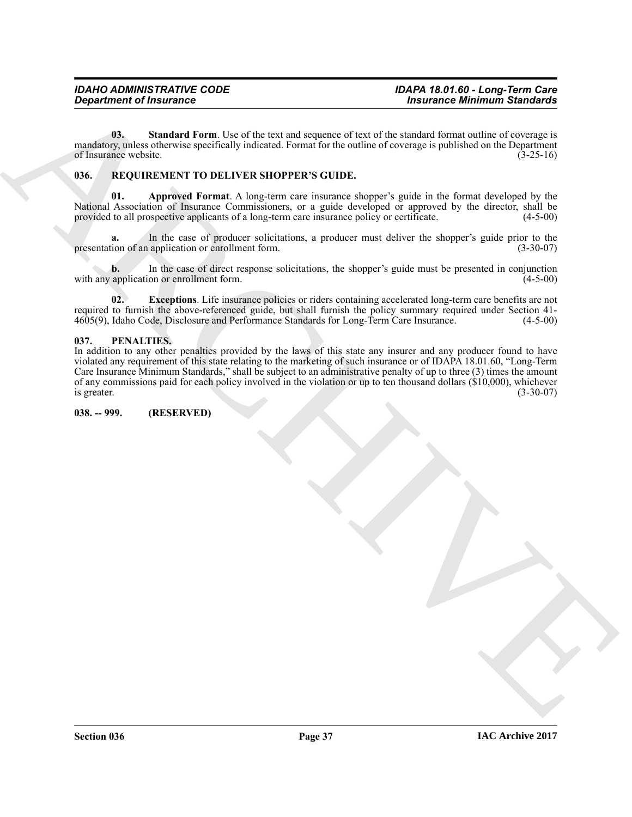<span id="page-36-6"></span>**03.** Standard Form. Use of the text and sequence of text of the standard format outline of coverage is mandatory, unless otherwise specifically indicated. Format for the outline of coverage is published on the Department of Insurance website.  $(3-25-16)$ 

#### <span id="page-36-3"></span><span id="page-36-0"></span>**036. REQUIREMENT TO DELIVER SHOPPER'S GUIDE.**

<span id="page-36-4"></span>**01. Approved Format**. A long-term care insurance shopper's guide in the format developed by the National Association of Insurance Commissioners, or a guide developed or approved by the director, shall be provided to all prospective applicants of a long-term care insurance policy or certificate. (4-5-00)

**a.** In the case of producer solicitations, a producer must deliver the shopper's guide prior to the ion of an application or enrollment form. (3-30-07) presentation of an application or enrollment form.

**b.** In the case of direct response solicitations, the shopper's guide must be presented in conjunction application or enrollment form.  $(4-5-00)$ with any application or enrollment form.

<span id="page-36-5"></span>**02. Exceptions**. Life insurance policies or riders containing accelerated long-term care benefits are not required to furnish the above-referenced guide, but shall furnish the policy summary required under Section 41-<br>4605(9). Idaho Code, Disclosure and Performance Standards for Long-Term Care Insurance. (4-5-00) 4605(9), Idaho Code, Disclosure and Performance Standards for Long-Term Care Insurance.

#### <span id="page-36-1"></span>**037. PENALTIES.**

**Considered of Insurance Theorem (1978)**<br>
The transition of the considered processes of each of the stationary processes of the stationary and the stationary and the stationary and the stationary and the stationary and th In addition to any other penalties provided by the laws of this state any insurer and any producer found to have violated any requirement of this state relating to the marketing of such insurance or of IDAPA 18.01.60, "Long-Term Care Insurance Minimum Standards," shall be subject to an administrative penalty of up to three (3) times the amount of any commissions paid for each policy involved in the violation or up to ten thousand dollars ( $$10,000$ ), whichever is greater. (3-30-07) is greater.  $(3-30-07)$ 

<span id="page-36-2"></span>**038. -- 999. (RESERVED)**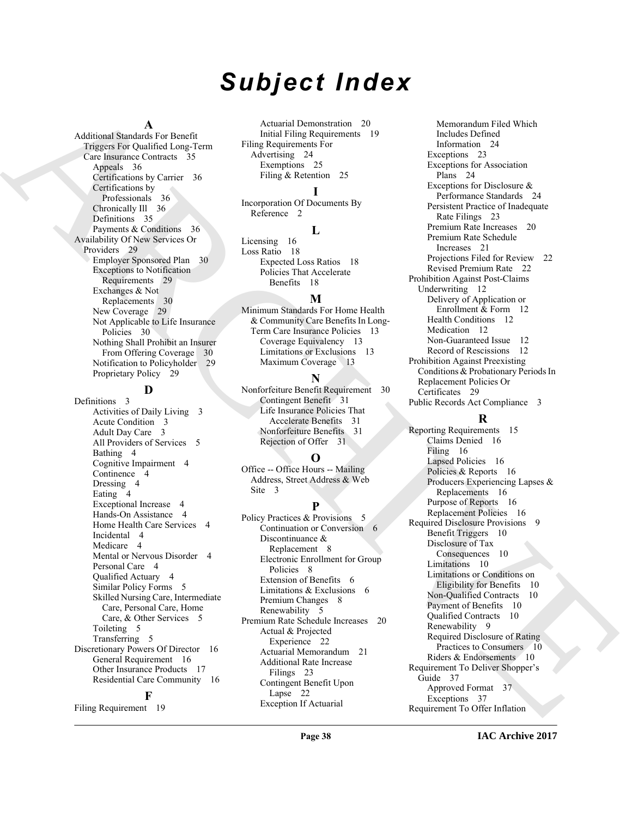# *Subject Index*

#### **A**

Additional Standards For Benefit Triggers For Qualified Long-Term Care Insurance Contracts 35 Appeals 36 Certifications by Carrier 36 Certifications by Professionals 36 Chronically Ill 36 Definitions 35 Payments & Conditions 36 Availability Of New Services Or Providers 29 Employer Sponsored Plan 30 Exceptions to Notification Requirements 29 Exchanges & Not Replacements 30 New Coverage 29 Not Applicable to Life Insurance Policies 30 Nothing Shall Prohibit an Insurer From Offering Coverage 30 Notification to Policyholder 29 Proprietary Policy 29

### **D**

Definitions 3 Activities of Daily Living 3 Acute Condition 3 Adult Day Care 3 All Providers of Services 5 Bathing 4 Cognitive Impairment 4 Continence 4 Dressing 4 Eating 4 Exceptional Increase 4 Hands-On Assistance 4 Home Health Care Services 4 Incidental 4 Medicare 4 Mental or Nervous Disorder 4 Personal Care 4 Qualified Actuary 4 Similar Policy Forms 5 Skilled Nursing Care, Intermediate Care, Personal Care, Home Care, & Other Services 5 Toileting 5 Transferring 5 Discretionary Powers Of Director 16 General Requirement 16 Other Insurance Products 17 Residential Care Community 16

### **F**

Filing Requirement 19

Actuarial Demonstration 20 Initial Filing Requirements 19 Filing Requirements For Advertising 24 Exemptions 25 Filing & Retention 25

### **I**

Incorporation Of Documents By Reference 2

### **L**

Licensing 16 Loss Ratio 18 Expected Loss Ratios 18 Policies That Accelerate Benefits 18

#### **M**

Minimum Standards For Home Health & Community Care Benefits In Long-Term Care Insurance Policies 13 Coverage Equivalency 13 Limitations or Exclusions 13 Maximum Coverage 13

### **N**

Nonforfeiture Benefit Requirement 30 Contingent Benefit 31 Life Insurance Policies That Accelerate Benefits 31 Nonforfeiture Benefits 31 Rejection of Offer 31

#### **O**

Office -- Office Hours -- Mailing Address, Street Address & Web Site 3

#### **P**

Policy Practices & Provisions 5 Continuation or Conversion 6 Discontinuance & Replacement 8 Electronic Enrollment for Group Policies 8 Extension of Benefits 6 Limitations & Exclusions 6 Premium Changes 8 Renewability 5 Premium Rate Schedule Increases 20 Actual & Projected Experience 22 Actuarial Memorandum 21 Additional Rate Increase Filings 23 Contingent Benefit Upon Lapse 22 Exception If Actuarial

Memorandum Filed Which Includes Defined Information 24 Exceptions 23 Exceptions for Association Plans 24 Exceptions for Disclosure & Performance Standards 24 Persistent Practice of Inadequate Rate Filings 23 Premium Rate Increases 20 Premium Rate Schedule Increases 21 Projections Filed for Review 22 Revised Premium Rate 22 Prohibition Against Post-Claims Underwriting 12 Delivery of Application or Enrollment & Form 12 Health Conditions 12 Medication 12 Non-Guaranteed Issue 12 Record of Rescissions 12 Prohibition Against Preexisting Conditions & Probationary Periods In Replacement Policies Or Certificates 29 Public Records Act Compliance 3

### **R**

[A](#page-34-1)dmitrax of the contrast of the contrast of the contrast of the contrast of the contrast of the contrast of the contrast of the contrast of the contrast of the contrast of the contrast of the contrast of the contrast of t Reporting Requirements 15 Claims Denied 16 Filing 16 Lapsed Policies 16 Policies & Reports 16 Producers Experiencing Lapses & Replacements 16 Purpose of Reports 16 Replacement Policies 16 Required Disclosure Provisions 9 Benefit Triggers 10 Disclosure of Tax Consequences 10 Limitations 10 Limitations or Conditions on Eligibility for Benefits 10 Non-Qualified Contracts 10 Payment of Benefits 10 Qualified Contracts 10 Renewability 9 Required Disclosure of Rating Practices to Consumers 10 Riders & Endorsements 10 Requirement To Deliver Shopper's Guide 37 Approved Format 37 Exceptions 37 Requirement To Offer Inflation